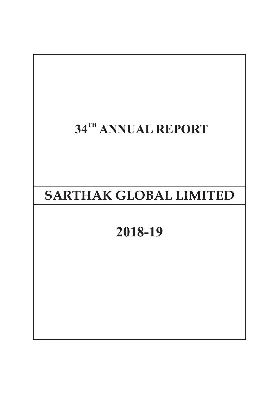# **TH 34 ANNUAL REPORT**

# **SARTHAK GLOBAL LIMITED**

# **2018-19**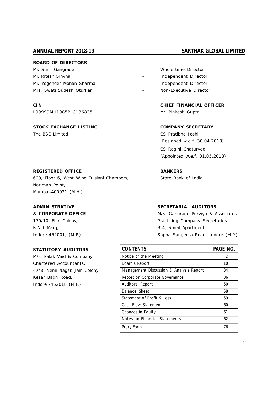#### **BOARD OF DIRECTORS**

Mr. Sunil Gangrade **Mr.** Sunil Gangrade **- Whole-time Director** Mr. Ritesh Sinvhal **Mr. Ritesh Sinvhal** - Independent Director

L99999MH1985PLC136835 Mr. Pinkesh Gupta

**STOCK EXCHANGE LISTING COMPANY SECRETARY**

- 
- Mr. Yogender Mohan Sharma  **Independent Director**
- Mrs. Swati Sudesh Oturkar Non-Executive Director

**CIN CHIEF FINANCIAL OFFICER**

**SARTHAK GLOBAL LIMITED**

The BSE Limited CS Pratibha Joshi (Resigned w.e.f. 30.04.2018) CS Ragini Chaturvedi (Appointed w.e.f. 01.05.2018)

#### **REGISTERED OFFICE BANKERS**

609, Floor 6, West Wing Tulsiani Chambers, State Bank of India Nariman Point, Mumbai-400021 (M.H.)

#### **STATUTORY AUDITORS**

M/s. Palak Vaid & Company Chartered Accountants, 47/B, Nemi Nagar, Jain Colony, Kesar Bagh Road, Indore -452018 (M.P.)

#### **ADMINISTRATIVE SECRETARIAL AUDITORS**

**& CORPORATE OFFICE** M/s. Gangrade Purviya & Associates 170/10, Film Colony, The Colony of the Practicing Company Secretaries R.N.T. Marg, **B-4, Sonal Apartment**, Indore-452001, (M.P.) Sapna Sangeeta Road, Indore (M.P.)

| <b>CONTENTS</b>                         | PAGE NO. |
|-----------------------------------------|----------|
| Notice of the Meeting                   | 2        |
| Board's Report                          | 10       |
| Management Discussion & Analysis Report | 34       |
| Report on Corporate Governance          | 36       |
| Auditors' Report                        | 50       |
| Balance Sheet                           | 58       |
| Statement of Profit & Loss              | 59       |
| Cash Flow Statement                     | 60       |
| Changes in Equity                       | 61       |
| Notes on Financial Statements           | 62       |
| Proxy Form                              | 76       |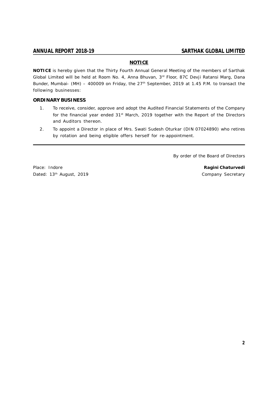#### **SARTHAK GLOBAL LIMITED**

#### **NOTICE**

**NOTICE** is hereby given that the Thirty Fourth Annual General Meeting of the members of Sarthak Global Limited will be held at Room No. 4, Anna Bhuvan, 3<sup>rd</sup> Floor, 87C Devji Ratansi Marg, Dana Bunder, Mumbai- (MH) - 400009 on Friday, the 27<sup>th</sup> September, 2019 at 1.45 P.M. to transact the following businesses:

#### **ORDINARY BUSINESS**

- 1. To receive, consider, approve and adopt the Audited Financial Statements of the Company for the financial year ended 31<sup>st</sup> March, 2019 together with the Report of the Directors and Auditors thereon.
- 2. To appoint a Director in place of Mrs. Swati Sudesh Oturkar (DIN 07024890) who retires by rotation and being eligible offers herself for re-appointment.

By order of the Board of Directors

Place: Indore **Ragini Chaturvedi** Dated: 13<sup>th</sup> August, 2019 **Company Secretary**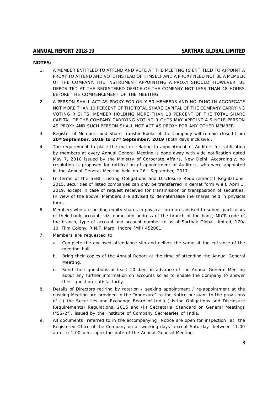#### **NOTES:**

- 1. A MEMBER ENTITLED TO ATTEND AND VOTE AT THE MEETING IS ENTITLED TO APPOINT A PROXY TO ATTEND AND VOTE INSTEAD OF HIMSELF AND A PROXY NEED NOT BE A MEMBER OF THE COMPANY. THE INSTRUMENT APPOINTING A PROXY SHOULD, HOWEVER, BE DEPOSITED AT THE REGISTERED OFFICE OF THE COMPANY NOT LESS THAN 48 HOURS BEFORE THE COMMENCEMENT OF THE MEETING.
- 2. A PERSON SHALL ACT AS PROXY FOR ONLY 50 MEMBERS AND HOLDING IN AGGREGATE NOT MORE THAN 10 PERCENT OF THE TOTAL SHARE CAPITAL OF THE COMPANY CARRYING VOTING RIGHTS. MEMBER HOLDING MORE THAN 10 PERCENT OF THE TOTAL SHARE CAPITAL OF THE COMPANY CARRYING VOTING RIGHTS MAY APPOINT A SINGLE PERSON AS PROXY AND SUCH PERSON SHALL NOT ACT AS PROXY FOR ANY OTHER MEMBER.
- 3. Register of Members and Share Transfer Books of the Company will remain closed from **20th September, 2019 to 27th September, 2019** (both days inclusive).
- 4. The requirement to place the matter relating to appointment of Auditors for ratification by members at every Annual General Meeting is done away with vide notification dated May 7, 2018 issued by the Ministry of Corporate Affairs, New Delhi. Accordingly, no resolution is proposed for ratification of appointment of Auditors, who were appointed in the Annual General Meeting held on 26<sup>th</sup> September, 2017.
- 5. In terms of the SEBI (Listing Obligations and Disclosure Requirements) Regulations, 2015, securities of listed companies can only be transferred in demat form w.e.f. April 1, 2019, except in case of request received for transmission or transposition of securities. In view of the above, Members are advised to dematerialise the shares held in physical form.
- 6. Members who are holding equity shares in physical form are advised to submit particulars of their bank account, viz. name and address of the branch of the bank, MICR code of the branch, type of account and account number to us at Sarthak Global Limited, 170/ 10, Film Colony, R.N.T. Marg, Indore (MP) 452001.
- 7. Members are requested to:
	- a. Complete the enclosed attendance slip and deliver the same at the entrance of the meeting hall.
	- b. Bring their copies of the Annual Report at the time of attending the Annual General Meeting.
	- c. Send their questions at least 10 days in advance of the Annual General Meeting about any further information on accounts so as to enable the Company to answer their question satisfactorily.
- 8. Details of Directors retiring by rotation / seeking appointment / re-appointment at the ensuing Meeting are provided in the "Annexure" to the Notice pursuant to the provisions of (i) the Securities and Exchange Board of India (Listing Obligations and Disclosure Requirements) Regulations, 2015 and (ii) Secretarial Standard on General Meetings ("SS-2"), issued by the Institute of Company Secretaries of India.
- 9. All documents referred to in the accompanying Notice are open for inspection at the Registered Office of the Company on all working days except Saturday between 11.00 a.m. to 1.00 p.m. upto the date of the Annual General Meeting.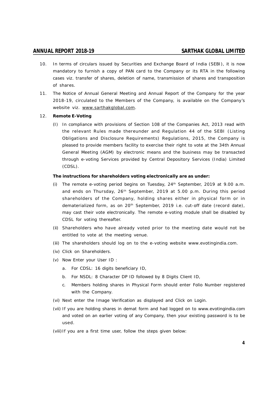- 10. In terms of circulars issued by Securities and Exchange Board of India (SEBI), it is now mandatory to furnish a copy of PAN card to the Company or its RTA in the following cases viz. transfer of shares, deletion of name, transmission of shares and transposition of shares.
- 11. The Notice of Annual General Meeting and Annual Report of the Company for the year 2018-19, circulated to the Members of the Company, is available on the Company's website viz. www.sarthakglobal.com.

#### 12. **Remote E-Voting**

(I) In compliance with provisions of Section 108 of the Companies Act, 2013 read with the relevant Rules made thereunder and Regulation 44 of the SEBI (Listing Obligations and Disclosure Requirements) Regulations, 2015, the Company is pleased to provide members facility to exercise their right to vote at the 34th Annual General Meeting (AGM) by electronic means and the business may be transacted through e-voting Services provided by Central Depository Services (India) Limited (CDSL).

#### **The instructions for shareholders voting electronically are as under:**

- (i) The remote e-voting period begins on Tuesday,  $24<sup>th</sup>$  September, 2019 at 9.00 a.m. and ends on Thursday, 26<sup>th</sup> September, 2019 at 5.00 p.m. During this period shareholders of the Company, holding shares either in physical form or in dematerialized form, as on 20<sup>th</sup> September, 2019 i.e. cut-off date (record date), may cast their vote electronically. The remote e-voting module shall be disabled by CDSL for voting thereafter.
- (ii) Shareholders who have already voted prior to the meeting date would not be entitled to vote at the meeting venue.
- (iii) The shareholders should log on to the e-voting website www.evotingindia.com.
- (iv) Click on Shareholders.
- (v) Now Enter your User ID :
	- a. For CDSL: 16 digits beneficiary ID,
	- b. For NSDL: 8 Character DP ID followed by 8 Digits Client ID,
	- c. Members holding shares in Physical Form should enter Folio Number registered with the Company.
- (vi) Next enter the Image Verification as displayed and Click on Login.
- (vii) If you are holding shares in demat form and had logged on to www.evotingindia.com and voted on an earlier voting of any Company, then your existing password is to be used.
- (viii)If you are a first time user, follow the steps given below: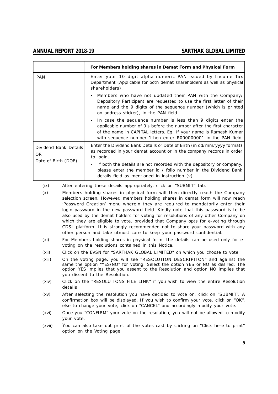|                                                     | For Members holding shares in Demat Form and Physical Form                                                                                                                                                                                                                                                                                                               |
|-----------------------------------------------------|--------------------------------------------------------------------------------------------------------------------------------------------------------------------------------------------------------------------------------------------------------------------------------------------------------------------------------------------------------------------------|
| <b>PAN</b>                                          | Enter your 10 digit alpha-numeric PAN issued by Income Tax<br>Department (Applicable for both demat shareholders as well as physical<br>shareholders).                                                                                                                                                                                                                   |
|                                                     | Members who have not updated their PAN with the Company/<br>Depository Participant are requested to use the first letter of their<br>name and the 9 digits of the sequence number (which is printed<br>on address sticker), in the PAN field.                                                                                                                            |
|                                                     | In case the sequence number is less than 9 digits enter the<br>$\bullet$<br>applicable number of 0's before the number after the first character<br>of the name in CAPITAL letters. Eg. If your name is Ramesh Kumar<br>with sequence number 1then enter R000000001 in the PAN field.                                                                                    |
| Dividend Bank Details<br>OR.<br>Date of Birth (DOB) | Enter the Dividend Bank Details or Date of Birth (in dd/mm/yyyy format)<br>as recorded in your demat account or in the company records in order<br>to login.<br>If both the details are not recorded with the depository or company,<br>$\bullet$<br>please enter the member id / folio number in the Dividend Bank<br>details field as mentioned in instruction $(v)$ . |

(ix) After entering these details appropriately, click on "SUBMIT" tab.

- (x) Members holding shares in physical form will then directly reach the Company selection screen. However, members holding shares in demat form will now reach 'Password Creation' menu wherein they are required to mandatorily enter their login password in the new password field. Kindly note that this password is to be also used by the demat holders for voting for resolutions of any other Company on which they are eligible to vote, provided that Company opts for e-voting through CDSL platform. It is strongly recommended not to share your password with any other person and take utmost care to keep your password confidential.
- (xi) For Members holding shares in physical form, the details can be used only for evoting on the resolutions contained in this Notice.
- (xii) Click on the EVSN for "SARTHAK GLOBAL LIMITED" on which you choose to vote.
- (xiii) On the voting page, you will see "RESOLUTION DESCRIPTION" and against the same the option "YES/NO" for voting. Select the option YES or NO as desired. The option YES implies that you assent to the Resolution and option NO implies that you dissent to the Resolution.
- (xiv) Click on the "RESOLUTIONS FILE LINK" if you wish to view the entire Resolution details.
- (xv) After selecting the resolution you have decided to vote on, click on "SUBMIT". A confirmation box will be displayed. If you wish to confirm your vote, click on "OK", else to change your vote, click on "CANCEL" and accordingly modify your vote.
- (xvi) Once you "CONFIRM" your vote on the resolution, you will not be allowed to modify your vote.
- (xvii) You can also take out print of the votes cast by clicking on "Click here to print" option on the Voting page.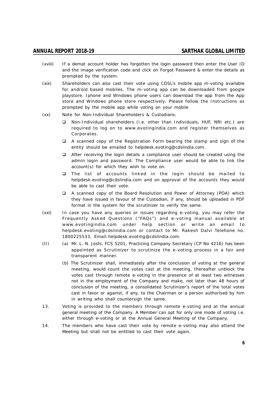- (xviii) If a demat account holder has forgotten the login password then enter the User ID and the image verification code and click on Forgot Password & enter the details as prompted by the system.
- (xix) Shareholders can also cast their vote using CDSL's mobile app m-voting available for android based mobiles. The m-voting app can be downloaded from google playstore. Iphone and Windows phone users can download the app from the App store and Windows phone store respectively. Please follow the Instructions as prompted by the mobile app while voting on your mobile
- (xx) Note for Non-Individual Shareholders & Custodians:
	- Non-Individual shareholders (i.e. other than Individuals, HUF, NRI etc.) are required to log on to www.evotingindia.com and register themselves as Corporates.
	- A scanned copy of the Registration Form bearing the stamp and sign of the entity should be emailed to helpdesk.evoting@cdslindia.com.
	- After receiving the login details a compliance user should be created using the admin login and password. The Compliance user would be able to link the account(s) for which they wish to vote on.
	- $\Box$  The list of accounts linked in the login should be mailed to helpdesk.evoting@cdslindia.com and on approval of the accounts they would be able to cast their vote.
	- A scanned copy of the Board Resolution and Power of Attorney (POA) which they have issued in favour of the Custodian, if any, should be uploaded in PDF format in the system for the scrutinizer to verify the same.
- (xxi) In case you have any queries or issues regarding e-voting, you may refer the Frequently Asked Questions ("FAQs") and e-voting manual available at www.evotingindia.com under help section or write an email to helpdesk.evoting@cdslindia.com or contact to Mr. Rakesh Dalvi Telehone no. 1800225533, Email:helpdesk.evoting@cdslindia.com.
- (II) (a) Mr. L. N. Joshi, FCS 5201, Practicing Company Secretary (CP No 4216) has been appointed as Scrutinizer to scrutinize the e-voting process in a fair and transparent manner.
	- (b) The Scrutinizer shall, immediately after the conclusion of voting at the general meeting, would count the votes cast at the meeting, thereafter unblock the votes cast through remote e-voting in the presence of at least two witnesses not in the employment of the Company and make, not later than 48 hours of conclusion of the meeting, a consolidated Scrutinizer's report of the total votes cast in favor or against, if any, to the Chairman or a person authorised by him in writing who shall countersign the same.
- 13. Voting is provided to the members through remote e-voting and at the annual general meeting of the Company. A Member can opt for only one mode of voting i.e. either through e-voting or at the Annual General Meeting of the Company.
- 14. The members who have cast their vote by remote e-voting may also attend the Meeting but shall not be entitled to cast their vote again.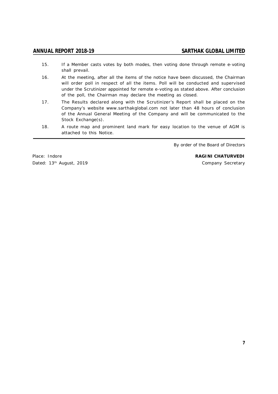- 15. If a Member casts votes by both modes, then voting done through remote e-voting shall prevail.
- 16. At the meeting, after all the items of the notice have been discussed, the Chairman will order poll in respect of all the items. Poll will be conducted and supervised under the Scrutinizer appointed for remote e-voting as stated above. After conclusion of the poll, the Chairman may declare the meeting as closed.
- 17. The Results declared along with the Scrutinizer's Report shall be placed on the Company's website www.sarthakglobal.com not later than 48 hours of conclusion of the Annual General Meeting of the Company and will be communicated to the Stock Exchange(s).
- 18. A route map and prominent land mark for easy location to the venue of AGM is attached to this Notice.

By order of the Board of Directors

Place: Indore **RAGINI CHATURVEDI** Dated: 13<sup>th</sup> August, 2019 **Company Secretary**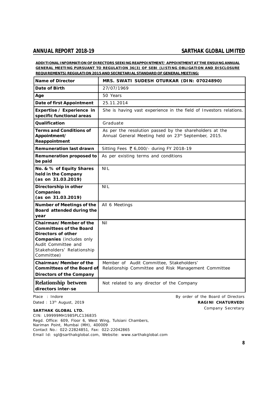#### **SARTHAK GLOBAL LIMITED**

**ADDITIONAL INFORMATION OF DIRECTORS SEEKING REAPPOINTMENT/ APPOINTMENT AT THE ENSUING ANNUAL GENERAL MEETING PURSUANT TO REGULATION 36(3) OF SEBI (LISTING OBLIGATION AND DISCLOSURE REQUIREMENTS) REGULATION 2015 AND SECRETARIAL STANDARD OF GENERAL MEETING:**

| <b>Name of Director</b>                                                                                                                                                              | MRS. SWATI SUDESH OTURKAR (DIN: 07024890)                                                                                   |
|--------------------------------------------------------------------------------------------------------------------------------------------------------------------------------------|-----------------------------------------------------------------------------------------------------------------------------|
| Date of Birth                                                                                                                                                                        | 27/07/1969                                                                                                                  |
| Age                                                                                                                                                                                  | 50 Years                                                                                                                    |
| Date of first Appointment                                                                                                                                                            | 25.11.2014                                                                                                                  |
| Expertise / Experience in<br>specific functional areas                                                                                                                               | She is having vast experience in the field of Investors relations.                                                          |
| Qualification                                                                                                                                                                        | Graduate                                                                                                                    |
| <b>Terms and Conditions of</b><br>Appointment/<br>Reappointment                                                                                                                      | As per the resolution passed by the shareholders at the<br>Annual General Meeting held on 23 <sup>th</sup> September, 2015. |
| <b>Remuneration last drawn</b>                                                                                                                                                       | Sitting Fees ₹ 6,000/- during FY 2018-19                                                                                    |
| Remuneration proposed to<br>be paid                                                                                                                                                  | As per existing terms and conditions                                                                                        |
| No. & % of Equity Shares<br>held in the Company<br>(as on 31.03.2019)                                                                                                                | <b>NIL</b>                                                                                                                  |
| Directorship in other<br>Companies<br>(as on 31.03.2019)                                                                                                                             | <b>NIL</b>                                                                                                                  |
| Number of Meetings of the<br>Board attended during the<br>year                                                                                                                       | All 6 Meetings                                                                                                              |
| Chairman/Member of the<br><b>Committees of the Board</b><br>Directors of other<br><b>Companies</b> (includes only<br>Audit Committee and<br>Stakeholders' Relationship<br>Committee) | Nil                                                                                                                         |
| Chairman/Member of the<br><b>Committees of the Board of</b><br>Directors of the Company                                                                                              | Member of Audit Committee, Stakeholders'<br>Relationship Committee and Risk Management Committee                            |
| <b>Relationship between</b><br>directors inter-se                                                                                                                                    | Not related to any director of the Company                                                                                  |

Place : Indore **By order of the Board of Directors** Dated : 13<sup>th</sup> August, 2019 **RAGINI CHATURVEDI** Company Secretary

**SARTHAK GLOBAL LTD.** CIN: L99999MH1985PLC136835 Regd. Office: 609, Floor 6, West Wing, Tulsiani Chambers, Nariman Point, Mumbai (MH), 400009 Contact No.: 022-22824851, Fax: 022-22042865 Email Id: sgl@sarthakglobal.com, Website: www.sarthakglobal.com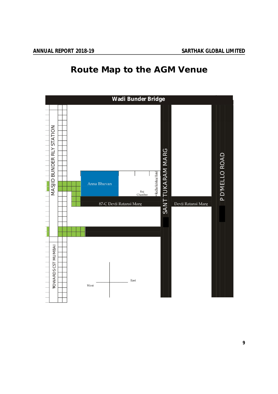# **Route Map to the AGM Venue**

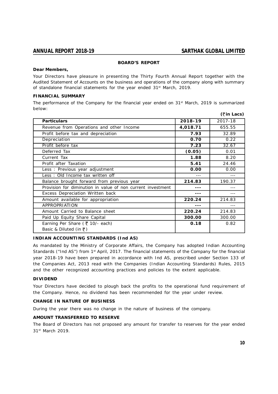### **SARTHAK GLOBAL LIMITED**

#### **BOARD'S REPORT**

#### **Dear Members,**

Your Directors have pleasure in presenting the Thirty Fourth Annual Report together with the Audited Statement of Accounts on the business and operations of the company along with summary of standalone financial statements for the year ended  $31<sup>st</sup>$  March, 2019.

#### **FINANCIAL SUMMARY**

The performance of the Company for the financial year ended on 31<sup>st</sup> March, 2019 is summarized below:

|                                                             |          | ( <i>रै</i> in Lacs) |
|-------------------------------------------------------------|----------|----------------------|
| <b>Particulars</b>                                          | 2018-19  | 2017-18              |
| Revenue from Operations and other Income                    | 4,018.71 | 655.55               |
| Profit before tax and depreciation                          | 7.93     | 32.89                |
| Depreciation                                                | 0.70     | 0.22                 |
| Profit before tax                                           | 7.23     | 32.67                |
| Deferred Tax                                                | (0.05)   | 0.01                 |
| Current Tax                                                 | 1.88     | 8.20                 |
| Profit after Taxation                                       | 5.41     | 24.46                |
| Less : Previous year adjustment                             | 0.00     | 0.00                 |
| Less: Old Income tax written off                            | ---      | ---                  |
| Balance brought forward from previous year                  | 214.83   | 190.37               |
| Provision for diminution in value of non current investment |          |                      |
| Excess Depreciation Written back                            |          |                      |
| Amount available for appropriation                          | 220.24   | 214.83               |
| APPROPRIATION                                               | ---      |                      |
| Amount Carried to Balance sheet                             | 220.24   | 214.83               |
| Paid Up Equity Share Capital                                | 300.00   | 300.00               |
| Earning Per Share (₹ 10/- each)                             | 0.18     | 0.82                 |
| Basic & Diluted (in ₹)                                      |          |                      |

#### **INDIAN ACCOUNTING STANDARDS (Ind AS)**

As mandated by the Ministry of Corporate Affairs, the Company has adopted Indian Accounting Standards ("Ind AS") from 1<sup>st</sup> April, 2017. The financial statements of the Company for the financial year 2018-19 have been prepared in accordance with Ind AS, prescribed under Section 133 of the Companies Act, 2013 read with the Companies (Indian Accounting Standards) Rules, 2015 and the other recognized accounting practices and policies to the extent applicable.

#### **DIVIDEND**

Your Directors have decided to plough back the profits to the operational fund requirement of the Company. Hence, no dividend has been recommended for the year under review.

#### **CHANGE IN NATURE OF BUSINESS**

During the year there was no change in the nature of business of the company.

#### **AMOUNT TRANSFERRED TO RESERVE**

The Board of Directors has not proposed any amount for transfer to reserves for the year ended 31st March 2019.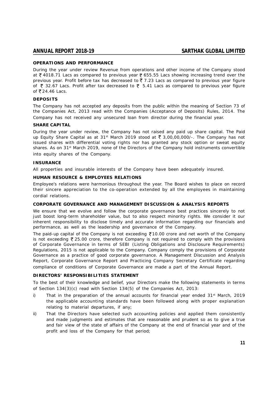#### **SARTHAK GLOBAL LIMITED**

#### **OPERATIONS AND PERFORMANCE**

During the year under review Revenue from operations and other income of the Company stood at  $\bar{\xi}$  4018.71 Lacs as compared to previous year  $\bar{\xi}$  655.55 Lacs showing increasing trend over the previous year. Profit before tax has decreased to  $\bar{z}$  7.23 Lacs as compared to previous year figure of  $\bar{\xi}$  32.67 Lacs. Profit after tax decreased to  $\bar{\xi}$  5.41 Lacs as compared to previous year figure of  $\bar{z}$  24.46 Lacs.

#### **DEPOSITS**

The Company has not accepted any deposits from the public within the meaning of Section 73 of the Companies Act, 2013 read with the Companies (Acceptance of Deposits) Rules, 2014. The Company has not received any unsecured loan from director during the financial year.

#### **SHARE CAPITAL**

During the year under review, the Company has not raised any paid up share capital. The Paid up Equity Share Capital as at 31<sup>st</sup> March 2019 stood at  $\bar{\tau}$  3,00,00,000/-. The Company has not issued shares with differential voting rights nor has granted any stock option or sweat equity shares. As on 31<sup>st</sup> March 2019, none of the Directors of the Company hold instruments convertible into equity shares of the Company.

#### **INSURANCE**

All properties and insurable interests of the Company have been adequately insured.

#### **HUMAN RESOURCE & EMPLOYEES RELATIONS**

Employee's relations were harmonious throughout the year. The Board wishes to place on record their sincere appreciation to the co-operation extended by all the employees in maintaining cordial relations.

#### **CORPORATE GOVERNANCE AND MANAGEMENT DISCUSSION & ANALYSIS REPORTS**

We ensure that we evolve and follow the corporate governance best practices sincerely to not just boost long-term shareholder value, but to also respect minority rights. We consider it our inherent responsibility to disclose timely and accurate information regarding our financials and performance, as well as the leadership and governance of the Company.

The paid-up capital of the Company is not exceeding  $\overline{5}10.00$  crore and net worth of the Company is not exceeding  $\overline{z}$  25.00 crore, therefore Company is not required to comply with the provisions of Corporate Governance in terms of SEBI (Listing Obligations and Disclosure Requirements) Regulations, 2015 is not applicable to the Company. Company comply the provisions of Corporate Governance as a practice of good corporate governance. A Management Discussion and Analysis Report, Corporate Governance Report and Practicing Company Secretary Certificate regarding compliance of conditions of Corporate Governance are made a part of the Annual Report.

#### **DIRECTORS' RESPONSIBILITIES STATEMENT**

To the best of their knowledge and belief, your Directors make the following statements in terms of Section 134(3)(c) read with Section 134(5) of the Companies Act, 2013:

- i) That in the preparation of the annual accounts for financial year ended  $31<sup>st</sup>$  March, 2019 the applicable accounting standards have been followed along with proper explanation relating to material departures, if any;
- ii) That the Directors have selected such accounting policies and applied them consistently and made judgments and estimates that are reasonable and prudent so as to give a true and fair view of the state of affairs of the Company at the end of financial year and of the profit and loss of the Company for that period;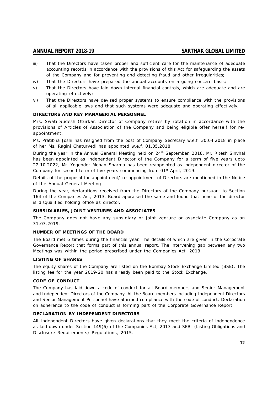- iii) That the Directors have taken proper and sufficient care for the maintenance of adequate accounting records in accordance with the provisions of this Act for safeguarding the assets of the Company and for preventing and detecting fraud and other irregularities;
- iv) That the Directors have prepared the annual accounts on a going concern basis;
- v) That the Directors have laid down internal financial controls, which are adequate and are operating effectively;
- vi) That the Directors have devised proper systems to ensure compliance with the provisions of all applicable laws and that such systems were adequate and operating effectively.

#### **DIRECTORS AND KEY MANAGERIAL PERSONNEL**

Mrs. Swati Sudesh Oturkar, Director of Company retires by rotation in accordance with the provisions of Articles of Association of the Company and being eligible offer herself for reappointment.

Ms. Pratibha Joshi has resigned from the post of Company Secretary w.e.f. 30.04.2018 in place of her Ms. Ragini Chaturvedi has appointed w.e.f. 01.05.2018.

During the year in the Annual General Meeting held on 24<sup>th</sup> September, 2018, Mr. Ritesh Sinvhal has been appointed as Independent Director of the Company for a term of five years upto 22.10.2022, Mr. Yogender Mohan Sharma has been reappointed as independent director of the Company for second term of five years commencing from 01<sup>st</sup> April, 2019.

Details of the proposal for appointment/ re-appointment of Directors are mentioned in the Notice of the Annual General Meeting.

During the year, declarations received from the Directors of the Company pursuant to Section 164 of the Companies Act, 2013. Board appraised the same and found that none of the director is disqualified holding office as director.

#### **SUBSIDIARIES, JOINT VENTURES AND ASSOCIATES**

The Company does not have any subsidiary or joint venture or associate Company as on 31.03.2019.

#### **NUMBER OF MEETINGS OF THE BOARD**

The Board met 6 times during the financial year. The details of which are given in the *Corporate Governance Report* that forms part of this annual report. The intervening gap between any two Meetings was within the period prescribed under the Companies Act, 2013.

#### **LISTING OF SHARES**

The equity shares of the Company are listed on the Bombay Stock Exchange Limited (BSE). The listing fee for the year 2019-20 has already been paid to the Stock Exchange.

#### **CODE OF CONDUCT**

The Company has laid down a code of conduct for all Board members and Senior Management and Independent Directors of the Company. All the Board members including Independent Directors and Senior Management Personnel have affirmed compliance with the code of conduct. Declaration on adherence to the code of conduct is forming part of the Corporate Governance Report.

#### **DECLARATION BY INDEPENDENT DIRECTORS**

All Independent Directors have given declarations that they meet the criteria of independence as laid down under Section 149(6) of the Companies Act, 2013 and SEBI (Listing Obligations and Disclosure Requirements) Regulations, 2015.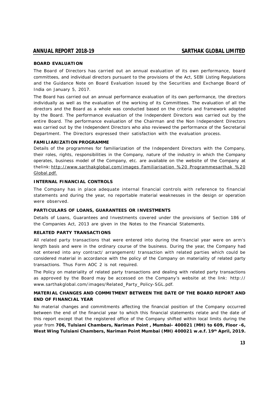#### **BOARD EVALUATION**

The Board of Directors has carried out an annual evaluation of its own performance, board committees, and individual directors pursuant to the provisions of the Act, SEBI Listing Regulations and the Guidance Note on Board Evaluation issued by the Securities and Exchange Board of India on January 5, 2017.

The Board has carried out an annual performance evaluation of its own performance, the directors individually as well as the evaluation of the working of its Committees. The evaluation of all the directors and the Board as a whole was conducted based on the criteria and framework adopted by the Board. The performance evaluation of the Independent Directors was carried out by the entire Board. The performance evaluation of the Chairman and the Non Independent Directors was carried out by the Independent Directors who also reviewed the performance of the Secretarial Department. The Directors expressed their satisfaction with the evaluation process.

#### **FAMILIARIZATION PROGRAMME**

Details of the programmes for familiarization of the Independent Directors with the Company, their roles, rights, responsibilities in the Company, nature of the industry in which the Company operates, business model of the Company, etc. are available on the website of the Company at thelink:http://www.sarthakglobal.com/images Familiarisation %20 Programmesarthak %20 Global.pdf.

#### **INTERNAL FINANCIAL CONTROLS**

The Company has in place adequate internal financial controls with reference to financial statements and during the year, no reportable material weaknesses in the design or operation were observed.

#### **PARTICULARS OF LOANS, GUARANTEES OR INVESTMENTS**

Details of Loans, Guarantees and Investments covered under the provisions of Section 186 of the Companies Act, 2013 are given in the Notes to the Financial Statements.

#### **RELATED PARTY TRANSACTIONS**

All related party transactions that were entered into during the financial year were on arm's length basis and were in the ordinary course of the business. During the year, the Company had not entered into any contract/ arrangement/ transaction with related parties which could be considered material in accordance with the policy of the Company on materiality of related party transactions. Thus Form AOC 2 is not required.

The Policy on materiality of related party transactions and dealing with related party transactions as approved by the Board may be accessed on the Company's website at the link: http:// www.sarthakglobal.com/images/Related\_Party\_Policy-SGL.pdf.

#### **MATERIAL CHANGES AND COMMITMENT BETWEEN THE DATE OF THE BOARD REPORT AND END OF FINANCIAL YEAR**

No material changes and commitments affecting the financial position of the Company occurred between the end of the financial year to which this financial statements relate and the date of this report except that the registered office of the Company shifted within local limits during the year from **706, Tulsiani Chambers, Nariman Point , Mumbai- 400021 (MH) to 609, Floor -6, West Wing Tulsiani Chambers, Nariman Point Mumbai (MH) 400021 w.e.f. 19th April, 2019.**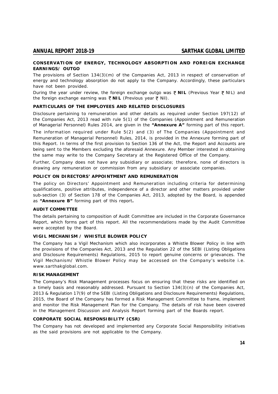#### **CONSERVATION OF ENERGY, TECHNOLOGY ABSORPTION AND FOREIGN EXCHANGE EARNINGS/ OUTGO**

The provisions of Section 134(3)(m) of the Companies Act, 2013 in respect of conservation of energy and technology absorption do not apply to the Company. Accordingly, these particulars have not been provided.

During the year under review, the foreign exchange outgo was ₹ NIL (Previous Year ₹ NIL) and the foreign exchange earning was ₹ NIL (Previous year ₹ Nil).

#### **PARTICULARS OF THE EMPLOYEES AND RELATED DISCLOSURES**

Disclosure pertaining to remuneration and other details as required under Section 197(12) of the Companies Act, 2013 read with rule 5(1) of the Companies (Appointment and Remuneration of Managerial Personnel) Rules 2014, are given in the **"***Annexure A"* forming part of this report.

The information required under Rule 5(2) and (3) of The Companies (Appointment and Remuneration of Managerial Personnel) Rules, 2014, is provided in the Annexure forming part of this Report. In terms of the first provision to Section 136 of the Act, the Report and Accounts are being sent to the Members excluding the aforesaid Annexure. Any Member interested in obtaining the same may write to the Company Secretary at the Registered Office of the Company.

Further, Company does not have any subsidiary or associate; therefore, none of directors is drawing any remuneration or commission from any subsidiary or associate companies.

#### **POLICY ON DIRECTORS' APPOINTMENT AND REMUNERATION**

The policy on Directors' Appointment and Remuneration including criteria for determining qualifications, positive attributes, independence of a director and other matters provided under sub-section (3) of Section 178 of the Companies Act, 2013, adopted by the Board, is appended as **"***Annexure B***"** forming part of this report**.**

#### **AUDIT COMMITTEE**

The details pertaining to composition of Audit Committee are included in the Corporate Governance Report, which forms part of this report. All the recommendations made by the Audit Committee were accepted by the Board.

#### **VIGIL MECHANISM / WHISTLE BLOWER POLICY**

The Company has a Vigil Mechanism which also incorporates a Whistle Blower Policy in line with the provisions of the Companies Act, 2013 and the Regulation 22 of the SEBI (Listing Obligations and Disclosure Requirements) Regulations, 2015 to report genuine concerns or grievances. The Vigil Mechanism/ Whistle Blower Policy may be accessed on the Company's website i.e. www.sarthakglobal.com.

#### **RISK MANAGEMENT**

The Company's Risk Management processes focus on ensuring that these risks are identified on a timely basis and reasonably addressed. Pursuant to Section 134(3)(n) of the Companies Act, 2013 & Regulation 17(9) of the SEBI (Listing Obligations and Disclosure Requirements) Regulations, 2015, the Board of the Company has formed a Risk Management Committee to frame, implement and monitor the Risk Management Plan for the Company. The details of risk have been covered in the Management Discussion and Analysis Report forming part of the Boards report.

#### **CORPORATE SOCIAL RESPONSIBILITY (CSR)**

The Company has not developed and implemented any Corporate Social Responsibility initiatives as the said provisions are not applicable to the Company.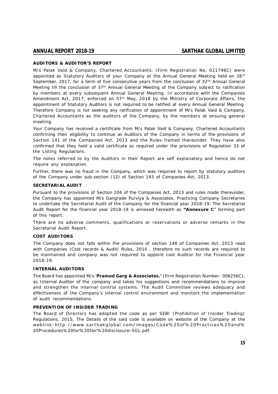#### **SARTHAK GLOBAL LIMITED**

#### **AUDITORS & AUDITOR'S REPORT**

M/s Palak Vaid & Company, Chartered Accountants, (Firm Registration No. 021796C) were appointed as Statutory Auditors of your Company at the Annual General Meeting held on 26<sup>th</sup> September, 2017, for a term of five consecutive years from the conclusion of 32<sup>nd</sup> Annual General Meeting till the conclusion of 37<sup>th</sup> Annual General Meeting of the Company subject to ratification by members at every subsequent Annual General Meeting. In accordance with the Companies Amendment Act, 2017, enforced on 07<sup>th</sup> May, 2018 by the Ministry of Corporate Affairs, the appointment of Statutory Auditors is not required to be ratified at every Annual General Meeting. Therefore Company is not seeking any ratification of appointment of M/s Palak Vaid & Company, Chartered Accountants as the auditors of the Company, by the members at ensuing general meeting.

Your Company has received a certificate from M/s Palak Vaid & Company, Chartered Accountants confirming their eligibility to continue as Auditors of the Company in terms of the provisions of Section 141 of the Companies Act, 2013 and the Rules framed thereunder. They have also confirmed that they hold a valid certificate as required under the provisions of Regulation 33 of the Listing Regulations.

The notes referred to by the Auditors in their Report are self explanatory and hence do not require any explanation.

Further, there was no fraud in the Company, which was required to report by statutory auditors of the Company under sub-section (12) of Section 143 of Companies Act, 2013.

#### **SECRETARIAL AUDIT**

Pursuant to the provisions of Section 204 of the Companies Act, 2013 and rules made thereunder, the Company has appointed M/s Gangrade Purviya & Associates, Practicing Company Secretaries to undertake the Secretarial Audit of the Company for the financial year 2018-19. The Secretarial Audit Report for the financial year 2018-19 is annexed herewith as *"Annexure C*" forming part of this report.

There are no adverse comments, qualifications or reservations or adverse remarks in the Secretarial Audit Report.

#### **COST AUDITORS**

The Company does not falls within the provisions of section 148 of Companies Act, 2013 read with Companies (Cost records & Audit) Rules, 2014 , therefore no such records are required to be maintained and company was not required to appoint cost Auditor for the Financial year 2018-19.

#### **INTERNAL AUDITORS**

The Board has appointed M/s '**Pramod Garg & Associates.'** (Firm Registration Number: 006256C), as Internal Auditor of the company and takes his suggestions and recommendations to improve and strengthen the internal control systems. The Audit Committee reviews adequacy and effectiveness of the Company's internal control environment and monitors the implementation of audit recommendations.

#### **PREVENTION OF INSIDER TRADING**

The Board of Directors has adopted the code as per SEBI (Prohibition of Insider Trading) Regulations, 2015, The Details of the said code is available on website of the Company at the weblink: http://www.sarthakglobal.com/images/Code%20of%20Practices%20and% 20Procedures%20for%20fair%20disclosure-SGL.pdf.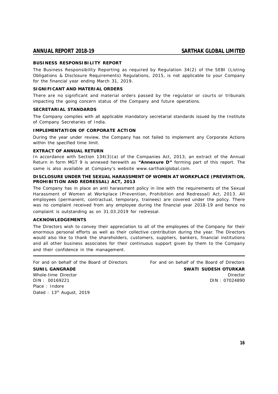#### **BUSINESS RESPONSIBILITY REPORT**

The Business Responsibility Reporting as required by Regulation 34(2) of the SEBI (Listing Obligations & Disclosure Requirements) Regulations, 2015, is not applicable to your Company for the financial year ending March 31, 2019.

#### **SIGNIFICANT AND MATERIAL ORDERS**

There are no significant and material orders passed by the regulator or courts or tribunals impacting the going concern status of the Company and future operations.

#### **SECRETARIAL STANDARDS**

The Company complies with all applicable mandatory secretarial standards issued by the Institute of Company Secretaries of India.

#### **IMPLEMENTATION OF CORPORATE ACTION**

During the year under review, the Company has not failed to implement any Corporate Actions within the specified time limit.

#### **EXTRACT OF ANNUAL RETURN**

In accordance with Section 134(3)(a) of the Companies Act, 2013, an extract of the Annual Return in form MGT 9 is annexed herewith as **"***Annexure D***"** forming part of this report. The same is also available at Company's website www.sarthakiglobal.com.

#### **DISCLOSURE UNDER THE SEXUAL HARASSMENT OF WOMEN AT WORKPLACE (PREVENTION, PROHIBITION AND REDRESSAL) ACT, 2013**

The Company has in place an anti harassment policy in line with the requirements of the Sexual Harassment of Women at Workplace (Prevention, Prohibition and Redressal) Act, 2013. All employees (permanent, contractual, temporary, trainees) are covered under the policy. There was no complaint received from any employee during the financial year 2018-19 and hence no complaint is outstanding as on 31.03.2019 for redressal.

#### **ACKNOWLEDGEMENTS**

The Directors wish to convey their appreciation to all of the employees of the Company for their enormous personal efforts as well as their collective contribution during the year. The Directors would also like to thank the shareholders, customers, suppliers, bankers, financial institutions and all other business associates for their continuous support given by them to the Company and their confidence in the management.

For and on behalf of the Board of Directors For and on behalf of the Board of Directors

Place : Indore Dated: 13<sup>th</sup> August, 2019

**SUNIL GANGRADE SWATI SUDESH OTURKAR** Whole-time Director **Director Director Director Director Director Director** DIN : 00169221 DIN : 07024890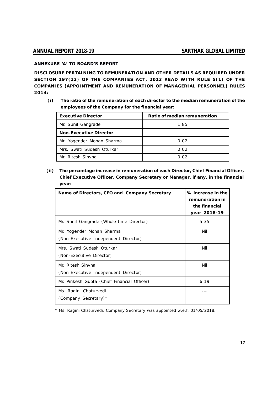#### **ANNEXURE 'A' TO BOARD'S REPORT**

**DISCLOSURE PERTAINING TO REMUNERATION AND OTHER DETAILS AS REQUIRED UNDER SECTION 197(12) OF THE COMPANIES ACT, 2013 READ WITH RULE 5(1) OF THE COMPANIES (APPOINTMENT AND REMUNERATION OF MANAGERIAL PERSONNEL) RULES 2014:**

**(i) The ratio of the remuneration of each director to the median remuneration of the employees of the Company for the financial year:**

| <b>Executive Director</b>     | Ratio of median remuneration |
|-------------------------------|------------------------------|
| Mr. Sunil Gangrade            | 1.85                         |
| <b>Non-Executive Director</b> |                              |
| Mr. Yogender Mohan Sharma     | 0.02                         |
| Mrs. Swati Sudesh Oturkar     | 0.02                         |
| Mr. Ritesh Sinyhal            | በ በ2                         |

**(ii) The percentage increase in remuneration of each Director, Chief Financial Officer, Chief Executive Officer, Company Secretary or Manager, if any, in the financial year:**

| Name of Directors, CFO and Company Secretary                      | % increase in the<br>remuneration in<br>the financial<br>year 2018-19 |
|-------------------------------------------------------------------|-----------------------------------------------------------------------|
| Mr. Sunil Gangrade (Whole-time Director)                          | 5.35                                                                  |
| Mr. Yogender Mohan Sharma<br>(Non-Executive Independent Director) | Nil                                                                   |
| Mrs. Swati Sudesh Oturkar<br>(Non-Executive Director)             | Nil                                                                   |
| Mr. Ritesh Sinyhal<br>(Non-Executive Independent Director)        | Nil                                                                   |
| Mr. Pinkesh Gupta (Chief Financial Officer)                       | 6.19                                                                  |
| Ms. Ragini Chaturvedi<br>(Company Secretary)*                     |                                                                       |

*\* Ms. Ragini Chaturvedi, Company Secretary was appointed w.e.f. 01/05/2018.*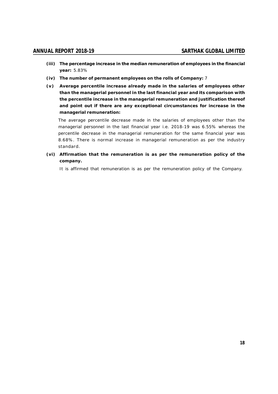- **(iii) The percentage increase in the median remuneration of employees in the financial year:** 5.83%
- **(iv) The number of permanent employees on the rolls of Company:** 7
- **(v) Average percentile increase already made in the salaries of employees other than the managerial personnel in the last financial year and its comparison with the percentile increase in the managerial remuneration and justification thereof and point out if there are any exceptional circumstances for increase in the managerial remuneration:**

The average percentile decrease made in the salaries of employees other than the managerial personnel in the last financial year i.e. 2018-19 was 6.55% whereas the percentile decrease in the managerial remuneration for the same financial year was 8.68%. There is normal increase in managerial remuneration as per the industry standard.

**(vi) Affirmation that the remuneration is as per the remuneration policy of the company.**

It is affirmed that remuneration is as per the remuneration policy of the Company.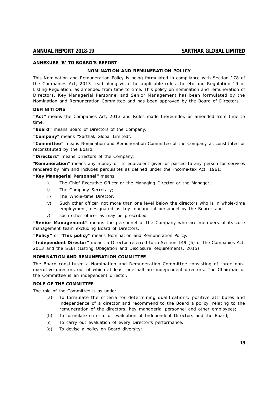#### **ANNEXURE 'B' TO BOARD'S REPORT**

#### **NOMINATION AND REMUNERATION POLICY**

This Nomination and Remuneration Policy is being formulated in compliance with Section 178 of the Companies Act, 2013 read along with the applicable rules thereto and Regulation 19 of Listing Regulation, as amended from time to time. This policy on nomination and remuneration of Directors, Key Managerial Personnel and Senior Management has been formulated by the Nomination and Remuneration Committee and has been approved by the Board of Directors.

#### **DEFINITIONS**

**"Act"** means the Companies Act, 2013 and Rules made thereunder, as amended from time to time.

**"Board"** means Board of Directors of the Company.

**"Company**" means "Sarthak Global Limited".

**"Committee"** means Nomination and Remuneration Committee of the Company as constituted or reconstituted by the Board.

**"Directors"** means Directors of the Company.

"**Remuneration**" means any money or its equivalent given or passed to any person for services rendered by him and includes perquisites as defined under the Income-tax Act, 1961;

#### **"Key Managerial Personnel"** means:

- i) The Chief Executive Officer or the Managing Director or the Manager;
- ii) The Company Secretary;
- iii) The Whole-time Director;
- iv) Such other officer, not more than one level below the directors who is in whole-time employment, designated as key managerial personnel by the Board; and
- v) such other officer as may be prescribed

**"Senior Management"** means the personnel of the Company who are members of its core management team excluding Board of Directors.

**"Policy"** or "**This policy**" means Nomination and Remuneration Policy.

**"Independent Director"** means a Director referred to in Section 149 (6) of the Companies Act, 2013 and the SEBI (Listing Obligation and Disclosure Requirements, 2015).

#### **NOMINATION AND REMUNERATION COMMITTEE**

The Board constituted a Nomination and Remuneration Committee consisting of three nonexecutive directors out of which at least one half are independent directors. The Chairman of the Committee is an independent director.

#### **ROLE OF THE COMMITTEE**

The role of the Committee is as under:

- (a) To formulate the criteria for determining qualifications, positive attributes and independence of a director and recommend to the Board a policy, relating to the remuneration of the directors, key managerial personnel and other employees;
- (b) To formulate criteria for evaluation of Independent Directors and the Board;
- (c) To carry out evaluation of every Director's performance;
- (d) To devise a policy on Board diversity;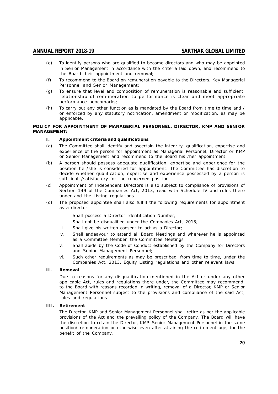- (e) To identify persons who are qualified to become directors and who may be appointed in Senior Management in accordance with the criteria laid down, and recommend to the Board their appointment and removal;
- (f) To recommend to the Board on remuneration payable to the Directors, Key Managerial Personnel and Senior Management;
- (g) To ensure that level and composition of remuneration is reasonable and sufficient, relationship of remuneration to performance is clear and meet appropriate performance benchmarks;
- (h) To carry out any other function as is mandated by the Board from time to time and / or enforced by any statutory notification, amendment or modification, as may be applicable.

#### **POLICY FOR APPOINTMENT OF MANAGERIAL PERSONNEL, DIRECTOR, KMP AND SENIOR MANAGEMENT:**

#### **I. Appointment criteria and qualifications**

- (a) The Committee shall identify and ascertain the integrity, qualification, expertise and experience of the person for appointment as Managerial Personnel, Director or KMP or Senior Management and recommend to the Board his /her appointment.
- (b) A person should possess adequate qualification, expertise and experience for the position he /she is considered for appointment. The Committee has discretion to decide whether qualification, expertise and experience possessed by a person is sufficient /satisfactory for the concerned position.
- (c) Appointment of Independent Directors is also subject to compliance of provisions of Section 149 of the Companies Act, 2013, read with Schedule IV and rules there under and the Listing regulations.
- (d) The proposed appointee shall also fulfill the following requirements for appointment as a director:
	- i. Shall possess a Director Identification Number;
	- ii. Shall not be disqualified under the Companies Act, 2013;
	- iii. Shall give his written consent to act as a Director;
	- iv. Shall endeavour to attend all Board Meetings and wherever he is appointed as a Committee Member, the Committee Meetings;
	- v. Shall abide by the Code of Conduct established by the Company for Directors and Senior Management Personnel;
	- vi. Such other requirements as may be prescribed, from time to time, under the Companies Act, 2013, Equity Listing regulations and other relevant laws.

#### **II. Removal**

Due to reasons for any disqualification mentioned in the Act or under any other applicable Act, rules and regulations there under, the Committee may recommend, to the Board with reasons recorded in writing, removal of a Director, KMP or Senior Management Personnel subject to the provisions and compliance of the said Act, rules and regulations.

#### **III. Retirement**

The Director, KMP and Senior Management Personnel shall retire as per the applicable provisions of the Act and the prevailing policy of the Company. The Board will have the discretion to retain the Director, KMP, Senior Management Personnel in the same position/ remuneration or otherwise even after attaining the retirement age, for the benefit of the Company.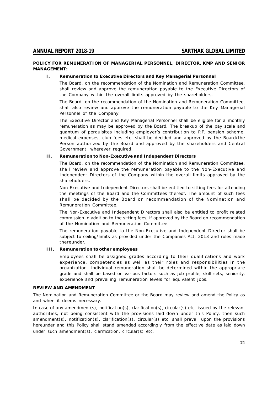#### **POLICY FOR REMUNERATION OF MANAGERIAL PERSONNEL, DIRECTOR, KMP AND SENIOR MANAGEMENT:**

#### **I. Remuneration to Executive Directors and Key Managerial Personnel**

The Board, on the recommendation of the Nomination and Remuneration Committee, shall review and approve the remuneration payable to the Executive Directors of the Company within the overall limits approved by the shareholders.

The Board, on the recommendation of the Nomination and Remuneration Committee, shall also review and approve the remuneration payable to the Key Managerial Personnel of the Company.

The Executive Director and Key Managerial Personnel shall be eligible for a monthly remuneration as may be approved by the Board. The breakup of the pay scale and quantum of perquisites including employer's contribution to P.F, pension scheme, medical expenses, club fees etc. shall be decided and approved by the Board/the Person authorized by the Board and approved by the shareholders and Central Government, wherever required.

#### **II. Remuneration to Non-Executive and Independent Directors**

The Board, on the recommendation of the Nomination and Remuneration Committee, shall review and approve the remuneration payable to the Non-Executive and Independent Directors of the Company within the overall limits approved by the shareholders.

Non-Executive and Independent Directors shall be entitled to sitting fees for attending the meetings of the Board and the Committees thereof. The amount of such fees shall be decided by the Board on recommendation of the Nomination and Remuneration Committee.

The Non-Executive and Independent Directors shall also be entitled to profit related commission in addition to the sitting fees, if approved by the Board on recommendation of the Nomination and Remuneration Committee.

The remuneration payable to the Non-Executive and Independent Director shall be subject to ceiling/limits as provided under the Companies Act, 2013 and rules made thereunder.

#### **III. Remuneration to other employees**

Employees shall be assigned grades according to their qualifications and work experience, competencies as well as their roles and responsibilities in the organization. Individual remuneration shall be determined within the appropriate grade and shall be based on various factors such as job profile, skill sets, seniority, experience and prevailing remuneration levels for equivalent jobs.

#### **REVIEW AND AMENDMENT**

The Nomination and Remuneration Committee or the Board may review and amend the Policy as and when it deems necessary.

In case of any amendment(s), notification(s), clarification(s), circular(s) etc. issued by the relevant authorities, not being consistent with the provisions laid down under this Policy, then such amendment(s), notification(s), clarification(s), circular(s) etc. shall prevail upon the provisions hereunder and this Policy shall stand amended accordingly from the effective date as laid down under such amendment(s), clarification, circular(s) etc.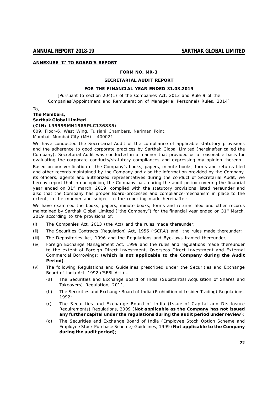#### **ANNEXURE 'C' TO BOARD'S REPORT**

#### **FORM NO. MR-3**

#### **SECRETARIAL AUDIT REPORT**

#### **FOR THE FINANCIAL YEAR ENDED 31.03.2019**

[Pursuant to section 204(1) of the Companies Act, 2013 and Rule 9 of the Companies(Appointment and Remuneration of Managerial Personnel) Rules, 2014]

To,

### **The Members, Sarthak Global Limited (CIN: L99999MH1985PLC136835**)

609, Floor-6, West Wing, Tulsiani Chambers, Nariman Point, Mumbai, Mumbai City (MH) - 400021

We have conducted the Secretarial Audit of the compliance of applicable statutory provisions and the adherence to good corporate practices by Sarthak Global Limited (hereinafter called the Company). Secretarial Audit was conducted in a manner that provided us a reasonable basis for evaluating the corporate conducts/statutory compliances and expressing my opinion thereon.

Based on our verification of the Company's books, papers, minute books, forms and returns filed and other records maintained by the Company and also the information provided by the Company, its officers, agents and authorized representatives during the conduct of Secretarial Audit, we hereby report that in our opinion, the Company has, during the audit period covering the financial year ended on 31st march, 2019, complied with the statutory provisions listed hereunder and also that the Company has proper Board-processes and compliance-mechanism in place to the extent, in the manner and subject to the reporting made hereinafter:

We have examined the books, papers, minute books, forms and returns filed and other records maintained by Sarthak Global Limited ("the Company") for the financial year ended on 31<sup>st</sup> March, 2019 according to the provisions of:

- (i) The Companies Act, 2013 (the Act) and the rules made thereunder;
- (ii) The Securities Contracts (Regulation) Act, 1956 ('SCRA') and the rules made thereunder;
- (iii) The Depositories Act, 1996 and the Regulations and Bye-laws framed thereunder;
- (iv) Foreign Exchange Management Act, 1999 and the rules and regulations made thereunder to the extent of Foreign Direct Investment, Overseas Direct Investment and External Commercial Borrowings; (*which is not applicable to the Company during the Audit Period).*
- (v) The following Regulations and Guidelines prescribed under the Securities and Exchange Board of India Act, 1992 ('SEBI Act'):-
	- (a) The Securities and Exchange Board of India (Substantial Acquisition of Shares and Takeovers) Regulation, 2011;
	- (b) The Securities and Exchange Board of India (Prohibition of Insider Trading) Regulations, 1992;
	- (c) The Securities and Exchange Board of India (Issue of Capital and Disclosure Requirements) Regulations, 2009 (**Not applicable as the Company has not issued any further capital under the regulations during the audit period under review**);
	- (d) The Securities and Exchange Board of India (Employee Stock Option Scheme and Employee Stock Purchase Scheme) Guidelines, 1999 (**Not applicable to the Company during the audit period)**;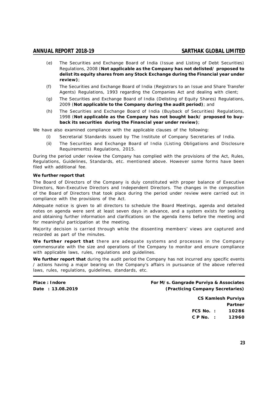- (e) The Securities and Exchange Board of India (Issue and Listing of Debt Securities) Regulations, 2008 (**Not applicable as the Company has not delisted/ proposed to delist its equity shares from any Stock Exchange during the Financial year under review)**;
- (f) The Securities and Exchange Board of India (Registrars to an Issue and Share Transfer Agents) Regulations, 1993 regarding the Companies Act and dealing with client;
- (g) The Securities and Exchange Board of India (Delisting of Equity Shares) Regulations, 2009 (**Not applicable to the Company during the audit period)**; and
- (h) The Securities and Exchange Board of India (Buyback of Securities) Regulations, 1998 (**Not applicable as the Company has not bought back/ proposed to buyback its securities during the Financial year under review)**;

We have also examined compliance with the applicable clauses of the following:

- (i) Secretarial Standards issued by The Institute of Company Secretaries of India.
- (ii) The Securities and Exchange Board of India (Listing Obligations and Disclosure Requirements) Regulations, 2015.

During the period under review the Company has complied with the provisions of the Act, Rules, Regulations, Guidelines, Standards, etc. mentioned above. However some forms have been filed with additional fee.

#### **We further report that**

The Board of Directors of the Company is duly constituted with proper balance of Executive Directors, Non-Executive Directors and Independent Directors. The changes in the composition of the Board of Directors that took place during the period under review were carried out in compliance with the provisions of the Act.

Adequate notice is given to all directors to schedule the Board Meetings, agenda and detailed notes on agenda were sent at least seven days in advance, and a system exists for seeking and obtaining further information and clarifications on the agenda items before the meeting and for meaningful participation at the meeting.

Majority decision is carried through while the dissenting members' views are captured and recorded as part of the minutes.

**We further report that** there are adequate systems and processes in the Company commensurate with the size and operations of the Company to monitor and ensure compliance with applicable laws, rules, regulations and guidelines.

**We further report that** during the audit period the Company has not incurred any specific events / actions having a major bearing on the Company's affairs in pursuance of the above referred laws, rules, regulations, guidelines, standards, etc.

#### **Place : Indore For M/s. Gangrade Purviya & Associates Date : 13.08.2019 (Practicing Company Secretaries)**

**CS Kamlesh Purviya Partner FCS No. : 10286 C P No. : 12960**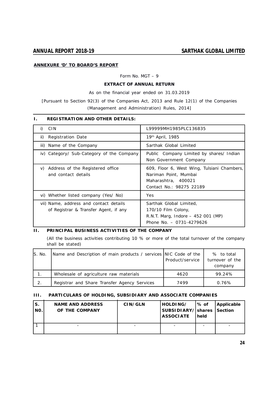#### **ANNEXURE 'D' TO BOARD'S REPORT**

#### Form No. MGT – 9

#### **EXTRACT OF ANNUAL RETURN**

As on the financial year ended on 31.03.2019

[Pursuant to Section 92(3) of the Companies Act, 2013 and Rule 12(1) of the Companies (Management and Administration) Rules, 2014]

#### **I. REGISTRATION AND OTHER DETAILS:**

| CIN<br>i)                                                                       | L99999MH1985PLC136835                                                                                                   |
|---------------------------------------------------------------------------------|-------------------------------------------------------------------------------------------------------------------------|
| Registration Date<br>ii)                                                        | 19 <sup>th</sup> April, 1985                                                                                            |
| iii) Name of the Company                                                        | Sarthak Global Limited                                                                                                  |
| iv) Category/ Sub-Category of the Company                                       | Public Company Limited by shares/ Indian<br>Non Government Company                                                      |
| v) Address of the Registered office<br>and contact details                      | 609, Floor 6, West Wing, Tulsiani Chambers,<br>Nariman Point, Mumbai<br>Maharashtra, 400021<br>Contact No.: 98275 22189 |
| vi) Whether listed company (Yes/ No)                                            | Yes                                                                                                                     |
| vii) Name, address and contact details<br>of Registrar & Transfer Agent, if any | Sarthak Global Limited,<br>170/10 Film Colony,<br>R.N.T. Marg, Indore - 452 001 (MP)<br>Phone No. - 0731-4279626        |

#### **II. PRINCIPAL BUSINESS ACTIVITIES OF THE COMPANY**

(All the business activities contributing 10 % or more of the total turnover of the company shall be stated)

| IS. No. | Name and Description of main products / services NIC Code of the | Product/service | % to total<br>turnover of the<br>company |
|---------|------------------------------------------------------------------|-----------------|------------------------------------------|
|         |                                                                  |                 |                                          |
|         | Wholesale of agriculture raw materials                           | 4620            | 99.24%                                   |
| 2.      | Registrar and Share Transfer Agency Services                     | 7499            | 0.76%                                    |

#### **III. PARTICULARS OF HOLDING, SUBSIDIARY AND ASSOCIATE COMPANIES**

| 'S.<br>'NO. | <b>NAME AND ADDRESS</b><br>OF THE COMPANY | <b>CIN/GLN</b> | HOLDING/<br>SUBSIDIARY/ shares Section<br><b>ASSOCIATE</b> | ∣% of<br>held | Applicable |
|-------------|-------------------------------------------|----------------|------------------------------------------------------------|---------------|------------|
|             |                                           |                |                                                            |               |            |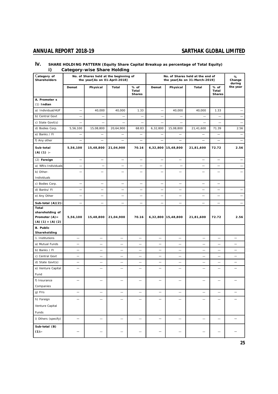# **SARTHAK GLOBAL LIMITED**

#### **IV. SHARE HOLDING PATTERN (Equity Share Capital Breakup as percentage of Total Equity) i) Category-wise Share Holding**

| Category of<br>Shareholders                                         |                          | No. of Shares held at the beginning of<br>the year[As on 01-April-2018] |                          |                                | No. of Shares held at the end of<br>the year[As on 31-March-2019] |                          |                          |                                | %<br>Change<br>during    |  |
|---------------------------------------------------------------------|--------------------------|-------------------------------------------------------------------------|--------------------------|--------------------------------|-------------------------------------------------------------------|--------------------------|--------------------------|--------------------------------|--------------------------|--|
|                                                                     | Demat                    | Physical                                                                | Total                    | % of<br>Total<br><b>Shares</b> | Demat                                                             | Physical                 | Total                    | % of<br>Total<br><b>Shares</b> | the year                 |  |
| A. Promoter s<br>$(1)$ Indian                                       |                          |                                                                         |                          |                                |                                                                   |                          |                          |                                |                          |  |
| a) Individual/HUF                                                   | $\overline{\phantom{0}}$ | 40,000                                                                  | 40,000                   | 1.33                           | $\overline{\phantom{0}}$                                          | 40,000                   | 40,000                   | 1.33                           |                          |  |
| b) Central Govt                                                     | $\overline{\phantom{0}}$ | $\overline{\phantom{0}}$                                                | $\overline{\phantom{0}}$ |                                | $\overline{\phantom{0}}$                                          |                          | $\overline{\phantom{0}}$ |                                | $\overline{\phantom{0}}$ |  |
| c) State Govt(s)                                                    |                          |                                                                         | $\overline{\phantom{0}}$ | $\overline{\phantom{0}}$       |                                                                   |                          |                          | $\overline{\phantom{0}}$       |                          |  |
| d) Bodies Corp.                                                     | 5,56,100                 | 15,08,800                                                               | 20,64,900                | 68.83                          | 6,32,800                                                          | 15,08,800                | 21,41,600                | 71.39                          | 2.56                     |  |
| e) Banks / FI                                                       |                          | $\overline{\phantom{0}}$                                                | $\overline{\phantom{0}}$ |                                | $\overline{\phantom{0}}$                                          | $\overline{\phantom{0}}$ | $\overline{\phantom{0}}$ | $\overline{\phantom{0}}$       | $\overline{\phantom{0}}$ |  |
| f) Any other                                                        | $\overline{\phantom{0}}$ | $\overline{\phantom{0}}$                                                | $\overline{\phantom{0}}$ | $\overline{\phantom{0}}$       | $\overline{\phantom{0}}$                                          | $\qquad \qquad -$        | $\qquad \qquad -$        | $\overline{\phantom{0}}$       | $\overline{\phantom{0}}$ |  |
| Sub-total<br>$(A)$ $(1)$ :-                                         | 5,56,100                 | 15,48,800                                                               | 21,04,900                | 70.16                          | 6,32,800                                                          | 15,48,800                | 21,81,600                | 72.72                          | 2.56                     |  |
| (2) Foreign                                                         | $\overline{\phantom{0}}$ | $\overline{\phantom{0}}$                                                | $\qquad \qquad -$        | $\overline{\phantom{0}}$       | $\overline{\phantom{0}}$                                          | $\overline{\phantom{0}}$ | $\qquad \qquad -$        | $\overline{\phantom{0}}$       | -                        |  |
| a) NRIs-Individuals                                                 |                          | $\overline{\phantom{0}}$                                                | $\qquad \qquad -$        | $\overline{\phantom{0}}$       | —                                                                 | $\qquad \qquad -$        | $\qquad \qquad -$        | $\qquad \qquad -$              |                          |  |
| b) Other-                                                           |                          | -                                                                       | $\overline{\phantom{0}}$ | $\overline{\phantom{0}}$       | -                                                                 | $\overline{\phantom{0}}$ | $\qquad \qquad -$        | $\overline{\phantom{0}}$       |                          |  |
| Individuals                                                         |                          |                                                                         |                          |                                |                                                                   |                          |                          |                                |                          |  |
| c) Bodies Corp.                                                     | $\overline{\phantom{0}}$ | $\overline{\phantom{0}}$                                                | $\overline{\phantom{0}}$ | $\overline{\phantom{0}}$       | $\overline{\phantom{0}}$                                          | $\qquad \qquad -$        | $\overline{\phantom{0}}$ |                                |                          |  |
| d) Banks/ FI                                                        | $\overline{\phantom{0}}$ | $\overline{\phantom{0}}$                                                | $\qquad \qquad -$        | $\overline{\phantom{0}}$       | $\overline{\phantom{0}}$                                          | $\qquad \qquad -$        | $\overline{\phantom{0}}$ | $\qquad \qquad -$              | -                        |  |
| e) Any Other                                                        |                          | -                                                                       | -                        | $\overline{\phantom{0}}$       | -                                                                 | -                        | $\overline{\phantom{0}}$ | $\overline{\phantom{0}}$       |                          |  |
| Sub-total $(A)(2)$ :                                                | $\overline{\phantom{0}}$ | $\overline{\phantom{0}}$                                                | $\qquad \qquad -$        | $\overline{\phantom{0}}$       | $\overline{\phantom{0}}$                                          | $\overline{\phantom{0}}$ | $\qquad \qquad -$        | $\overline{\phantom{0}}$       |                          |  |
| Total<br>shareholding of<br>Promoter $(A)$ =<br>$(A) (1) + (A) (2)$ | 5,56,100                 | 15,48,800                                                               | 21,04,900                | 70.16                          |                                                                   | 6,32,800 15,48,800       | 21,81,600                | 72.72                          | 2.56                     |  |
| <b>B.</b> Public<br>Shareholding                                    |                          |                                                                         |                          |                                |                                                                   |                          |                          |                                |                          |  |
| 1. Institutions                                                     | $\overline{\phantom{0}}$ | $\overline{\phantom{0}}$                                                | $\overline{\phantom{0}}$ | $\overline{\phantom{0}}$       | $\overline{\phantom{0}}$                                          | $\overline{\phantom{0}}$ | $\overline{\phantom{0}}$ | $\overline{\phantom{0}}$       | $\overline{\phantom{0}}$ |  |
| a) Mutual Funds                                                     | $\overline{\phantom{0}}$ | -                                                                       | $\qquad \qquad -$        | $\qquad \qquad -$              | $\overline{\phantom{0}}$                                          | $\qquad \qquad -$        | -                        | -                              | $\overline{\phantom{0}}$ |  |
| b) Banks / FI                                                       | $\overline{\phantom{0}}$ | $\qquad \qquad -$                                                       |                          | $\qquad \qquad -$              | $\qquad \qquad -$                                                 | $\qquad \qquad -$        | $\qquad \qquad -$        | $\qquad \qquad -$              | $\qquad \qquad -$        |  |
| c) Central Govt                                                     | $\overline{\phantom{0}}$ | $\overline{\phantom{0}}$                                                | —                        | $\overline{\phantom{0}}$       | $\overline{\phantom{0}}$                                          | $\overline{\phantom{0}}$ | $\overline{\phantom{0}}$ | $\overline{\phantom{0}}$       | $\overline{\phantom{0}}$ |  |
| d) State Govt(s)                                                    | $\overline{\phantom{0}}$ | $\overline{\phantom{0}}$                                                | $\overline{\phantom{0}}$ | $\overline{\phantom{0}}$       | $\overline{\phantom{0}}$                                          | $\overline{\phantom{0}}$ | $\overline{\phantom{0}}$ | $\overline{\phantom{0}}$       | $\overline{\phantom{0}}$ |  |
| e) Venture Capital<br>Fund                                          | $\overline{\phantom{0}}$ | $\overline{\phantom{0}}$                                                | $\overline{\phantom{0}}$ | $\overline{\phantom{0}}$       | $\qquad \qquad -$                                                 | $\overline{\phantom{0}}$ | $\overline{\phantom{0}}$ |                                | $\overline{\phantom{0}}$ |  |
| f) Insurance                                                        | $\overline{\phantom{0}}$ | $\overline{\phantom{0}}$                                                | $\overline{\phantom{0}}$ | $\overline{\phantom{0}}$       | $\overline{\phantom{0}}$                                          | $\overline{\phantom{0}}$ | $\overline{\phantom{0}}$ | $\overline{\phantom{0}}$       | $\overline{\phantom{0}}$ |  |
| Companies                                                           |                          |                                                                         |                          |                                |                                                                   |                          |                          |                                |                          |  |
| g) FIIs                                                             | $\qquad \qquad -$        |                                                                         | $\overline{\phantom{0}}$ | $\qquad \qquad -$              | $\qquad \qquad -$                                                 | $\overline{\phantom{0}}$ | $\overline{\phantom{0}}$ | $\qquad \qquad -$              | $\qquad \qquad -$        |  |
| h) Foreign                                                          | <u>—</u>                 | —                                                                       | -                        | $\overline{\phantom{0}}$       | —                                                                 |                          | —                        | -                              | -                        |  |
| Venture Capital                                                     |                          |                                                                         |                          |                                |                                                                   |                          |                          |                                |                          |  |
| Funds                                                               |                          |                                                                         |                          |                                |                                                                   |                          |                          |                                |                          |  |
| i) Others (specify)                                                 | $\qquad \qquad -$        | $\overline{\phantom{0}}$                                                | $\overline{\phantom{0}}$ | —                              | $\qquad \qquad -$                                                 |                          | $\qquad \qquad -$        |                                | $\overline{\phantom{0}}$ |  |
| Sub-total (B)<br>$(1)$ :-                                           | -                        |                                                                         |                          | -                              |                                                                   | -                        |                          |                                |                          |  |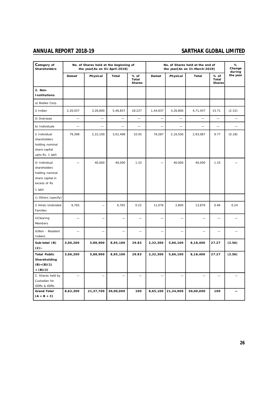# **SARTHAK GLOBAL LIMITED**

| Category of<br>Shareholders                                                                     | No. of Shares held at the beginning of<br>the year[As on 01-April-2018] |                          |                          |                                | No. of Shares held at the end of<br>the year[As on 31-March-2019] |                          |                          |                                 | %<br>Change<br>during |
|-------------------------------------------------------------------------------------------------|-------------------------------------------------------------------------|--------------------------|--------------------------|--------------------------------|-------------------------------------------------------------------|--------------------------|--------------------------|---------------------------------|-----------------------|
|                                                                                                 | Demat                                                                   | Physical                 | Total                    | % of<br>Total<br><b>Shares</b> | Demat                                                             | Physical                 | Total                    | % of<br>Total<br><b>Shares</b>  | the year              |
| 2. Non-<br><b>Institutions</b>                                                                  |                                                                         |                          |                          |                                |                                                                   |                          |                          |                                 |                       |
| a) Bodies Corp.                                                                                 |                                                                         |                          |                          |                                |                                                                   |                          |                          |                                 |                       |
| i) Indian                                                                                       | 2,20,037                                                                | 3,26,800                 | 5,46,837                 | 18.227                         | 1,44,637                                                          | 3,26,800                 | 4,71,437                 | 15.71                           | (2.52)                |
| ii) Overseas                                                                                    | $\equiv$                                                                | $\overline{\phantom{0}}$ | $\overline{\phantom{0}}$ | $\overline{\phantom{0}}$       | $\overline{\phantom{0}}$                                          | $\overline{\phantom{0}}$ |                          | $\overbrace{\phantom{1232211}}$ |                       |
| b) Individuals                                                                                  | $\overline{\phantom{0}}$                                                |                          |                          | $\overline{\phantom{0}}$       |                                                                   |                          | $\overline{\phantom{0}}$ | $\overline{\phantom{m}}$        |                       |
| i) Individual<br>shareholders<br>holding nominal<br>share capital<br>upto Rs. 1 lakh            | 79,398                                                                  | 2,22,100                 | 3,01,498                 | 10.05                          | 76,587                                                            | 2,16,500                 | 2,93,087                 | 9.77                            | (0.28)                |
| ii) Individual<br>shareholders<br>holding nominal<br>share capital in<br>excess of Rs<br>1 lakh |                                                                         | 40,000                   | 40,000                   | 1.33                           |                                                                   | 40,000                   | 40,000                   | 1.33                            |                       |
| c) Others (specify)                                                                             |                                                                         |                          |                          |                                |                                                                   |                          |                          |                                 |                       |
| i) Hindu Undivided<br>Families                                                                  | 6,765                                                                   |                          | 6,765                    | 0.22                           | 11,076                                                            | 2,800                    | 13,876                   | 0.46                            | 0.24                  |
| ii)Clearing<br>Members                                                                          |                                                                         |                          |                          |                                |                                                                   |                          |                          |                                 |                       |
| iii) Non - Resident<br>Indians                                                                  | $\overline{\phantom{0}}$                                                |                          |                          | $\overline{\phantom{0}}$       |                                                                   |                          |                          |                                 |                       |
| Sub-total (B)<br>$(2)$ :-                                                                       | 3,06,200                                                                | 5,88,900                 | 8,95,100                 | 29.83                          | 2,32,300                                                          | 5,86,100                 | 8,18,400                 | 27.27                           | (2.56)                |
| <b>Total Public</b><br>Shareholding<br>$(B) = (B) (1)$<br>$+ (B)(2)$                            | 3,06,200                                                                | 5,88,900                 | 8,95,100                 | 29.83                          | 2,32,300                                                          | 5,86,100                 | 8,18,400                 | 27.27                           | (2.56)                |
| C. Shares held by<br>Custodian for<br><b>GDRs &amp; ADRs</b>                                    | $\overline{\phantom{0}}$                                                |                          |                          | $\overline{\phantom{0}}$       |                                                                   | ÷                        |                          | $\overline{\phantom{0}}$        |                       |
| <b>Grand Total</b><br>$(A + B + C)$                                                             | 8,62,300                                                                | 21,37,700                | 30,00,000                | 100                            | 8,65,100                                                          | 21,34,900                | 30,00,000                | 100                             |                       |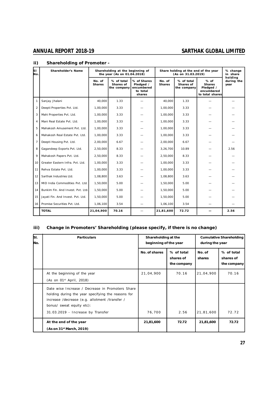# **SARTHAK GLOBAL LIMITED**

## **ii) Shareholding of Promoter -**

| İsı<br>N٥.      | Shareholder's Name                | Shareholding at the beginning of<br>the year (As on 01.04.2018) |                                        |                                                              |                         | Share holding at the end of the year<br>(As on 31.03.2019) |                                                                     |                               |
|-----------------|-----------------------------------|-----------------------------------------------------------------|----------------------------------------|--------------------------------------------------------------|-------------------------|------------------------------------------------------------|---------------------------------------------------------------------|-------------------------------|
|                 |                                   | No. of<br><b>Shares</b>                                         | % of total<br>Shares of<br>the company | % of Shares<br>Pledged /<br>encumbered<br>to total<br>shares | No. of<br><b>Shares</b> | % of total<br>Shares of<br>the company                     | % of<br><b>Shares</b><br>Pledged /<br>encumbered<br>to total shares | holding<br>during the<br>year |
| $\mathbf{1}$    | Sanjay Jhalani                    | 40,000                                                          | 1.33                                   |                                                              | 40,000                  | 1.33                                                       |                                                                     |                               |
| $\overline{2}$  | Deepti Properties Pvt. Ltd.       | 1,00,000                                                        | 3.33                                   |                                                              | 1.00.000                | 3.33                                                       |                                                                     |                               |
| 3               | Mahi Properties Pvt. Ltd.         | 1,00,000                                                        | 3.33                                   |                                                              | 1,00,000                | 3.33                                                       |                                                                     |                               |
| $\overline{4}$  | Mani Real Estate Pvt. Ltd.        | 1,00,000                                                        | 3.33                                   |                                                              | 1,00,000                | 3.33                                                       |                                                                     |                               |
| 5               | Mahakosh Amusement Pvt. Ltd.      | 1,00,000                                                        | 3.33                                   |                                                              | 1,00,000                | 3.33                                                       |                                                                     |                               |
| 6               | Mahakosh Real Estate Pvt. Ltd.    | 1,00,000                                                        | 3.33                                   |                                                              | 1,00,000                | 3.33                                                       |                                                                     |                               |
| $7\overline{ }$ | Deepti Housing Pvt. Ltd.          | 2,00,000                                                        | 6.67                                   |                                                              | 2,00,000                | 6.67                                                       |                                                                     |                               |
| 8               | Gagandeep Exports Pvt. Ltd.       | 2,50,000                                                        | 8.33                                   |                                                              | 3,26,700                | 10.89                                                      |                                                                     | 2.56                          |
| 9               | Mahakosh Papers Pvt. Ltd.         | 2.50.000                                                        | 8.33                                   |                                                              | 2,50,000                | 8.33                                                       |                                                                     |                               |
| 10              | Greater Eastern Infra. Pvt. Ltd.  | 1,00,000                                                        | 3.33                                   |                                                              | 1,00,000                | 3.33                                                       |                                                                     |                               |
| 11              | Rehva Estate Pvt. Ltd.            | 1,00,000                                                        | 3.33                                   |                                                              | 1,00,000                | 3.33                                                       |                                                                     |                               |
| 12              | Sarthak Industries Ltd.           | 1,08,800                                                        | 3.63                                   |                                                              | 1,08,800                | 3.63                                                       |                                                                     |                               |
| 13              | MID India Commodities Pvt. Ltd.   | 1,50,000                                                        | 5.00                                   |                                                              | 1,50,000                | 5.00                                                       |                                                                     |                               |
| 14              | Bunkim Fin. And Invest. Pvt. Ltd. | 1,50,000                                                        | 5.00                                   |                                                              | 1,50,000                | 5.00                                                       |                                                                     |                               |
| 15              | Jayati Fin. And Invest. Pvt. Ltd. | 1,50,000                                                        | 5.00                                   |                                                              | 1,50,000                | 5.00                                                       |                                                                     |                               |
| 16              | Promise Securities Pvt. Ltd.      | 1,06,100                                                        | 3.54                                   |                                                              | 1,06,100                | 3.54                                                       |                                                                     |                               |
|                 | <b>TOTAL</b>                      | 21,04,900                                                       | 70.16                                  | -                                                            | 21,81,600               | 72.72                                                      |                                                                     | 2.56                          |

#### **iii) Change in Promoters' Shareholding (please specify, if there is no change)**

| lsı.<br>INo. | <b>Particulars</b>                                                                                                                                                                                                         | Shareholding at the<br>beginning of the year |                                        | <b>Cumulative Shareholding</b><br>during the year |                                        |  |
|--------------|----------------------------------------------------------------------------------------------------------------------------------------------------------------------------------------------------------------------------|----------------------------------------------|----------------------------------------|---------------------------------------------------|----------------------------------------|--|
|              |                                                                                                                                                                                                                            | No. of shares                                | % of total<br>shares of<br>the company | No. of<br>shares                                  | % of total<br>shares of<br>the company |  |
|              | At the beginning of the year<br>(As on $01st$ April, 2018)                                                                                                                                                                 | 21,04,900                                    | 70.16                                  | 21,04,900                                         | 70.16                                  |  |
|              | Date wise Increase / Decrease in Promoters Share<br>holding during the year specifying the reasons for<br>increase /decrease (e.g. allotment /transfer /<br>bonus/ sweat equity etc):<br>31.03.2019 - Increase by Transfer | 76,700                                       | 2.56                                   | 21,81,600                                         | 72.72                                  |  |
|              | At the end of the year<br>(As on 31 <sup>st</sup> March, 2019)                                                                                                                                                             | 21,81,600                                    | 72.72                                  | 21,81,600                                         | 72.72                                  |  |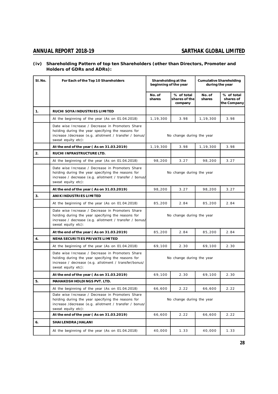# **SARTHAK GLOBAL LIMITED**

#### **(iv) Shareholding Pattern of top ten Shareholders (other than Directors, Promoter and Holders of GDRs and ADRs):**

| SI. No. | For Each of the Top 10 Shareholders                                                                                                                                                     | Shareholding at the<br>beginning of the year |                                        | <b>Cumulative Shareholding</b><br>during the year |                                        |
|---------|-----------------------------------------------------------------------------------------------------------------------------------------------------------------------------------------|----------------------------------------------|----------------------------------------|---------------------------------------------------|----------------------------------------|
|         |                                                                                                                                                                                         | No. of<br>shares                             | % of total<br>shares of the<br>company | No. of<br>shares                                  | % of total<br>shares of<br>the Company |
| 1.      | RUCHI SOYA INDUSTRIES LIMITED                                                                                                                                                           |                                              |                                        |                                                   |                                        |
|         | At the beginning of the year (As on 01.04.2018)                                                                                                                                         | 1,19,300                                     | 3.98                                   | 1,19,300                                          | 3.98                                   |
|         | Date wise Increase / Decrease in Promoters Share<br>holding during the year specifying the reasons for<br>increase /decrease (e.g. allotment / transfer / bonus/<br>sweat equity etc):  | No change during the year                    |                                        |                                                   |                                        |
|         | At the end of the year (As on 31.03.2019)                                                                                                                                               | 1,19,300<br>3.98                             |                                        | 1,19,300                                          | 3.98                                   |
| 2.      | <b>RUCHI INFRASTRUCTURE LTD.</b>                                                                                                                                                        |                                              |                                        |                                                   |                                        |
|         | At the beginning of the year (As on 01.04.2018)                                                                                                                                         | 98,200                                       | 3.27                                   | 98,200                                            | 3.27                                   |
|         | Date wise Increase / Decrease in Promoters Share<br>holding during the year specifying the reasons for<br>increase / decrease (e.g. allotment / transfer / bonus/<br>sweat equity etc): | No change during the year                    |                                        |                                                   |                                        |
|         | At the end of the year (As on 31.03.2019)                                                                                                                                               | 98,200                                       | 3.27                                   | 98,200                                            | 3.27                                   |
| 3.      | ANIK INDUSTRIES LIMITED                                                                                                                                                                 |                                              |                                        |                                                   |                                        |
|         | At the beginning of the year (As on 01.04.2018)                                                                                                                                         | 85,200                                       | 2.84                                   | 85,200                                            | 2.84                                   |
|         | Date wise Increase / Decrease in Promoters Share<br>holding during the year specifying the reasons for<br>increase / decrease (e.g. allotment / transfer / bonus/<br>sweat equity etc): | No change during the year                    |                                        |                                                   |                                        |
|         | At the end of the year (As on 31.03.2019)                                                                                                                                               | 85,200                                       | 2.84                                   | 85,200                                            | 2.84                                   |
| 4.      | NEHA SECURITIES PRIVATE LIMITED                                                                                                                                                         |                                              |                                        |                                                   |                                        |
|         | At the beginning of the year (As on 01.04.2018)                                                                                                                                         | 69,100                                       | 2.30                                   | 69,100                                            | 2.30                                   |
|         | Date wise Increase / Decrease in Promoters Share<br>holding during the year specifying the reasons for<br>increase / decrease (e.g. allotment / transfer/bonus/<br>sweat equity etc):   | No change during the year                    |                                        |                                                   |                                        |
|         | At the end of the year (As on 31.03.2019)                                                                                                                                               | 69,100                                       | 2.30                                   | 69,100                                            | 2.30                                   |
| 5.      | <b>MAHAKOSH HOLDINGS PVT. LTD.</b>                                                                                                                                                      |                                              |                                        |                                                   |                                        |
|         | At the beginning of the year (As on 01.04.2018)                                                                                                                                         | 66,600                                       | 2.22                                   | 66,600                                            | 2.22                                   |
|         | Date wise Increase / Decrease in Promoters Share<br>holding during the year specifying the reasons for<br>increase /decrease (e.g. allotment / transfer / bonus/<br>sweat equity etc):  | No change during the year                    |                                        |                                                   |                                        |
|         | At the end of the year (As on 31.03.2019)                                                                                                                                               | 66,600                                       | 2.22                                   | 66,600                                            | 2.22                                   |
| 6.      | SHAILENDRA JHALANI                                                                                                                                                                      |                                              |                                        |                                                   |                                        |
|         | At the beginning of the year (As on 01.04.2018)                                                                                                                                         | 40,000                                       | 1.33                                   | 40,000                                            | 1.33                                   |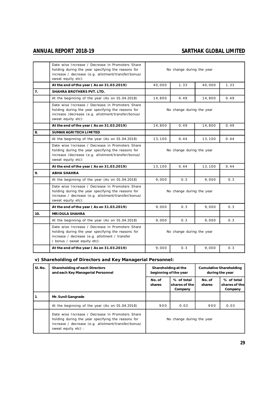# **SARTHAK GLOBAL LIMITED**

|     | Date wise Increase / Decrease in Promoters Share<br>holding during the year specifying the reasons for<br>increase / decrease (e.g. allotment/transfer/bonus/<br>sweat equity etc):      |                           | No change during the year |        |      |
|-----|------------------------------------------------------------------------------------------------------------------------------------------------------------------------------------------|---------------------------|---------------------------|--------|------|
|     | At the end of the year (As on 31.03.2019)                                                                                                                                                | 40,000                    | 1.33                      | 40,000 | 1.33 |
| 7.  | <b>SHAHRA BROTHERS PVT. LTD.</b>                                                                                                                                                         |                           |                           |        |      |
|     | At the beginning of the year (As on 01.04.2018)                                                                                                                                          | 14,800                    | 0.49                      | 14,800 | 0.49 |
|     | Date wise Increase / Decrease in Promoters Share<br>holding during the year specifying the reasons for<br>increase /decrease (e.g. allotment/transfer/bonus/<br>sweat equity etc):       | No change during the year |                           |        |      |
|     | At the end of the year (As on 31.03.2019)                                                                                                                                                | 14,800<br>0.49<br>14,800  |                           |        | 0.49 |
| 8.  | <b>SUMAN AGRITECH LIMITED</b>                                                                                                                                                            |                           |                           |        |      |
|     | At the beginning of the year (As on 01.04.2018)                                                                                                                                          | 13,100<br>0.44<br>13,100  |                           | 0.44   |      |
|     | Date wise Increase / Decrease in Promoters Share<br>holding during the year specifying the reasons for<br>increase /decrease (e.g. allotment/transfer/bonus/<br>sweat equity etc):       | No change during the year |                           |        |      |
|     | At the end of the year (As on 31.03.2019)                                                                                                                                                | 13,100                    | 0.44                      | 13,100 | 0.44 |
| 9.  | <b>ABHA SHAHRA</b>                                                                                                                                                                       |                           |                           |        |      |
|     | At the beginning of the year (As on 01.04.2018)                                                                                                                                          | 9,000                     | 0.3                       | 9.000  | 0.3  |
|     | Date wise Increase / Decrease in Promoters Share<br>holding during the year specifying the reasons for<br>increase / decrease (e.g. allotment/transfer/bonus/<br>sweat equity etc):      | No change during the year |                           |        |      |
|     | At the end of the year (As on 31.03.2019)                                                                                                                                                | 9.000                     | 0.3                       | 9.000  | 0.3  |
| 10. | <b>MRIDULA SHAHRA</b>                                                                                                                                                                    |                           |                           |        |      |
|     | At the beginning of the year (As on 01.04.2018)                                                                                                                                          | 9,000                     | 0.3                       | 9,000  | 0.3  |
|     | Date wise Increase / Decrease in Promoters Share<br>holding during the year specifying the reasons for<br>increase / decrease (e.g. allotment / transfer<br>/ bonus / sweat equity etc): | No change during the year |                           |        |      |
|     | At the end of the year (As on 31.03.2019)                                                                                                                                                | 9.000                     | 0.3                       | 9,000  | 0.3  |

## **v) Shareholding of Directors and Key Managerial Personnel:**

| SI. No. | Shareholding of each Directors<br>and each Key Managerial Personnel                                                                                                                 | Shareholding at the<br>beginning of the year |                                          | <b>Cumulative Shareholding</b><br>during the year |                                         |
|---------|-------------------------------------------------------------------------------------------------------------------------------------------------------------------------------------|----------------------------------------------|------------------------------------------|---------------------------------------------------|-----------------------------------------|
|         |                                                                                                                                                                                     | No. of<br>shares                             | % of total<br>shares of the l<br>Company | No. of<br>shares                                  | % of total<br>shares of thel<br>Company |
| 1.      | Mr. Sunil Gangrade                                                                                                                                                                  |                                              |                                          |                                                   |                                         |
|         | At the beginning of the year (As on 01.04.2018)                                                                                                                                     | 900                                          | 0.03                                     | 900                                               | 0.03                                    |
|         | Date wise Increase / Decrease in Promoters Share<br>holding during the year specifying the reasons for<br>increase / decrease (e.g. allotment/transfer/bonus/<br>sweat equity etc): | No change during the year                    |                                          |                                                   |                                         |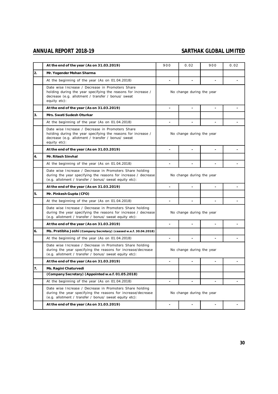# **SARTHAK GLOBAL LIMITED**

|    | At the end of the year (As on 31.03.2019)                                                                                                                                               | 900                       | 0.02                      | 900 | 0.02          |
|----|-----------------------------------------------------------------------------------------------------------------------------------------------------------------------------------------|---------------------------|---------------------------|-----|---------------|
| 2. | Mr. Yogender Mohan Sharma                                                                                                                                                               |                           |                           |     |               |
|    | At the beginning of the year (As on 01.04.2018)                                                                                                                                         |                           |                           |     |               |
|    | Date wise Increase / Decrease in Promoters Share<br>holding during the year specifying the reasons for increase /<br>decrease (e.g. allotment / transfer / bonus/ sweat<br>equity etc): | No change during the year |                           |     |               |
|    | At the end of the year (As on 31.03.2019)                                                                                                                                               |                           |                           |     |               |
| 3. | Mrs. Swati Sudesh Oturkar                                                                                                                                                               |                           |                           |     |               |
|    | At the beginning of the year (As on 01.04.2018)                                                                                                                                         |                           |                           |     |               |
|    | Date wise Increase / Decrease in Promoters Share<br>holding during the year specifying the reasons for increase /<br>decrease (e.g. allotment / transfer / bonus/ sweat<br>equity etc): |                           | No change during the year |     |               |
|    | At the end of the year (As on 31.03.2019)                                                                                                                                               |                           |                           |     |               |
| 4. | Mr. Ritesh Sinyhal                                                                                                                                                                      |                           |                           |     |               |
|    | At the beginning of the year (As on 01.04.2018)                                                                                                                                         |                           |                           |     |               |
|    | Date wise Increase / Decrease in Promoters Share holding<br>during the year specifying the reasons for increase / decrease<br>(e.g. allotment / transfer / bonus/ sweat equity etc):    | No change during the year |                           |     |               |
|    | At the end of the year (As on 31.03.2019)                                                                                                                                               |                           |                           |     |               |
| 5. | Mr. Pinkesh Gupta (CFO)                                                                                                                                                                 |                           |                           |     |               |
|    | At the beginning of the year (As on 01.04.2018)                                                                                                                                         |                           |                           |     |               |
|    | Date wise Increase / Decrease in Promoters Share holding<br>during the year specifying the reasons for increase / decrease<br>(e.g. allotment / transfer / bonus/ sweat equity etc):    |                           | No change during the year |     |               |
|    | At the end of the year (As on 31.03.2019)                                                                                                                                               |                           | $\overline{\phantom{a}}$  |     |               |
| 6. | Ms. Pratibha Joshi (Company Secretary) (ceased w.e.f. 30.04.2018)                                                                                                                       |                           |                           |     |               |
|    | At the beginning of the year (As on 01.04.2018)                                                                                                                                         |                           |                           |     |               |
|    | Date wise Increase / Decrease in Promoters Share holding<br>during the year specifying the reasons for increase/decrease<br>(e.g. allotment / transfer / bonus/ sweat equity etc):      | No change during the year |                           |     |               |
|    | At the end of the year (As on 31.03.2019)                                                                                                                                               |                           | $\blacksquare$            |     |               |
| 7. | Ms. Ragini Chaturvedi                                                                                                                                                                   |                           |                           |     |               |
|    | (Company Secretary) (Appointed w.e.f. 01.05.2018)                                                                                                                                       |                           |                           |     |               |
|    | At the beginning of the year (As on 01.04.2018)                                                                                                                                         | $\overline{\phantom{0}}$  | $\blacksquare$            |     | $\frac{1}{2}$ |
|    | Date wise Increase / Decrease in Promoters Share holding<br>during the year specifying the reasons for increase/decrease<br>(e.g. allotment / transfer / bonus/ sweat equity etc):      | No change during the year |                           |     |               |
|    | At the end of the year (As on 31.03.2019)                                                                                                                                               |                           |                           |     |               |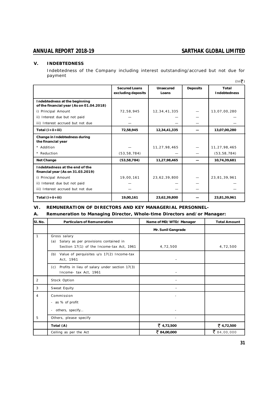### **SARTHAK GLOBAL LIMITED**

#### **V. INDEBTEDNESS**

Indebtedness of the Company including interest outstanding/accrued but not due for payment

|                                                                           |                                            |                    |                 | (In₹)                        |
|---------------------------------------------------------------------------|--------------------------------------------|--------------------|-----------------|------------------------------|
|                                                                           | <b>Secured Loans</b><br>excluding deposits | Unsecured<br>Loans | <b>Deposits</b> | Total<br><b>Indebtedness</b> |
| Indebtedness at the beginning<br>of the financial year (As on 01.04.2018) |                                            |                    |                 |                              |
| i) Principal Amount                                                       | 72,58,945                                  | 12, 34, 41, 335    |                 | 13,07,00,280                 |
| ii) Interest due but not paid                                             |                                            |                    |                 |                              |
| iii) Interest accrued but not due                                         |                                            |                    |                 |                              |
| Total (i+ii+iii)                                                          | 72,58,945                                  | 12,34,41,335       |                 | 13,07,00,280                 |
| Change in Indebtedness during<br>the financial year                       |                                            |                    |                 |                              |
| * Addition                                                                |                                            | 11,27,98,465       |                 | 11,27,98,465                 |
| * Reduction                                                               | (53, 58, 784)                              |                    |                 | (53, 58, 784)                |
| Net Change                                                                | (53, 58, 784)                              | 11,27,98,465       |                 | 10,74,39,681                 |
| Indebtedness at the end of the<br>financial year (As on 31.03.2019)       |                                            |                    |                 |                              |
| i) Principal Amount                                                       | 19,00,161                                  | 23,62,39,800       |                 | 23,81,39,961                 |
| ii) Interest due but not paid                                             |                                            |                    |                 |                              |
| iii) Interest accrued but not due                                         |                                            |                    |                 |                              |
| Total (i+ii+iii)                                                          | 19,00,161                                  | 23,62,39,800       |                 | 23,81,39,961                 |

#### **VI. REMUNERATION OF DIRECTORS AND KEY MANAGERIAL PERSONNEL-**

#### **A.** *Remuneration to Managing Director, Whole-time Directors and/or Manager:*

| SI. No.        | <b>Particulars of Remuneration</b>                                                                        | Name of MD/WTD/Manager   | <b>Total Amount</b> |
|----------------|-----------------------------------------------------------------------------------------------------------|--------------------------|---------------------|
|                |                                                                                                           | Mr. Sunil Gangrade       |                     |
| $\mathbf{1}$   | Gross salary<br>Salary as per provisions contained in<br>(a)<br>Section 17(1) of the Income-tax Act, 1961 | 4,72,500                 | 4,72,500            |
|                | Value of perquisites u/s 17(2) Income-tax<br>(b)<br>Act, 1961                                             | $\overline{\phantom{0}}$ |                     |
|                | Profits in lieu of salary under section 17(3)<br>(c)<br>Income- tax Act, 1961                             |                          |                     |
| $\overline{2}$ | Stock Option                                                                                              |                          |                     |
| 3              | Sweat Equity                                                                                              | ۰                        |                     |
| 4              | Commission<br>- as % of profit<br>others, specify<br>$\overline{\phantom{a}}$                             |                          |                     |
| 5              | Others, please specify                                                                                    |                          |                     |
|                | Total (A)                                                                                                 | ₹ 4,72,500               | ₹ 4,72,500          |
|                | Ceiling as per the Act                                                                                    | ₹84,00,000               | ₹ 84,00,000         |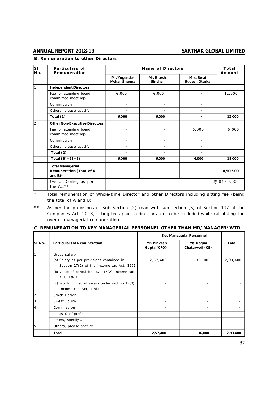#### **SARTHAK GLOBAL LIMITED**

#### *B. Remuneration to other Directors*

| $\overline{\mathsf{SI}.}$<br>No. | Particulars of<br>Name of Directors<br>Remuneration                      |                              |                       |                              | Total<br>Amount |
|----------------------------------|--------------------------------------------------------------------------|------------------------------|-----------------------|------------------------------|-----------------|
|                                  |                                                                          | Mr. Yogender<br>Mohan Sharma | Mr. Ritesh<br>Sinvhal | Mrs. Swati<br>Sudesh Oturkar |                 |
| $\vert$ 1                        | <b>Independent Directors</b>                                             |                              |                       |                              |                 |
|                                  | Fee for attending board<br>committee meetings                            | 6,000                        | 6,000                 |                              | 12,000          |
|                                  | Commission                                                               |                              |                       | ۰                            |                 |
|                                  | Others, please specify                                                   |                              |                       |                              |                 |
|                                  | Total (1)                                                                | 6,000                        | 6,000                 |                              | 12,000          |
| 2                                | <b>Other Non-Executive Directors</b>                                     |                              |                       |                              |                 |
|                                  | Fee for attending board<br>committee meetings                            |                              | ٠                     | 6,000                        | 6,000           |
|                                  | Commission                                                               |                              | ۰                     |                              |                 |
|                                  | Others, please specify                                                   |                              |                       |                              |                 |
|                                  | Total (2)                                                                | ٠                            | ۰                     | ٠                            |                 |
|                                  | Total $(B) = (1+2)$                                                      | 6,000                        | 6,000                 | 6,000                        | 18,000          |
|                                  | <b>Total Managerial</b><br><b>Remuneration (Total of A</b><br>and B) $*$ |                              |                       |                              | 4,90,500        |
|                                  | Overall Ceiling as per<br>the Act**                                      |                              |                       |                              | ₹ 84,00,000     |

\* Total remuneration of Whole-time Director and other Directors including sitting fee (being the total of A and B)

\*\* As per the provisions of Sub Section (2) read with sub section (5) of Section 197 of the Companies Act, 2013, sitting fees paid to directors are to be excluded while calculating the overall managerial remuneration.

#### **C. REMUNERATION TO KEY MANAGERIAL PERSONNEL OTHER THAN MD/MANAGER/WTD**

|         |                                                                                                        | Key Managerial Personnel   |                               |          |
|---------|--------------------------------------------------------------------------------------------------------|----------------------------|-------------------------------|----------|
| SI. No. | <b>Particulars of Remuneration</b>                                                                     | Mr. Pinkesh<br>Gupta (CFO) | Ms. Ragini<br>Chaturvedi (CS) | Total    |
| l1      | Gross salary<br>(a) Salary as per provisions contained in<br>Section 17(1) of the Income-tax Act, 1961 | 2,57,400                   | 36,000                        | 2,93,400 |
|         | (b) Value of perquisites u/s 17(2) Income-tax<br>Act, 1961                                             |                            |                               |          |
|         | (c) Profits in lieu of salary under section 17(3)<br>Income-tax Act, 1961                              |                            |                               |          |
| 2       | Stock Option                                                                                           |                            |                               |          |
| 3       | Sweat Equity                                                                                           |                            |                               |          |
| 4       | Commission                                                                                             |                            |                               |          |
|         | - as % of profit                                                                                       |                            |                               |          |
|         | others, specify                                                                                        |                            |                               |          |
| l5      | Others, please specify                                                                                 |                            |                               |          |
|         | <b>Total</b>                                                                                           | 2,57,400                   | 36,000                        | 2,93,400 |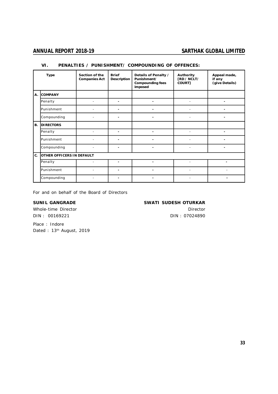|                                 | <b>Type</b>       | Section of the<br><b>Companies Act</b> | <b>Brief</b><br>Description | Details of Penalty /<br>Punishment/<br>Compounding fees<br>imposed | Authority<br>[RD / NCLT/<br>COURT1 | Appeal made,<br>if any<br>(give Details) |
|---------------------------------|-------------------|----------------------------------------|-----------------------------|--------------------------------------------------------------------|------------------------------------|------------------------------------------|
| Α.                              | <b>COMPANY</b>    |                                        |                             |                                                                    |                                    |                                          |
|                                 | Penalty           |                                        | ۰                           | ٠                                                                  |                                    |                                          |
|                                 | Punishment        |                                        |                             | ۰                                                                  | -                                  |                                          |
|                                 | Compounding       |                                        |                             |                                                                    |                                    |                                          |
| <b>B.</b>                       | <b>IDIRECTORS</b> |                                        |                             |                                                                    |                                    |                                          |
|                                 | Penalty           |                                        |                             | ۰                                                                  |                                    |                                          |
|                                 | Punishment        |                                        |                             |                                                                    |                                    |                                          |
|                                 | Compounding       |                                        | $\overline{\phantom{a}}$    | ٠                                                                  | $\overline{\phantom{a}}$           |                                          |
| C.<br>OTHER OFFICERS IN DEFAULT |                   |                                        |                             |                                                                    |                                    |                                          |
|                                 | Penalty           |                                        |                             |                                                                    |                                    |                                          |
|                                 | Punishment        |                                        | -                           | -                                                                  | -                                  |                                          |
|                                 | Compounding       |                                        |                             | ٠                                                                  |                                    |                                          |

### **VI. PENALTIES / PUNISHMENT/ COMPOUNDING OF OFFENCES:**

For and on behalf of the Board of Directors

#### **SUNIL GANGRADE SWATI SUDESH OTURKAR**

Whole-time Director **Director** Director DIN : 00169221 DIN : 07024890

Place : Indore Dated : 13<sup>th</sup> August, 2019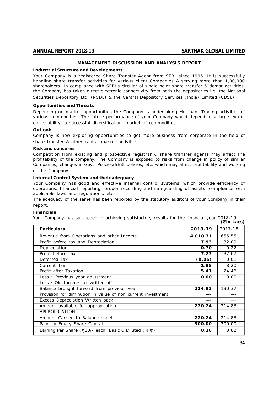#### **MANAGEMENT DISCUSSION AND ANALYSIS REPORT**

#### **Industrial Structure and Developments**

Your Company is a registered Share Transfer Agent from SEBI since 1995. It is successfully handling share transfer activities for various client Companies & serving more than 1,00,000 shareholders. In compliance with SEBI's circular of single point share transfer & demat activities, the Company has taken direct electronic connectivity from both the depositories i.e. the National Securities Depository Ltd. (NSDL) & the Central Depository Services (India) Limited (CDSL).

#### **Opportunities and Threats**

Depending on market opportunities the Company is undertaking Merchant Trading activities of various commodities. The future performance of your Company would depend to a large extent on its ability to successful diversification, market of commodities.

#### **Outlook**

Company is now exploring opportunities to get more business from corporate in the field of share transfer & other capital market activities.

#### **Risk and concerns**

Competition from existing and prospective registrar & share transfer agents may affect the profitability of the company. The Company is exposed to risks from change in policy of similar Companies; changes in Govt. Policies/SEBI policies, etc. which may affect profitability and working of the Company.

#### **Internal Control System and their adequacy**

Your Company has good and effective internal control systems, which provide efficiency of operations, financial reporting, proper recording and safeguarding of assets, compliance with applicable laws and regulations, etc.

The adequacy of the same has been reported by the statutory auditors of your Company in their report.

#### **Financials**

Your Company has succeeded in achieving satisfactory results for the financial year 2018-19:

|                                                             |          | (₹in Lacs) |
|-------------------------------------------------------------|----------|------------|
| <b>Particulars</b>                                          | 2018-19  | 2017-18    |
| Revenue from Operations and other Income                    | 4,018.71 | 655.55     |
| Profit before tax and Depreciation                          | 7.93     | 32.89      |
| Depreciation                                                | 0.70     | 0.22       |
| Profit before tax                                           | 7.23     | 32.67      |
| Deferred Tax                                                | (0.05)   | 0.01       |
| Current Tax                                                 | 1.88     | 8.20       |
| Profit after Taxation                                       | 5.41     | 24.46      |
| Less: Previous year adjustment                              | 0.00     | 0.00       |
| Less: Old Income tax written off                            |          |            |
| Balance brought forward from previous year                  | 214.83   | 190.37     |
| Provision for diminution in value of non current investment |          |            |
| Excess Depreciation Written back                            |          |            |
| Amount available for appropriation                          | 220.24   | 214.83     |
| <b>APPROPRIATION</b>                                        | --       |            |
| Amount Carried to Balance sheet                             | 220.24   | 214.83     |
| Paid Up Equity Share Capital                                | 300.00   | 300.00     |
| Earning Per Share (₹10/- each) Basic & Diluted (in ₹)       | 0.18     | 0.82       |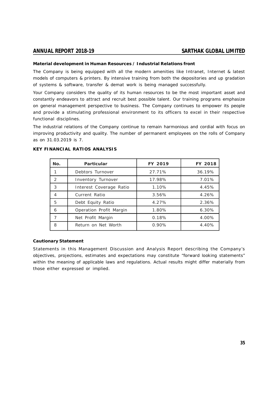#### **Material development in Human Resources / Industrial Relations front**

The Company is being equipped with all the modern amenities like Intranet, Internet & latest models of computers & printers. By intensive training from both the depositories and up gradation of systems & software, transfer & demat work is being managed successfully.

Your Company considers the quality of its human resources to be the most important asset and constantly endeavors to attract and recruit best possible talent. Our training programs emphasize on general management perspective to business. The Company continues to empower its people and provide a stimulating professional environment to its officers to excel in their respective functional disciplines.

The industrial relations of the Company continue to remain harmonious and cordial with focus on improving productivity and quality. The number of permanent employees on the rolls of Company as on 31.03.2019 is 7.

| No.            | <b>Particular</b>       | FY 2019 | FY 2018 |
|----------------|-------------------------|---------|---------|
|                | Debtors Turnover        | 27.71%  | 36.19%  |
| $\mathcal{P}$  | Inventory Turnover      | 17.98%  | 7.01%   |
| 3              | Interest Coverage Ratio | 1.10%   | 4.45%   |
| $\overline{4}$ | Current Ratio           | 3.56%   | 4.26%   |
| 5              | Debt Equity Ratio       | 4.27%   | 2.36%   |
| 6              | Operation Profit Margin | 1.80%   | 6.30%   |
| $\overline{7}$ | Net Profit Margin       | 0.18%   | 4.00%   |
| 8              | Return on Net Worth     | 0.90%   | 4.40%   |

#### **KEY FINANCIAL RATIOS ANALYSIS**

#### **Cautionary Statement**

Statements in this Management Discussion and Analysis Report describing the Company's objectives, projections, estimates and expectations may constitute "forward looking statements" within the meaning of applicable laws and regulations. Actual results might differ materially from those either expressed or implied.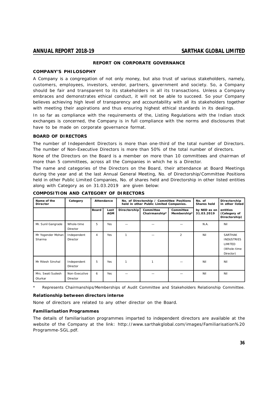#### **SARTHAK GLOBAL LIMITED**

#### **REPORT ON CORPORATE GOVERNANCE**

#### **COMPANY'S PHILOSOPHY**

A Company is a congregation of not only money, but also trust of various stakeholders, namely, customers, employees, investors, vendor, partners, government and society. So, a Company should be fair and transparent to its stakeholders in all its transactions. Unless a Company embraces and demonstrates ethical conduct, it will not be able to succeed. So your Company believes achieving high level of transparency and accountability with all its stakeholders together with meeting their aspirations and thus ensuring highest ethical standards in its dealings.

In so far as compliance with the requirements of the, Listing Regulations with the Indian stock exchanges is concerned, the Company is in full compliance with the norms and disclosures that have to be made on corporate governance format.

#### **BOARD OF DIRECTORS**

The number of Independent Directors is more than one-third of the total number of Directors. The number of Non-Executive Directors is more than 50% of the total number of directors.

None of the Directors on the Board is a member on more than 10 committees and chairman of more than 5 committees, across all the Companies in which he is a Director.

The name and categories of the Directors on the Board, their attendance at Board Meetings during the year and at the last Annual General Meeting, No. of Directorship/Committee Positions held in other Public Limited Companies, No. of shares held and Directorship in other listed entities along with Category as on 31.03.2019 are given below:

| Name of the<br><b>Director</b> | Category                  |                | Attendance         | No. of Directorship / Committee Positions<br>held in other Public Limited Companies. |                            | No. of<br><b>Shares held</b> | Directorship<br>in other listed |                                                                            |
|--------------------------------|---------------------------|----------------|--------------------|--------------------------------------------------------------------------------------|----------------------------|------------------------------|---------------------------------|----------------------------------------------------------------------------|
|                                |                           | Board          | Last<br><b>AGM</b> | Directorship                                                                         | Committee<br>Chairmanship* | Committee<br>Membership*     | by NED as on<br>31.03.2019      | entities<br>(Category of<br>Directorship)                                  |
| Mr. Sunil Gangrade             | Whole-time<br>Director    | 5              | Yes                |                                                                                      |                            |                              | N.A.                            | Nil                                                                        |
| Mr Yogender Mohan<br>Sharma    | Independent<br>Director   | $\overline{4}$ | Yes                | 1                                                                                    |                            | $\overline{a}$               | Nil                             | <b>SARTHAK</b><br><b>INDUSTRIES</b><br>LIMITED<br>(Whole-time<br>Director) |
| Mr Ritesh Sinvhal              | Independent<br>Director   | 5              | Yes                | 1                                                                                    |                            |                              | Nil                             | Nil                                                                        |
| Mrs. Swati Sudesh<br>Oturkar   | Non-Executive<br>Director | 6              | Yes                |                                                                                      |                            |                              | Nil                             | Nil                                                                        |

#### **COMPOSITION AND CATEGORY OF DIRECTORS**

*\* Represents Chairmanships/Memberships of Audit Committee and Stakeholders Relationship Committee.*

#### **Relationship between directors interse**

None of directors are related to any other director on the Board.

#### **Familiarisation Programmes**

The details of familiarisation programmes imparted to independent directors are available at the website of the Company at the link: http://www.sarthakglobal.com/images/Familiarisation%20 Programme-SGL.pdf.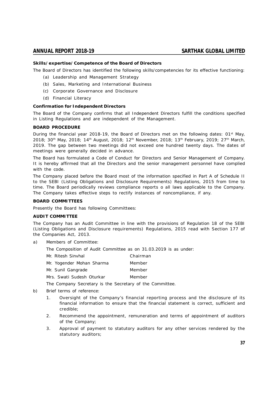#### **Skills/expertise/Competence of the Board of Directors**

The Board of Directors has identified the following skills/competencies for its effective functioning:

- (a) Leadership and Management Strategy
- (b) Sales, Marketing and International Business
- (c) Corporate Governance and Disclosure
- (d) Financial Literacy

#### **Confirmation for Independent Directors**

The Board of the Company confirms that all Independent Directors fulfill the conditions specified in Listing Regulations and are independent of the Management.

#### **BOARD PROCEDURE**

During the financial year 2018-19, the Board of Directors met on the following dates:  $01<sup>st</sup>$  May, 2018; 30<sup>th</sup> May, 2018; 14<sup>th</sup> August, 2018; 12<sup>th</sup> November, 2018; 13<sup>th</sup> February, 2019; 27<sup>th</sup> March, 2019. The gap between two meetings did not exceed one hundred twenty days. The dates of meetings were generally decided in advance.

The Board has formulated a Code of Conduct for Directors and Senior Management of Company. It is hereby affirmed that all the Directors and the senior management personnel have complied with the code.

The Company placed before the Board most of the information specified in Part A of Schedule II to the SEBI (Listing Obligations and Disclosure Requirements) Regulations, 2015 from time to time. The Board periodically reviews compliance reports o all laws applicable to the Company. The Company takes effective steps to rectify instances of noncompliance, if any.

#### **BOARD COMMITTEES**

Presently the Board has following Committees:

#### **AUDIT COMMITTEE**

The Company has an Audit Committee in line with the provisions of Regulation 18 of the SEBI (Listing Obligations and Disclosure requirements) Regulations, 2015 read with Section 177 of the Companies Act, 2013.

a) Members of Committee:

The Composition of Audit Committee as on 31.03.2019 is as under:

| Mr. Ritesh Sinyhal        | Chairman |
|---------------------------|----------|
| Mr. Yogender Mohan Sharma | Member   |
| Mr. Sunil Gangrade        | Member   |
| Mrs. Swati Sudesh Oturkar | Member   |

The Company Secretary is the Secretary of the Committee.

- b) Brief terms of reference:
	- 1. Oversight of the Company's financial reporting process and the disclosure of its financial information to ensure that the financial statement is correct, sufficient and credible;
	- 2. Recommend the appointment, remuneration and terms of appointment of auditors of the Company;
	- 3. Approval of payment to statutory auditors for any other services rendered by the statutory auditors;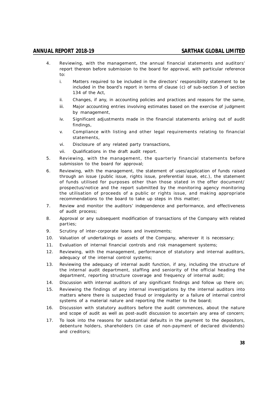- 4. Reviewing, with the management, the annual financial statements and auditors' report thereon before submission to the board for approval, with particular reference to:
	- i. Matters required to be included in the directors' responsibility statement to be included in the board's report in terms of clause (c) of sub-section 3 of section 134 of the Act,
	- ii. Changes, if any, in accounting policies and practices and reasons for the same,
	- iii. Major accounting entries involving estimates based on the exercise of judgment by management,
	- iv. Significant adjustments made in the financial statements arising out of audit findings,
	- v. Compliance with listing and other legal requirements relating to financial statements,
	- vi. Disclosure of any related party transactions,
	- vii. Qualifications in the draft audit report.
- 5. Reviewing, with the management, the quarterly financial statements before submission to the board for approval;
- 6. Reviewing, with the management, the statement of uses/application of funds raised through an issue (public issue, rights issue, preferential issue, etc.), the statement of funds utilised for purposes other than those stated in the offer document/ prospectus/notice and the report submitted by the monitoring agency monitoring the utilisation of proceeds of a public or rights issue, and making appropriate recommendations to the board to take up steps in this matter;
- 7. Review and monitor the auditors' independence and performance, and effectiveness of audit process;
- 8. Approval or any subsequent modification of transactions of the Company with related parties;
- 9. Scrutiny of inter-corporate loans and investments;
- 10. Valuation of undertakings or assets of the Company, wherever it is necessary;
- 11. Evaluation of internal financial controls and risk management systems;
- 12. Reviewing, with the management, performance of statutory and internal auditors, adequacy of the internal control systems;
- 13. Reviewing the adequacy of internal audit function, if any, including the structure of the internal audit department, staffing and seniority of the official heading the department, reporting structure coverage and frequency of internal audit;
- 14. Discussion with internal auditors of any significant findings and follow up there on;
- 15. Reviewing the findings of any internal investigations by the internal auditors into matters where there is suspected fraud or irregularity or a failure of internal control systems of a material nature and reporting the matter to the board;
- 16. Discussion with statutory auditors before the audit commences, about the nature and scope of audit as well as post-audit discussion to ascertain any area of concern;
- 17. To look into the reasons for substantial defaults in the payment to the depositors, debenture holders, shareholders (in case of non-payment of declared dividends) and creditors;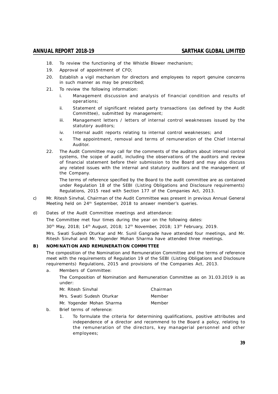- 18. To review the functioning of the Whistle Blower mechanism;
- 19. Approval of appointment of CFO;
- 20. Establish a vigil mechanism for directors and employees to report genuine concerns in such manner as may be prescribed;
- 21. To review the following information:
	- i. Management discussion and analysis of financial condition and results of operations;
	- ii. Statement of significant related party transactions (as defined by the Audit Committee), submitted by management;
	- iii. Management letters / letters of internal control weaknesses issued by the statutory auditors;
	- iv. Internal audit reports relating to internal control weaknesses; and
	- v. The appointment, removal and terms of remuneration of the Chief Internal Auditor.
- 22. The Audit Committee may call for the comments of the auditors about internal control systems, the scope of audit, including the observations of the auditors and review of financial statement before their submission to the Board and may also discuss any related issues with the internal and statutory auditors and the management of the Company.

The terms of reference specified by the Board to the audit committee are as contained under Regulation 18 of the SEBI (Listing Obligations and Disclosure requirements) Regulations, 2015 read with Section 177 of the Companies Act, 2013.

- c) Mr. Ritesh Sinvhal, Chairman of the Audit Committee was present in previous Annual General Meeting held on 24<sup>th</sup> September, 2018 to answer member's queries.
- d) Dates of the Audit Committee meetings and attendance:

The Committee met four times during the year on the following dates:

30<sup>th</sup> May, 2018; 14<sup>th</sup> August, 2018; 12<sup>th</sup> November, 2018; 13<sup>th</sup> February, 2019.

Mrs. Swati Sudesh Oturkar and Mr. Sunil Gangrade have attended four meetings, and Mr. Ritesh Sinvhal and Mr. Yogender Mohan Sharma have attended three meetings.

#### **B) NOMINATION AND REMUNERATION COMMITTEE**

The composition of the Nomination and Remuneration Committee and the terms of reference meet with the requirements of Regulation 19 of the SEBI (Listing Obligations and Disclosure requirements) Regulations, 2015 and provisions of the Companies Act, 2013.

a. Members of Committee:

The Composition of Nomination and Remuneration Committee as on 31.03.2019 is as under:

| Mr. Ritesh Sinyhal        | Chairman |
|---------------------------|----------|
| Mrs. Swati Sudesh Oturkar | Member   |
| Mr. Yogender Mohan Sharma | Member   |

- b. Brief terms of reference:
	- 1. To formulate the criteria for determining qualifications, positive attributes and independence of a director and recommend to the Board a policy, relating to the remuneration of the directors, key managerial personnel and other employees;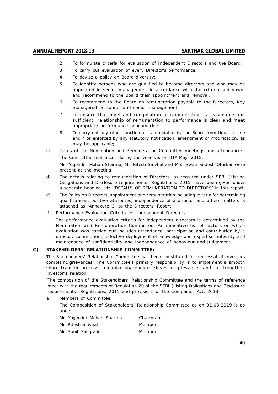- 2. To formulate criteria for evaluation of Independent Directors and the Board;
- 3. To carry out evaluation of every Director's performance;
- 4. To devise a policy on Board diversity;
- 5. To identify persons who are qualified to become directors and who may be appointed in senior management in accordance with the criteria laid down, and recommend to the Board their appointment and removal.
- 6. To recommend to the Board on remuneration payable to the Directors, Key managerial personnel and senior management.
- 7. To ensure that level and composition of remuneration is reasonable and sufficient, relationship of remuneration to performance is clear and meet appropriate performance benchmarks;
- 8. To carry out any other function as is mandated by the Board from time to time and / or enforced by any statutory notification, amendment or modification, as may be applicable;
- c) Dates of the Nomination and Remuneration Committee meetings and attendance:

The Committee met once during the year i.e. on 01<sup>st</sup> May, 2018.

Mr. Yogender Mohan Sharma, Mr. Ritesh Sinvhal and Mrs. Swati Sudesh Oturkar were present at the meeting.

- d) The details relating to remuneration of Directors, as required under SEBI (Listing Obligations and Disclosure requirements) Regulations, 2015, have been given under a separate heading, viz. 'DETAILS OF REMUNERATION TO DIRECTORS' in this report.
- e) The Policy on Directors' appointment and remuneration including criteria for determining qualifications, positive attributes, independence of a director and others matters is attached as "Annexure C" to the Directors' Report.
- f) Performance Evaluation Criteria for Independent Directors:

The performance evaluation criteria for independent directors is determined by the Nomination and Remuneration Committee. An indicative list of factors on which evaluation was carried out includes attendance, participation and contribution by a director, commitment, effective deployment of knowledge and expertise, integrity and maintenance of confidentiality and independence of behaviour and judgement.

#### **C) STAKEHOLDERS' RELATIONSHIP COMMITTEE:**

The Stakeholders' Relationship Committee has been constituted for redressal of investors complaint/grievances. The Committee's primary responsibility is to implement a smooth share transfer process, minimize shareholders/investor grievances and to strengthen investor's relation.

The composition of the Stakeholders' Relationship Committee and the terms of reference meet with the requirements of Regulation 20 of the SEBI (Listing Obligations and Disclosure requirements) Regulations, 2015 and provisions of the Companies Act, 2013.

a) Members of Committee:

The Composition of Stakeholders' Relationship Committee as on 31.03.2019 is as under:

- Mr. Yogender Mohan Sharma Chairman
- Mr. Ritesh Sinvhal Member
- Mr. Sunil Gangrade Member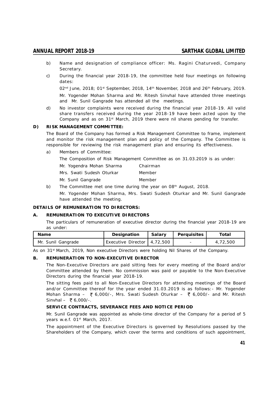- b) Name and designation of compliance officer: Ms. Ragini Chaturvedi, Company Secretary.
- c) During the financial year 2018-19, the committee held four meetings on following dates:

02<sup>nd</sup> June, 2018; 01<sup>st</sup> September, 2018, 14<sup>th</sup> November, 2018 and 26<sup>th</sup> February, 2019. Mr. Yogender Mohan Sharma and Mr. Ritesh Sinvhal have attended three meetings and Mr. Sunil Gangrade has attended all the meetings.

d) No investor complaints were received during the financial year 2018-19. All valid share transfers received during the year 2018-19 have been acted upon by the Company and as on 31<sup>st</sup> March, 2019 there were nil shares pending for transfer.

#### **D) RISK MANAGEMENT COMMITTEE:**

The Board of the Company has formed a Risk Management Committee to frame, implement and monitor the risk management plan and policy of the Company. The Committee is responsible for reviewing the risk management plan and ensuring its effectiveness.

a) Members of Committee:

The Composition of Risk Management Committee as on 31.03.2019 is as under:

| Mr. Yogendra Mohan Sharma | Chairman |
|---------------------------|----------|
| Mrs. Swati Sudesh Oturkar | Member   |
| Mr. Sunil Gangrade        | Member   |

b) The Committee met one time during the year on 08<sup>th</sup> August, 2018. Mr. Yogender Mohan Sharma, Mrs. Swati Sudesh Oturkar and Mr. Sunil Gangrade have attended the meeting.

#### **DETAILS OF REMUNERATION TO DIRECTORS:**

#### **A. REMUNERATION TO EXECUTIVE DIRECTORS**

The particulars of remuneration of executive director during the financial year 2018-19 are as under:

| <b>Name</b>        | Designation                   | Salary | Perauisites | Total    |
|--------------------|-------------------------------|--------|-------------|----------|
| Mr. Sunil Gangrade | Executive Director   4,72,500 |        |             | 4,72,500 |

As on 31<sup>st</sup> March, 2019, Non executive Directors were holding Nil Shares of the Company.

#### **B. REMUNERATION TO NON-EXECUTIVE DIRECTOR**

The Non-Executive Directors are paid sitting fees for every meeting of the Board and/or Committee attended by them. No commission was paid or payable to the Non-Executive Directors during the financial year 2018-19.

The sitting fees paid to all Non-Executive Directors for attending meetings of the Board and/or Committee thereof for the year ended 31.03.2019 is as follows:- Mr. Yogender Mohan Sharma -  $\bar{\xi}$  6,000/-, Mrs. Swati Sudesh Oturkar -  $\bar{\xi}$  6,000/- and Mr. Ritesh Sinvhal – ₹ 6,000/-.

#### **SERVICE CONTRACTS, SEVERANCE FEES AND NOTICE PERIOD**

Mr. Sunil Gangrade was appointed as whole-time director of the Company for a period of 5 years w.e.f. 01<sup>st</sup> March, 2017.

The appointment of the Executive Directors is governed by Resolutions passed by the Shareholders of the Company, which cover the terms and conditions of such appointment,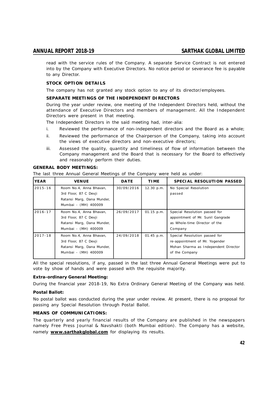read with the service rules of the Company. A separate Service Contract is not entered into by the Company with Executive Directors. No notice period or severance fee is payable to any Director.

#### **STOCK OPTION DETAILS**

The company has not granted any stock option to any of its director/employees.

#### **SEPARATE MEETINGS OF THE INDEPENDENT DIRECTORS**

During the year under review, one meeting of the Independent Directors held, without the attendance of Executive Directors and members of management. All the Independent Directors were present in that meeting.

The Independent Directors in the said meeting had, inter-alia:

- i. Reviewed the performance of non-independent directors and the Board as a whole;
- ii. Reviewed the performance of the Chairperson of the Company, taking into account the views of executive directors and non-executive directors;
- iii. Assessed the quality, quantity and timeliness of flow of information between the Company management and the Board that is necessary for the Board to effectively and reasonably perform their duties.

#### **GENERAL BODY MEETINGS:**

The last three Annual General Meetings of the Company were held as under:

| <b>YEAR</b> | <b>VENUE</b>                                                                                           | <b>DATE</b> | TIME         | SPECIAL RESOLUTION PASSED                                                                                                 |
|-------------|--------------------------------------------------------------------------------------------------------|-------------|--------------|---------------------------------------------------------------------------------------------------------------------------|
| $2015 - 16$ | Room No.4, Anna Bhavan,<br>3rd Floor, 87 C Devii<br>Ratansi Marg, Dana Munder,<br>Mumbai - (MH) 400009 | 30/09/2016  | 12.30 p.m.   | No Special Resolution<br>passed                                                                                           |
| $2016 - 17$ | Room No.4, Anna Bhavan,<br>3rd Floor, 87 C Devii<br>Ratansi Marg, Dana Munder,<br>Mumbai - (MH) 400009 | 26/09/2017  | $01.15$ p.m. | Special Resolution passed for<br>appointment of Mr. Sunil Gangrade<br>as Whole-time Director of the<br>Company            |
| 2017-18     | Room No.4, Anna Bhavan,<br>3rd Floor, 87 C Devii<br>Ratansi Marg, Dana Munder,<br>Mumbai - (MH) 400009 | 24/09/2018  | 01.45 p.m.   | Special Resolution passed for<br>re-appointment of Mr. Yogender<br>Mohan Sharma as Independent Director<br>of the Company |

All the special resolutions, if any, passed in the last three Annual General Meetings were put to vote by show of hands and were passed with the requisite majority.

#### **Extra-ordinary General Meeting:**

During the financial year 2018-19, No Extra Ordinary General Meeting of the Company was held.

#### **Postal Ballot:**

No postal ballot was conducted during the year under review. At present, there is no proposal for passing any Special Resolution through Postal Ballot.

#### **MEANS OF COMMUNICATIONS:**

The quarterly and yearly financial results of the Company are published in the newspapers namely Free Press Journal & Navshakti (both Mumbai edition). The Company has a website, namely *www.sarthakglobal.com* for displaying its results.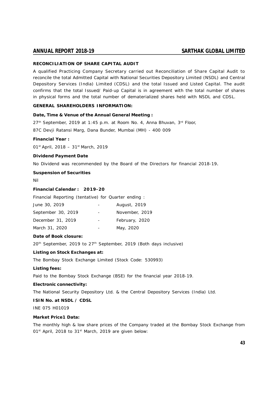#### **SARTHAK GLOBAL LIMITED**

#### **RECONCILIATION OF SHARE CAPITAL AUDIT**

A qualified Practicing Company Secretary carried out Reconciliation of Share Capital Audit to reconcile the total Admitted Capital with National Securities Depository Limited (NSDL) and Central Depository Services (India) Limited (CDSL) and the total Issued and Listed Capital. The audit confirms that the total Issued/ Paid-up Capital is in agreement with the total number of shares in physical forms and the total number of dematerialized shares held with NSDL and CDSL.

#### **GENERAL SHAREHOLDERS INFORMATION:**

#### **Date, Time & Venue of the Annual General Meeting :**

27<sup>th</sup> September, 2019 at 1:45 p.m. at Room No. 4, Anna Bhuvan, 3<sup>rd</sup> Floor,

87C Devji Ratansi Marg, Dana Bunder, Mumbai (MH) - 400 009

#### **Financial Year :**

01st April, 2018 - 31st March, 2019

#### **Dividend Payment Date**

No Dividend was recommended by the Board of the Directors for financial 2018-19.

#### **Suspension of Securities**

Nil

#### **Financial Calendar : 2019-20**

Financial Reporting (tentative) for Quarter ending :

| June 30, 2019      |    | August, 2019   |
|--------------------|----|----------------|
| September 30, 2019 |    | November, 2019 |
| December 31, 2019  |    | February, 2020 |
| March 31, 2020     | ۰. | May, 2020      |

#### **Date of Book closure:**

20<sup>th</sup> September, 2019 to 27<sup>th</sup> September, 2019 (Both days inclusive)

#### **Listing on Stock Exchanges at:**

The Bombay Stock Exchange Limited (Stock Code: 530993)

#### **Listing fees:**

Paid to the Bombay Stock Exchange (BSE) for the financial year 2018-19.

#### **Electronic connectivity:**

The National Security Depository Ltd. & the Central Depository Services (India) Ltd.

#### **ISIN No. at NSDL / CDSL**

INE 075 H01019

#### **Market Price1 Data:**

The monthly high & low share prices of the Company traded at the Bombay Stock Exchange from 01<sup>st</sup> April, 2018 to 31<sup>st</sup> March, 2019 are given below: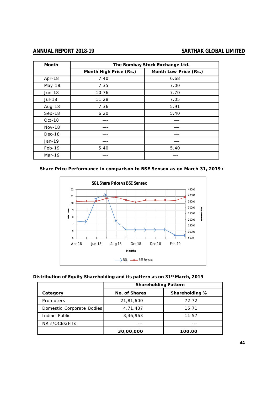# **SARTHAK GLOBAL LIMITED**

| <b>Month</b><br>The Bombay Stock Exchange Ltd. |                        |                       |  |
|------------------------------------------------|------------------------|-----------------------|--|
|                                                | Month High Price (Rs.) | Month Low Price (Rs.) |  |
| Apr-18                                         | 7.40                   | 6.68                  |  |
| May-18                                         | 7.35                   | 7.00                  |  |
| $Jun-18$                                       | 10.76                  | 7.70                  |  |
| Jul-18                                         | 11.28                  | 7.05                  |  |
| Aug-18                                         | 7.36                   | 5.91                  |  |
| $Sep-18$                                       | 6.20                   | 5.40                  |  |
| Oct-18                                         |                        |                       |  |
| <b>Nov-18</b>                                  |                        |                       |  |
| $Dec-18$                                       |                        |                       |  |
| $Jan-19$                                       |                        |                       |  |
| $Feb-19$                                       | 5.40                   | 5.40                  |  |
| Mar-19                                         |                        |                       |  |

#### **Share Price Performance in comparison to BSE Sensex as on March 31, 2019 :**



#### **Distribution of Equity Shareholding and its pattern as on 31st March, 2019**

|                           | <b>Shareholding Pattern</b> |                |  |
|---------------------------|-----------------------------|----------------|--|
| Category                  | No. of Shares               | Shareholding % |  |
| Promoters                 | 21,81,600                   | 72.72          |  |
| Domestic Corporate Bodies | 4,71,437                    | 15.71          |  |
| Indian Public             | 3,46,963                    | 11.57          |  |
| NRIS/OCBS/FIIS            |                             |                |  |
|                           | 30,00,000                   | 100.00         |  |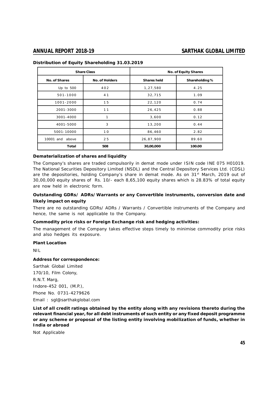#### **SARTHAK GLOBAL LIMITED**

|                                 | <b>Share Class</b> | No. of Equity Shares |                |  |
|---------------------------------|--------------------|----------------------|----------------|--|
| No. of Shares<br>No. of Holders |                    | Shares held          | Shareholding % |  |
| Up to 500                       | 402                | 1,27,580             | 4.25           |  |
| 501-1000                        | 41                 | 32,715               | 1.09           |  |
| 1001-2000                       | 15                 | 22,120               | 0.74           |  |
| 2001-3000                       | 11                 | 26,425               | 0.88           |  |
| 3001-4000                       | $\mathbf{1}$       | 3,600                | 0.12           |  |
| 4001-5000                       | 3                  | 13,200               | 0.44           |  |
| 5001-10000                      | 10                 | 86,460               | 2.82           |  |
| 10001 and above                 | 25                 | 26,87,900            | 89.60          |  |
| <b>Total</b>                    | 508                | 30,00,000            | 100.00         |  |

#### **Distribution of Equity Shareholding 31.03.2019**

#### **Dematerialization of shares and liquidity**

The Company's shares are traded compulsorily in demat mode under ISIN code INE 075 H01019. The National Securities Depository Limited (NSDL) and the Central Depository Services Ltd. (CDSL) are the depositories, holding Company's share in demat mode. As on  $31<sup>st</sup>$  March, 2019 out of 30,00,000 equity shares of Rs. 10/- each 8,65,100 equity shares which is 28.83% of total equity are now held in electronic form.

#### **Outstanding GDRs/ ADRs/Warrants or any Convertible instruments, conversion date and likely impact on equity**

There are no outstanding GDRs/ ADRs / Warrants / Convertible instruments of the Company and hence, the same is not applicable to the Company.

#### **Commodity price risks or Foreign Exchange risk and hedging activities:**

The management of the Company takes effective steps timely to minimise commodity price risks and also hedges its exposure.

#### **Plant Location**

NIL

#### **Address for correspondence:**

Sarthak Global Limited 170/10, Film Colony, R.N.T. Marg, Indore-452 001, (M.P.), Phone No. 0731-4279626 Email : sgl@sarthakglobal.com

**List of all credit ratings obtained by the entity along with any revisions thereto during the relevant financial year, for all debt instruments of such entity or any fixed deposit programme or any scheme or proposal of the listing entity involving mobilization of funds, whether in India or abroad**

Not Applicable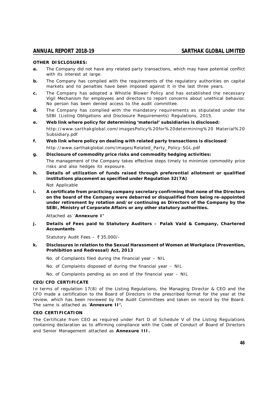#### **OTHER DISCLOSURES:**

- **a.** The Company did not have any related party transactions, which may have potential conflict with its interest at large.
- **b.** The Company has complied with the requirements of the requiatory authorities on capital markets and no penalties have been imposed against it in the last three years.
- **c.** The Company has adopted a Whistle Blower Policy and has established the necessary Vigil Mechanism for employees and directors to report concerns about unethical behavior. No person has been denied access to the audit committee.
- **d.** The Company has complied with the mandatory requirements as stipulated under the SEBI (Listing Obligations and Disclosure Requirements) Regulations, 2015.
- **e. Web link where policy for determining 'material' subsidiaries is disclosed:** http://www.sarthakglobal.com/imagesPolicy%20for%20determining%20 Material%20 Subsidiary.pdf
- **f. Web link where policy on dealing with related party transactions is disclosed**: http://www.sarthakglobal.com/images/Related\_Party\_Policy-SGL.pdf
- **g. Disclosure of commodity price risks and commodity hedging activities:** The management of the Company takes effective steps timely to minimize commodity price risks and also hedges its exposure.
- **h. Details of utilization of funds raised through preferential allotment or qualified institutions placement as specified under Regulation 32(7A)** Not Applicable
- **i. A certificate from practicing company secretary confirming that none of the Directors on the board of the Company were debarred or disqualified from being re-appointed under retirement by rotation and/or continuing as Directors of the Company by the SEBI, Ministry of Corporate Affairs or any other statutory authorities.**

Attached as '*Annexure I'*

**j. Details of Fees paid to Statutory Auditors – Palak Vaid & Company, Chartered Accountants**

Statutory Audit Fees  $-$  ₹ 35,000/-

**k. Disclosures in relation to the Sexual Harassment of Women at Workplace (Prevention, Prohibition and Redressal) Act, 2013**

No. of Complaints filed during the financial year – NIL

- No. of Complaints disposed of during the financial year NIL
- No. of Complaints pending as on end of the financial year NIL

#### **CEO/CFO CERTIFICATE**

In terms of regulation 17(8) of the Listing Regulations, the Managing Director & CEO and the CFO made a certification to the Board of Directors in the prescribed format for the year at the review, which has been reviewed by the Audit Committees and taken on record by the Board. The same is attached as '*Annexure II'.*

#### **CEO CERTIFICATION**

The Certificate from CEO as required under Part D of Schedule V of the Listing Regulations containing declaration as to affirming compliance with the Code of Conduct of Board of Directors and Senior Management attached as *Annexure III.*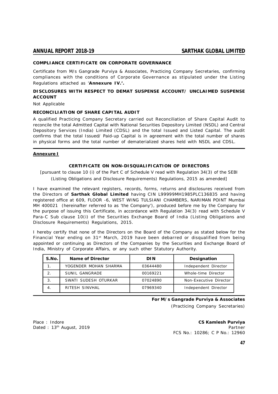#### **COMPLIANCE CERTIFICATE ON CORPORATE GOVERNANCE**

Certificate from M/s Gangrade Purviya & Associates, Practicing Company Secretaries, confirming compliances with the conditions of Corporate Governance as stipulated under the Listing Regulations attached as '*Annexure IV.'.*

#### **DISCLOSURES WITH RESPECT TO DEMAT SUSPENSE ACCOUNT/ UNCLAIMED SUSPENSE ACCOUNT**

Not Applicable

#### **RECONCILIATION OF SHARE CAPITAL AUDIT**

A qualified Practicing Company Secretary carried out Reconciliation of Share Capital Audit to reconcile the total Admitted Capital with National Securities Depository Limited (NSDL) and Central Depository Services (India) Limited (CDSL) and the total Issued and Listed Capital. The audit confirms that the total Issued/ Paid-up Capital is in agreement with the total number of shares in physical forms and the total number of dematerialized shares held with NSDL and CDSL.

#### **Annexure I**

#### **CERTIFICATE ON NON-DISQUALIFICATION OF DIRECTORS**

*[pursuant to clause 10 (i) of the Part C of Schedule V read with Regulation 34(3) of the SEBI (Listing Obligations and Disclosure Requirements) Regulations, 2015 as amended]*

I have examined the relevant registers, records, forms, returns and disclosures received from the Directors of **Sarthak Global Limited** having CIN L99999MH1985PLC136835 and having registered office at 609, FLOOR -6, WEST WING TULSIANI CHAMBERS, NARIMAN POINT Mumbai MH 400021 (hereinafter referred to as 'the Company'), produced before me by the Company for the purpose of issuing this Certificate, in accordance with Regulation 34(3) read with Schedule V Para-C Sub clause 10(i) of the Securities Exchange Board of India (Listing Obligations and Disclosure Requirements) Regulations, 2015.

I hereby certify that none of the Directors on the Board of the Company as stated below for the Financial Year ending on 31st March, 2019 have been debarred or disqualified from being appointed or continuing as Directors of the Companies by the Securities and Exchange Board of India, Ministry of Corporate Affairs, or any such other Statutory Authority.

| S.No. | Name of Director      | <b>DIN</b> | Designation            |
|-------|-----------------------|------------|------------------------|
|       | YOGENDER MOHAN SHARMA | 03644480   | Independent Director   |
| 2.    | SUNIL GANGRADE        | 00169221   | Whole-time Director    |
|       | SWATI SUDESH OTURKAR  | 07024890   | Non-Executive Director |
| -4.   | RITESH SINVHAL        | 07969340   | Independent Director   |

**For M/s Gangrade Purviya & Associates**

(Practicing Company Secretaries)

Place : Indore **CS Kamlesh Purviya** Dated : 13<sup>th</sup> August, 2019 **Partner** Partner Partner Partner Partner Partner Partner FCS No.: 10286; C P No.: 12960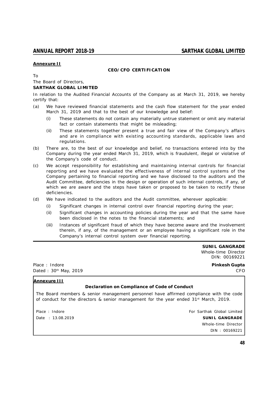#### **Annexure II**

#### **CEO/CFO CERTIFICATION**

To

The Board of Directors,

# **SARTHAK GLOBAL LIMITED**

In relation to the Audited Financial Accounts of the Company as at March 31, 2019, we hereby certify that:

- (a) We have reviewed financial statements and the cash flow statement for the year ended March 31, 2019 and that to the best of our knowledge and belief:
	- (i) These statements do not contain any materially untrue statement or omit any material fact or contain statements that might be misleading;
	- (ii) These statements together present a true and fair view of the Company's affairs and are in compliance with existing accounting standards, applicable laws and regulations.
- (b) There are, to the best of our knowledge and belief, no transactions entered into by the Company during the year ended March 31, 2019, which is fraudulent, illegal or violative of the Company's code of conduct.
- (c) We accept responsibility for establishing and maintaining internal controls for financial reporting and we have evaluated the effectiveness of internal control systems of the Company pertaining to financial reporting and we have disclosed to the auditors and the Audit Committee, deficiencies in the design or operation of such internal controls, if any, of which we are aware and the steps have taken or proposed to be taken to rectify these deficiencies.
- (d) We have indicated to the auditors and the Audit committee, wherever applicable:
	- (i) Significant changes in internal control over financial reporting during the year;
	- (ii) Significant changes in accounting policies during the year and that the same have been disclosed in the notes to the financial statements; and
	- (iii) Instances of significant fraud of which they have become aware and the involvement therein, if any, of the management or an employee having a significant role in the Company's internal control system over financial reporting.

**SUNIL GANGRADE** Whole-time Director DIN: 00169221

Place : Indore **Pinkesh Gupta**

Dated : 30<sup>th</sup> May, 2019 **CFO** 

# **Annexure III Declaration on Compliance of Code of Conduct** The Board members & senior management personnel have affirmed compliance with the code of conduct for the directors & senior management for the year ended 31<sup>st</sup> March, 2019. Place : Indore For Sarthak Global Limited Date : 13.08.2019 **SUNIL GANGRADE** Whole-time Director DIN : 00169221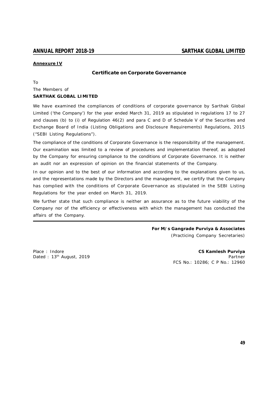#### **Annexure IV**

#### **Certificate on Corporate Governance**

# To The Members of **SARTHAK GLOBAL LIMITED**

We have examined the compliances of conditions of corporate governance by Sarthak Global Limited ('the Company') for the year ended March 31, 2019 as stipulated in regulations 17 to 27 and clauses (b) to (i) of Regulation 46(2) and para C and D of Schedule V of the Securities and Exchange Board of India (Listing Obligations and Disclosure Requirements) Regulations, 2015 ("SEBI Listing Regulations").

The compliance of the conditions of Corporate Governance is the responsibility of the management. Our examination was limited to a review of procedures and implementation thereof, as adopted by the Company for ensuring compliance to the conditions of Corporate Governance. It is neither an audit nor an expression of opinion on the financial statements of the Company.

In our opinion and to the best of our information and according to the explanations given to us, and the representations made by the Directors and the management, we certify that the Company has complied with the conditions of Corporate Governance as stipulated in the SEBI Listing Regulations for the year ended on March 31, 2019.

We further state that such compliance is neither an assurance as to the future viability of the Company nor of the efficiency or effectiveness with which the management has conducted the affairs of the Company.

> **For M/s Gangrade Purviya & Associates** (Practicing Company Secretaries)

Place : Indore **CS Kamlesh Purviya** Dated : 13<sup>th</sup> August, 2019 **Partner** FCS No.: 10286; C P No.: 12960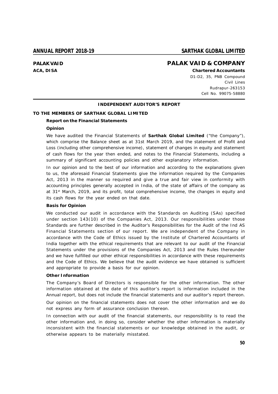# **PALAK VAID PALAK VAID & COMPANY**

**ACA, DISA Chartered Accountants**

D1-D2, 35, PNB Compound Civil Lines Rudrapur-263153 Cell No. 99075-58880

#### **INDEPENDENT AUDITOR'S REPORT**

#### **TO THE MEMBERS OF SARTHAK GLOBAL LIMITED**

#### **Report on the Financial Statements**

#### **Opinion**

We have audited the Financial Statements of **Sarthak Global Limited** ("the Company"), which comprise the Balance sheet as at 31st March 2019, and the statement of Profit and Loss (including other comprehensive income), statement of changes in equity and statement of cash flows for the year then ended, and notes to the Financial Statements, including a summary of significant accounting policies and other explanatory information.

In our opinion and to the best of our information and according to the explanations given to us, the aforesaid Financial Statements give the information required by the Companies Act, 2013 in the manner so required and give a true and fair view in conformity with accounting principles generally accepted in India, of the state of affairs of the company as at 31<sup>st</sup> March, 2019, and its profit, total comprehensive income, the changes in equity and its cash flows for the year ended on that date.

#### **Basis for Opinion**

We conducted our audit in accordance with the Standards on Auditing (SAs) specified under section 143(10) of the Companies Act, 2013. Our responsibilities under those Standards are further described in the *Auditor's Responsibilities for the Audit of the Ind AS Financial Statements* section of our report. We are independent of the Company in accordance with the *Code of Ethics* issued by the Institute of Chartered Accountants of India together with the ethical requirements that are relevant to our audit of the Financial Statements under the provisions of the Companies Act, 2013 and the Rules thereunder and we have fulfilled our other ethical responsibilities in accordance with these requirements and the Code of Ethics. We believe that the audit evidence we have obtained is sufficient and appropriate to provide a basis for our opinion.

#### **Other Information**

The Company's Board of Directors is responsible for the other information. The other information obtained at the date of this auditor's report is information included in the Annual report, but does not include the financial statements and our auditor's report thereon.

Our opinion on the financial statements does not cover the other information and we do not express any form of assurance conclusion thereon.

In connection with our audit of the financial statements, our responsibility is to read the other information and, in doing so, consider whether the other information is materially inconsistent with the financial statements or our knowledge obtained in the audit, or otherwise appears to be materially misstated.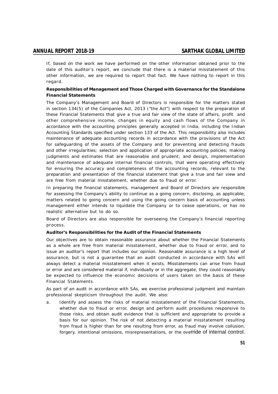If, based on the work we have performed on the other information obtained prior to the date of this auditor's report, we conclude that there is a material misstatement of this other information, we are required to report that fact. We have nothing to report in this regard.

#### **Responsibilities of Management and Those Charged with Governance for the Standalone Financial Statements**

The Company's Management and Board of Directors is responsible for the matters stated in section 134(5) of the Companies Act, 2013 ("the Act") with respect to the preparation of these Financial Statements that give a true and fair view of the state of affairs, profit and other comprehensive income, changes in equity and cash flows of the Company in accordance with the accounting principles generally accepted in India, including the Indian Accounting Standards specified under section 133 of the Act. This responsibility also includes maintenance of adequate accounting records in accordance with the provisions of the Act for safeguarding of the assets of the Company and for preventing and detecting frauds and other irregularities; selection and application of appropriate accounting policies; making judgments and estimates that are reasonable and prudent; and design, implementation and maintenance of adequate internal financial controls, that were operating effectively for ensuring the accuracy and completeness of the accounting records, relevant to the preparation and presentation of the financial statement that give a true and fair view and are free from material misstatement, whether due to fraud or error.

In preparing the financial statements, management and Board of Directors are responsible for assessing the Company's ability to continue as a going concern, disclosing, as applicable, matters related to going concern and using the going concern basis of accounting unless management either intends to liquidate the Company or to cease operations, or has no realistic alternative but to do so.

Board of Directors are also responsible for overseeing the Company's financial reporting process.

#### **Auditor's Responsibilities for the Audit of the Financial Statements**

Our objectives are to obtain reasonable assurance about whether the Financial Statements as a whole are free from material misstatement, whether due to fraud or error, and to issue an auditor's report that includes our opinion. Reasonable assurance is a high level of assurance, but is not a guarantee that an audit conducted in accordance with SAs will always detect a material misstatement when it exists. Misstatements can arise from fraud or error and are considered material if, individually or in the aggregate, they could reasonably be expected to influence the economic decisions of users taken on the basis of these Financial Statements.

As part of an audit in accordance with SAs, we exercise professional judgment and maintain professional skepticism throughout the audit. We also:

a. Identify and assess the risks of material misstatement of the Financial Statements, whether due to fraud or error, design and perform audit procedures responsive to those risks, and obtain audit evidence that is sufficient and appropriate to provide a basis for our opinion. The risk of not detecting a material misstatement resulting from fraud is higher than for one resulting from error, as fraud may involve collusion, forgery, intentional omissions, misrepresentations, or the override of internal control.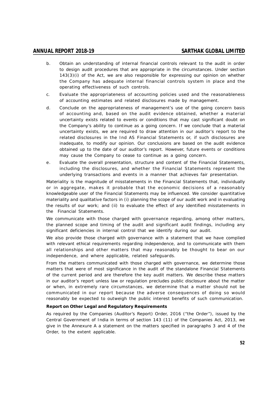- b. Obtain an understanding of internal financial controls relevant to the audit in order to design audit procedures that are appropriate in the circumstances. Under section 143(3)(i) of the Act, we are also responsible for expressing our opinion on whether the Company has adequate internal financial controls system in place and the operating effectiveness of such controls.
- c. Evaluate the appropriateness of accounting policies used and the reasonableness of accounting estimates and related disclosures made by management.
- d. Conclude on the appropriateness of management's use of the going concern basis of accounting and, based on the audit evidence obtained, whether a material uncertainty exists related to events or conditions that may cast significant doubt on the Company's ability to continue as a going concern. If we conclude that a material uncertainty exists, we are required to draw attention in our auditor's report to the related disclosures in the Ind AS Financial Statements or, if such disclosures are inadequate, to modify our opinion. Our conclusions are based on the audit evidence obtained up to the date of our auditor's report. However, future events or conditions may cause the Company to cease to continue as a going concern.
- e. Evaluate the overall presentation, structure and content of the Financial Statements, including the disclosures, and whether the Financial Statements represent the underlying transactions and events in a manner that achieves fair presentation.

Materiality is the magnitude of misstatements in the Financial Statements that, individually or in aggregate, makes it probable that the economic decisions of a reasonably knowledgeable user of the Financial Statements may be influenced. We consider quantitative materiality and qualitative factors in (i) planning the scope of our audit work and in evaluating the results of our work; and (ii) to evaluate the effect of any identified misstatements in the Financial Statements.

We communicate with those charged with governance regarding, among other matters, the planned scope and timing of the audit and significant audit findings, including any significant deficiencies in internal control that we identify during our audit.

We also provide those charged with governance with a statement that we have complied with relevant ethical requirements regarding independence, and to communicate with them all relationships and other matters that may reasonably be thought to bear on our independence, and where applicable, related safeguards.

From the matters communicated with those charged with governance, we determine those matters that were of most significance in the audit of the standalone Financial Statements of the current period and are therefore the key audit matters. We describe these matters in our auditor's report unless law or regulation precludes public disclosure about the matter or when, in extremely rare circumstances, we determine that a matter should not be communicated in our report because the adverse consequences of doing so would reasonably be expected to outweigh the public interest benefits of such communication.

#### **Report on Other Legal and Regulatory Requirements**

As required by the Companies (Auditor's Report) Order, 2016 ("the Order"), issued by the Central Government of India in terms of section 143 (11) of the Companies Act, 2013, we give in the Annexure A a statement on the matters specified in paragraphs 3 and 4 of the Order, to the extent applicable.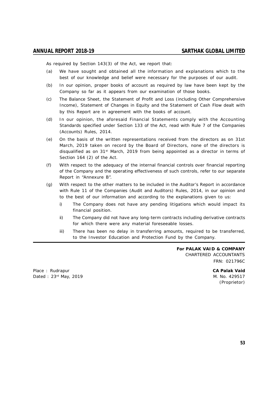As required by Section 143(3) of the Act, we report that:

- (a) We have sought and obtained all the information and explanations which to the best of our knowledge and belief were necessary for the purposes of our audit.
- (b) In our opinion, proper books of account as required by law have been kept by the Company so far as it appears from our examination of those books.
- (c) The Balance Sheet, the Statement of Profit and Loss (including Other Comprehensive Income), Statement of Changes in Equity and the Statement of Cash Flow dealt with by this Report are in agreement with the books of account.
- (d) In our opinion, the aforesaid Financial Statements comply with the Accounting Standards specified under Section 133 of the Act, read with Rule 7 of the Companies (Accounts) Rules, 2014.
- (e) On the basis of the written representations received from the directors as on 31st March, 2019 taken on record by the Board of Directors, none of the directors is disqualified as on  $31<sup>st</sup>$  March, 2019 from being appointed as a director in terms of Section 164 (2) of the Act.
- (f) With respect to the adequacy of the internal financial controls over financial reporting of the Company and the operating effectiveness of such controls, refer to our separate Report in "Annexure B".
- (g) With respect to the other matters to be included in the Auditor's Report in accordance with Rule 11 of the Companies (Audit and Auditors) Rules, 2014, in our opinion and to the best of our information and according to the explanations given to us:
	- i) The Company does not have any pending litigations which would impact its financial position.
	- ii) The Company did not have any long-term contracts including derivative contracts for which there were any material foreseeable losses.
	- iii) There has been no delay in transferring amounts, required to be transferred, to the Investor Education and Protection Fund by the Company.

**For PALAK VAID & COMPANY** CHARTERED ACCOUNTANTS FRN: 021796C

Place : Rudrapur **CA Palak Vaid** Dated : 23<sup>rd</sup> May, 2019 M. No. 429517

(Proprietor)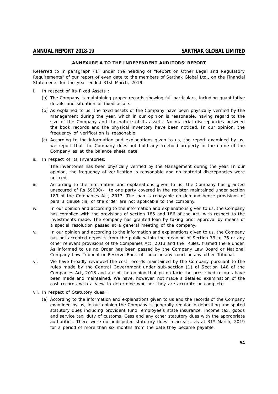#### **ANNEXURE A TO THE INDEPENDENT AUDITORS' REPORT**

Referred to in paragraph (1) under the heading of "Report on Other Legal and Regulatory Requirements" of our report of even date to the members of Sarthak Global Ltd., on the Financial Statements for the year ended 31st March, 2019.

- i. In respect of its Fixed Assets :
	- (a) The Company is maintaining proper records showing full particulars, including quantitative details and situation of fixed assets.
	- (b) As explained to us, the fixed assets of the Company have been physically verified by the management during the year, which in our opinion is reasonable, having regard to the size of the Company and the nature of its assets. No material discrepancies between the book records and the physical inventory have been noticed. In our opinion, the frequency of verification is reasonable.
	- (c) According to the information and explanations given to us, the report examined by us, we report that the Company does not hold any freehold property in the name of the Company as at the balance sheet date.
- ii. In respect of its Inventories:

The inventories has been physically verified by the Management during the year. In our opinion, the frequency of verification is reasonable and no material discrepancies were noticed.

- iii. According to the information and explanations given to us, the Company has granted unsecured of Rs 59000/- to one party covered in the register maintained under section 189 of the Companies Act, 2013. The loan is repayable on demand hence provisions of para 3 clause (iii) of the order are not applicable to the company.
- iv. In our opinion and according to the information and explanations given to us, the Company has complied with the provisions of section 185 and 186 of the Act, with respect to the investments made. The company has granted loan by taking prior approval by means of a special resolution passed at a general meeting of the company.
- v. In our opinion and according to the information and explanations given to us, the Company has not accepted deposits from the public within the meaning of Section 73 to 76 or any other relevant provisions of the Companies Act, 2013 and the Rules, framed there under. As informed to us no Order has been passed by the Company Law Board or National Company Law Tribunal or Reserve Bank of India or any court or any other Tribunal.
- vi. We have broadly reviewed the cost records maintained by the Company pursuant to the rules made by the Central Government under sub-section (1) of Section 148 of the Companies Act, 2013 and are of the opinion that prima facie the prescribed records have been made and maintained. We have, however, not made a detailed examination of the cost records with a view to determine whether they are accurate or complete.
- vii. In respect of Statutory dues :
	- (a) According to the information and explanations given to us and the records of the Company examined by us, in our opinion the Company is generally regular in depositing undisputed statutory dues including provident fund, employee's state insurance, income tax, goods and service tax, duty of customs, Cess and any other statutory dues with the appropriate authorities. There were no undisputed statutory dues in arrears, as at  $31<sup>st</sup>$  March, 2019 for a period of more than six months from the date they became payable.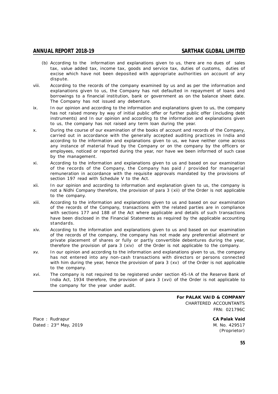- (b) According to the information and explanations given to us, there are no dues of sales tax, value added tax, income tax, goods and service tax, duties of customs, duties of excise which have not been deposited with appropriate authorities on account of any dispute.
- viii. According to the records of the company examined by us and as per the information and explanations given to us, the Company has not defaulted in repayment of loans and borrowings to a financial institution, bank or government as on the balance sheet date. The Company has not issued any debenture.
- ix. In our opinion and according to the information and explanations given to us, the company has not raised money by way of initial public offer or further public offer (including debt instruments) and In our opinion and according to the information and explanations given to us, the company has not raised any term loan during the year.
- x. During the course of our examination of the books of account and records of the Company, carried out in accordance with the generally accepted auditing practices in India and according to the information and explanations given to us, we have neither come across any instance of material fraud by the Company or on the company by the officers or employees, noticed or reported during the year, nor have we been informed of such case by the management.
- xi. According to the information and explanations given to us and based on our examination of the records of the Company, the Company has paid / provided for managerial remuneration in accordance with the requisite approvals mandated by the provisions of section 197 read with Schedule V to the Act.
- xii. In our opinion and according to information and explanation given to us, the company is not a Nidhi Company therefore, the provision of para 3 (xii) of the Order is not applicable to the company.
- xiii. According to the information and explanations given to us and based on our examination of the records of the Company, transactions with the related parties are in compliance with sections 177 and 188 of the Act where applicable and details of such transactions have been disclosed in the Financial Statements as required by the applicable accounting standards.
- xiv. According to the information and explanations given to us and based on our examination of the records of the company, the company has not made any preferential allotment or private placement of shares or fully or partly convertible debentures during the year, therefore the provision of para 3 (xiv) of the Order is not applicable to the company.
- xv. In our opinion and according to the information and explanations given to us, the company has not entered into any non-cash transactions with directors or persons connected with him during the year, hence the provision of para 3 (xv) of the Order is not applicable to the company.
- xvi. The company is not required to be registered under section 45-IA of the Reserve Bank of India Act, 1934 therefore, the provision of para 3 (xvi) of the Order is not applicable to the company for the year under audit.

**For PALAK VAID & COMPANY** CHARTERED ACCOUNTANTS FRN: 021796C

Place : Rudrapur **CA Palak Vaid** Dated : 23<sup>rd</sup> May, 2019 M. No. 429517

(Proprietor)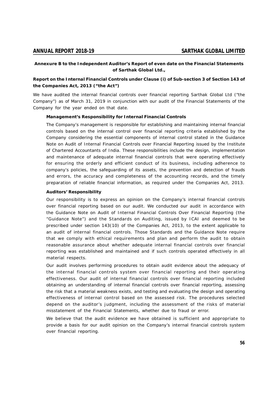#### **Annexure B to the Independent Auditor's Report of even date on the Financial Statements of Sarthak Global Ltd.,**

# **Report on the Internal Financial Controls under Clause (i) of Sub-section 3 of Section 143 of the Companies Act, 2013 ("the Act")**

We have audited the internal financial controls over financial reporting Sarthak Global Ltd ("the Company") as of March 31, 2019 in conjunction with our audit of the Financial Statements of the Company for the year ended on that date.

#### **Management's Responsibility for Internal Financial Controls**

The Company's management is responsible for establishing and maintaining internal financial controls based on the internal control over financial reporting criteria established by the Company considering the essential components of internal control stated in the Guidance Note on Audit of Internal Financial Controls over Financial Reporting issued by the Institute of Chartered Accountants of India. These responsibilities include the design, implementation and maintenance of adequate internal financial controls that were operating effectively for ensuring the orderly and efficient conduct of its business, including adherence to company's policies, the safeguarding of its assets, the prevention and detection of frauds and errors, the accuracy and completeness of the accounting records, and the timely preparation of reliable financial information, as required under the Companies Act, 2013.

#### **Auditors' Responsibility**

Our responsibility is to express an opinion on the Company's internal financial controls over financial reporting based on our audit. We conducted our audit in accordance with the Guidance Note on Audit of Internal Financial Controls Over Financial Reporting (the "Guidance Note") and the Standards on Auditing, issued by ICAI and deemed to be prescribed under section 143(10) of the Companies Act, 2013, to the extent applicable to an audit of internal financial controls. Those Standards and the Guidance Note require that we comply with ethical requirements and plan and perform the audit to obtain reasonable assurance about whether adequate internal financial controls over financial reporting was established and maintained and if such controls operated effectively in all material respects.

Our audit involves performing procedures to obtain audit evidence about the adequacy of the internal financial controls system over financial reporting and their operating effectiveness. Our audit of internal financial controls over financial reporting included obtaining an understanding of internal financial controls over financial reporting, assessing the risk that a material weakness exists, and testing and evaluating the design and operating effectiveness of internal control based on the assessed risk. The procedures selected depend on the auditor's judgment, including the assessment of the risks of material misstatement of the Financial Statements, whether due to fraud or error.

We believe that the audit evidence we have obtained is sufficient and appropriate to provide a basis for our audit opinion on the Company's internal financial controls system over financial reporting.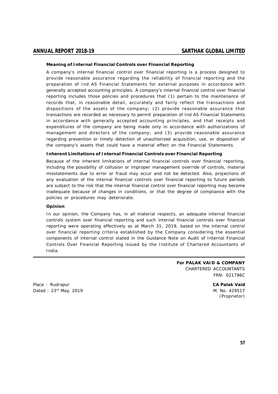#### **Meaning of Internal Financial Controls over Financial Reporting**

A company's internal financial control over financial reporting is a process designed to provide reasonable assurance regarding the reliability of financial reporting and the preparation of Ind AS Financial Statements for external purposes in accordance with generally accepted accounting principles. A company's internal financial control over financial reporting includes those policies and procedures that (1) pertain to the maintenance of records that, in reasonable detail, accurately and fairly reflect the transactions and dispositions of the assets of the company; (2) provide reasonable assurance that transactions are recorded as necessary to permit preparation of Ind AS Financial Statements in accordance with generally accepted accounting principles, and that receipts and expenditures of the company are being made only in accordance with authorizations of management and directors of the company; and (3) provide reasonable assurance regarding prevention or timely detection of unauthorized acquisition, use, or disposition of the company's assets that could have a material effect on the Financial Statements.

#### **Inherent Limitations of Internal Financial Controls over Financial Reporting**

Because of the inherent limitations of internal financial controls over financial reporting, including the possibility of collusion or improper management override of controls, material misstatements due to error or fraud may occur and not be detected. Also, projections of any evaluation of the internal financial controls over financial reporting to future periods are subject to the risk that the internal financial control over financial reporting may become inadequate because of changes in conditions, or that the degree of compliance with the policies or procedures may deteriorate.

#### **Opinion**

In our opinion, the Company has, in all material respects, an adequate internal financial controls system over financial reporting and such internal financial controls over financial reporting were operating effectively as at March 31, 2019, based on the internal control over financial reporting criteria established by the Company considering the essential components of internal control stated in the Guidance Note on Audit of Internal Financial Controls Over Financial Reporting issued by the Institute of Chartered Accountants of India.

> **For PALAK VAID & COMPANY** CHARTERED ACCOUNTANTS FRN: 021796C

Place : Rudrapur **CA Palak Vaid** Dated : 23<sup>rd</sup> May, 2019 M. No. 429517

(Proprietor)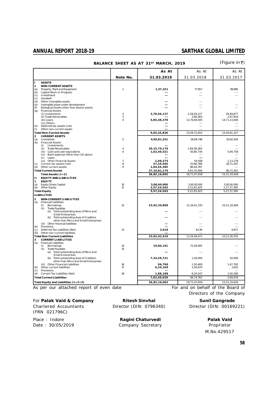# **SARTHAK GLOBAL LIMITED**

|                       |                                                                                      |                 | BALANCE SHEET AS AT 31 <sup>ST</sup> MARCH, 2019 |                                   | (Figure in $\bar{z}$ )   |
|-----------------------|--------------------------------------------------------------------------------------|-----------------|--------------------------------------------------|-----------------------------------|--------------------------|
|                       |                                                                                      |                 | As At                                            | As At                             | As At                    |
|                       |                                                                                      | Note No.        | 31.03.2019                                       | 31.03.2018                        | 31.03.2017               |
| L                     | <b>ASSETS</b>                                                                        |                 |                                                  |                                   |                          |
| 1                     | <b>NON-CURRENT ASSETS</b>                                                            |                 |                                                  |                                   |                          |
| (a)<br>(b)            | Property, Plant and Equipment<br>Capital Work-in-Progress                            | $\mathbf{1}$    | 1,37,321                                         | 77,957                            | 99,985                   |
| (c)                   | Investment                                                                           |                 |                                                  | $- - -$                           |                          |
| (c)                   | Goodwill                                                                             |                 |                                                  |                                   |                          |
| (d)<br>(e)            | Other Intangible assets<br>Intengible asset under development                        |                 |                                                  | $-$ - $-$<br>$\overline{a}$       |                          |
| (f)                   | Biological Assets other than bearer plants                                           |                 |                                                  | $- - -$                           |                          |
| (g)                   | <b>Financial Assets</b>                                                              |                 |                                                  |                                   |                          |
|                       | (i) Investments                                                                      | $\overline{a}$  | 3,78,59,127                                      | 2,28,59,127                       | 29,49,877                |
|                       | (ii) Trade Receivables<br>(iii) Loans                                                | 3<br>$\Delta$   | 5,85,38,378                                      | 3,66,063<br>12,76,69,505          | 2,97,819<br>14,71,13,646 |
|                       | (iv) Others                                                                          |                 |                                                  |                                   |                          |
| (h)                   | Deferred tax assets (net)                                                            |                 | ---                                              | $\sim$                            | $\sim$                   |
| (i)                   | Other non-current assets                                                             |                 |                                                  | ---                               |                          |
|                       | <b>Total Non-Current Assets</b>                                                      |                 | 9,65,34,826                                      | 15,09,72,652                      | 15,04,61,327             |
| 2<br>(a)              | <b>CURRENT ASSETS</b><br>Inventories                                                 | 5               | 4,05,81,251                                      | 28,09,748                         | 20,92,918                |
| (b)                   | <b>Financial Assets</b>                                                              |                 |                                                  |                                   |                          |
|                       | Investments<br>(i)                                                                   |                 |                                                  |                                   |                          |
|                       | (ii)<br>Trade Receivables                                                            | 4               | 20, 15, 79, 179                                  | 1,69,38,383                       | $-$ --                   |
|                       | (iii)<br>Cash and cash equivalents<br>Bank balances Other than (iii) above<br>(iv)   | 6               | 1,62,46,521                                      | 50,80,734                         | 5,94,758                 |
|                       | Loans<br>(v)                                                                         |                 |                                                  |                                   |                          |
|                       | (vi) Other Financial Assets                                                          | $\overline{7}$  | 1,09,275                                         | 54,568                            | 1,13,278                 |
| (c)                   | Current tax assets (net)<br>Other current assets                                     | 8<br>9          | 27,10,565<br>1,04,54,385                         | 25,86,786                         | 18,71,347                |
| (d)                   | <b>Total Current Assets</b>                                                          |                 | 27, 16, 81, 176                                  | 86,64,787<br>3,61,35,006          | 46,72,301                |
|                       | Total Assets (1+2)                                                                   |                 | 36,82,16,002                                     | 18,71,07,658                      | 15,51,33,628             |
| п                     | EQUITY AND LIABILITIES                                                               |                 |                                                  |                                   |                          |
| 1                     | <b>EQUITY</b>                                                                        |                 |                                                  |                                   |                          |
| (a)                   | <b>Equity Share Capital</b>                                                          | 10 <sup>°</sup> | 3,00,00,000                                      | 3,00,00,000                       | 3,00,00,000              |
| (b)                   | Other Equity                                                                         | 11              | 2,57,24,563                                      | 2,51,83,425                       | 2,27,37,395              |
|                       | <b>Total Equity</b><br><b>LIABILITIES</b>                                            |                 | 5,57,24,563                                      | 5,51,83,425                       | 5,27,37,395              |
|                       |                                                                                      |                 |                                                  |                                   |                          |
| $\overline{a}$<br>(a) | NON-CURRENT LIABILITIES<br><b>Financial Liabilities</b>                              |                 |                                                  |                                   |                          |
|                       | Borrowings<br>(i)                                                                    | 12              | 23,62,39,800                                     | 12,34,41,335                      | 10,21,19,584             |
|                       | <b>Trade Payables</b><br>(ii)                                                        |                 |                                                  |                                   |                          |
|                       | (a) Total outstanding dues of Micro and                                              |                 |                                                  |                                   |                          |
|                       | Small Enterprises<br>Total outstanding dues of Creditors<br>(b)                      |                 |                                                  | $- - -$                           |                          |
|                       | other than Micro and Small Enterprises                                               |                 |                                                  |                                   |                          |
|                       | (iii) Other financial liabilities                                                    |                 |                                                  | $\overline{a}$                    |                          |
| (b)<br>(c)            | Provisions<br>Deferred Tax Liabilities (Net)                                         | 13              | 2,610                                            | $\overline{a}$<br>8,136           | $\sim$<br>6,971          |
| (D)                   | Other non-current liabilities                                                        |                 |                                                  |                                   |                          |
|                       | <b>Total Non-Current Liabilities</b>                                                 |                 | 23.62.42.410                                     | 12.34.49.471                      | 10.21.26.555             |
| 3                     | <b>CURRENT LIABILITIES</b>                                                           |                 |                                                  |                                   |                          |
| (a)                   | <b>Financial Liabilities</b><br>Borrowings<br>(i)                                    | 14              | 19,00,161                                        | 72,58,945                         |                          |
|                       | <b>Trade Payables</b><br>(ii)                                                        | 15              |                                                  |                                   |                          |
|                       | (a) Total outstanding dues of Micro and                                              |                 |                                                  | $\overline{a}$                    |                          |
|                       | Small Enterprises                                                                    |                 |                                                  |                                   |                          |
|                       | Total outstanding dues of Creditors<br>(b)<br>other than Micro and Small Enterprises |                 | 7,34,29,721                                      | 1,40,000                          | 20,000                   |
|                       | (iii) Other Financial Liabilities                                                    | 16              | 96,790                                           | 1,50,400                          | 1,47,765                 |
| (b)                   | Other current liabilities                                                            | 17              | 6,34,169                                         | 1,04,870                          | 1,633                    |
| (c)                   | Provisions                                                                           | 18              |                                                  |                                   | $---$                    |
| (d)                   | Current Tax Liabilities (Net)                                                        |                 | 1,88,188                                         | 8,20,547                          | 1,00,280                 |
|                       | <b>Total Current Liabilities</b>                                                     |                 | 7,62,49,029                                      | 84,74,762                         | 2,69,678                 |
|                       | Total Equity and Liabilities (1+2+3)                                                 |                 | 36,82,16,002                                     | 18,71,07,658                      | 15,51,33,628             |
|                       | As per our attached report of even date                                              |                 |                                                  | For and on behalf of the Board of |                          |

| For Palak Vaid & Company |
|--------------------------|
| Chartered Accountants    |
| (FRN 021796C)            |
| Place: Indore            |

For **Palak Vaid & Company Ritesh Sinvhal Sunil Gangrade** Director (DIN: 0796340) Director (DIN: 00169221)

Place : Indore **Ragini Chaturvedi Place : Indore 1997**<br>Date : 30/05/2019 **Palak Vaid** Company Secretary **Proprietion** Company Secretary **Company Secretary** Proprietor

Directors of the Company

M.No.429517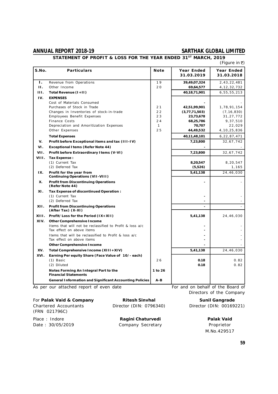## **SARTHAK GLOBAL LIMITED**

|       | STATEMENT OF PROFIT & LOSS FOR THE YEAR ENDED 31ST MARCH, 2019                        |                    |                          | (Figure in ₹)            |
|-------|---------------------------------------------------------------------------------------|--------------------|--------------------------|--------------------------|
| S.No. | <b>Particulars</b>                                                                    | Note               | Year Ended<br>31.03.2019 | Year Ended<br>31.03.2018 |
| Ι.    | Revenue from Operations                                                               | 19                 | 39,49,07,324             | 2,43,22,481              |
| П.    | Other Income                                                                          | 20                 | 69,64,577                | 4, 12, 32, 732           |
| HL.   | Total Revenue (I+II)                                                                  |                    | 40,18,71,901             | 6,55,55,213              |
| IV.   | <b>EXPENSES</b>                                                                       |                    |                          |                          |
|       | Cost of Materials Consumed                                                            |                    |                          |                          |
|       | Purchases of Stock in Trade                                                           | 21                 | 42,51,99,901             | 1,78,91,154              |
|       | Changes in Inventories of stock-in-trade                                              | 22                 | (3,77,71,503)            | (7, 16, 830)             |
|       | Employees Benefit Expenses                                                            | 23                 | 23,73,678                | 31, 27, 772              |
|       | Finance Costs<br>Depreciation and Amoritization Expenses                              | 24<br>$\mathbf{1}$ | 68,25,786<br>70,707      | 9,37,510<br>22,029       |
|       | Other Expenses                                                                        | 25                 | 44,49,532                | 4, 10, 25, 836           |
|       | <b>Total Expenses</b>                                                                 |                    | 40,11,48,101             |                          |
| V.    | Profit before Exceptional items and tax (III-IV)                                      |                    | 7,23,800                 | 6,22,87,471<br>32,67,742 |
| VI.   | <b>Exceptional I tems (Refer Note 44)</b>                                             |                    |                          |                          |
| VII.  | Profit before Extraordinary I tems (V-VI)                                             |                    | 7,23,800                 | 32,67,742                |
|       |                                                                                       |                    |                          |                          |
| VIII. | Tax Expense:<br>(1) Current Tax                                                       |                    | 8,20,547                 | 8,20,547                 |
|       | (2) Deferred Tax                                                                      |                    | (5,526)                  | 1,165                    |
| IX.   | Profit for the year from<br><b>Continuing Operations (VII-VIII)</b>                   |                    | 5,41,138                 | 24,46,030                |
| Х.    | <b>Profit from Discontinuing Operations</b><br>(Refer Note 44)                        |                    |                          |                          |
| XI.   | Tax Expense of discontinued Operation:                                                |                    |                          |                          |
|       | (1) Current Tax                                                                       |                    |                          |                          |
|       | (2) Deferred Tax                                                                      |                    |                          |                          |
| XII.  | <b>Profit from Discontinuing Operations</b><br>(After Tax) (X-XI)                     |                    |                          |                          |
|       | $XIII.$ Profit/Loss for the Period $(IX+XII)$                                         |                    | 5,41,138                 | 24,46,030                |
| XIV.  | Other Comprehensive Income                                                            |                    |                          |                          |
|       | Items that will not be reclassified to Profit & loss a/c<br>Tax effect on above items |                    |                          |                          |
|       | I tems that will be reclassified to Profit & loss a/c<br>Tax effect on above items    |                    |                          |                          |
|       | <b>Other Comprehensive Income</b>                                                     |                    |                          |                          |
| XV.   | Total Comprehensive Income (XIII+XIV)                                                 |                    | 5,41,138                 | 24,46,030                |
| XVI.  | Earning Per equity Share (Face Value of 10/-each)                                     |                    |                          |                          |
|       | $(1)$ Basic                                                                           | 26                 | 0.18                     | 0.82                     |
|       | (2) Diluted                                                                           |                    | 0.18                     | 0.82                     |
|       | Notes Forming An Integral Part to the<br><b>Financial Statements</b>                  | 1 to 26            |                          |                          |
|       | General Information and Significant Accounting Policies                               | A-B                |                          |                          |

As per our attached report of even date For and on behalf of the Board of Directors of the Company

For **Palak Vaid & Company Ritesh Sinvhal Sunil Gangrade** Chartered Accountants Director (DIN: 0796340) Director (DIN: 00169221) (FRN 021796C) Place : Indore **Ragini Chaturvedi Palak Vaid** Date : 30/05/2019 Company Secretary Proprietor

M.No.429517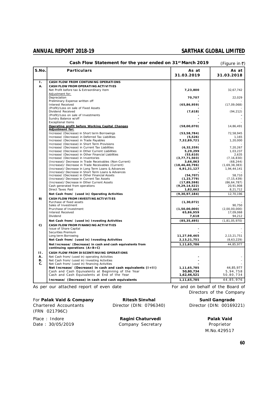# **SARTHAK GLOBAL LIMITED**

| S.No.<br><b>Particulars</b><br>As at<br>As at<br>31.03.2019<br>31.03.2018<br>L.<br>CASH FLOW FROM CONTUNING OPERATIONS<br>Α.<br>CASH FLOW FROM OPERATING ACTIVITIES<br>Net Profit before tax & Extraordinary Item<br>7,23,800<br>32,67,742<br>Adjustment for:<br>Depreciation<br>70,707<br>22,029<br>Preliminary Expense written off<br>Interest Received<br>(65, 86, 959)<br>(17,09,068)<br>(Profit)/Loss on sale of Fixed Assets<br>Dividend Received<br>(94, 212)<br>(7,618)<br>(Profit)/Loss on sale of Investments<br>Sundry Balance w/off<br><b>Exceptional Items</b><br>Operating profit before Working Capital Changes<br>(58,00,070)<br>14,86,491<br>Adjustment for:<br>Increase/ (Decrease) in Short term Borrowings<br>(53, 58, 784)<br>72,58,945<br>Increase/ (Decrease) in Deferred Tax Liabilities<br>(5, 526)<br>1,165<br>Increase/ (Decrease) in Trade Payables<br>7,32,89,721<br>1.20.000<br>Increase/ (Decrease) in Short Term Provisions<br>Increase/ (Decrease) in Current Tax Liabilities<br>(6, 32, 359)<br>7,20,267<br>Increase/ (Decrease) in Other Current Liabilities<br>1.03.237<br>5,29,299<br>Increase/ (Decrease) in Other Financial Liabilities<br>2,635<br>(53, 610)<br>Increase/ (Decrease) in Inventories<br>(3, 77, 71, 503)<br>(7, 16, 830)<br>(Increase)/ Decrease in Trade Receivables (Non-Current)<br>3,66,063<br>(68, 244)<br>(Increase)/ Decrease in Trade Receivables (Current)<br>(18, 46, 40, 796)<br>(1,69,38,383)<br>(Increase)/ Decrease in Long Term Loans & Advances<br>1,94,44,141<br>6,91,31,127<br>(Increase)/ Decrease in Short Term Loans & Advances<br>Increase/ (Decrease) in Other Financial Assets<br>(54, 707)<br>58.710<br>(Increase)/ Decrease in Current Tax Assets<br>(1, 23, 779)<br>(7, 15, 439)<br>(Increase)/ Decrease in Other Current Assets<br>(17, 89, 598)<br>(86, 64, 787)<br>Cash generated from operations<br>20,91,908<br>(9, 29, 14, 522)<br><b>Direct Taxes Paid</b><br>8,21,712<br>1,82,662<br>12,70,196<br>Net Cash from/ (used in) Operating Activities<br>(9,30,97,184)<br>B)<br>CASH FLOW FROM INVESTING ACTIVITIES<br>Purchase of fixed assets<br>(1, 30, 072)<br>Sales of Investment<br>90,750<br>Prurchase of Investment<br>(1,50,00,000)<br>(2,00,00,000)<br>Interest Received<br>65,86,959<br>17,09,068<br>Dividend<br>7,618<br>94,212<br>Net Cash from/ (used in) Investing Activities<br>(85, 35, 495)<br>(1, 81, 05, 970)<br>C)<br>CASH FLOW FROM FINANCING ACTIVITIES<br>Issue of Share Capital<br>Securities Premium<br>Long term Borrowing<br>11,27,98,465<br>2, 13, 21, 751<br>Net Cash from/ (used in) Investing Activities<br>2,13,21,751<br>(8,63,229)<br>Net Increase/ (Decrease) in cash and cash equivalents from<br>1,11,65,786<br>44,85,977<br>continuing operations $(A+B+C)$<br>$\mathbf{H}$ .<br>CASH FLOW FROM DISCONTINUING OPERATIONS<br>Α.<br>Net Cash from/ (used in) operating Activities<br>В.<br>Net Cash from/ (used in) Investing Activities<br>C.<br>Net Cash from/ (used in) financing Activities<br>Net Increase/ (Decrease) in cash and cash equivalents $(l+ll)$<br>1,11,65,785<br>44,85,977<br>Cash and Cash Equivalents at Beginning of the Year<br>50,80,734<br>5,94,758<br>Cash and Cash Equivalents at End of the Year<br>1,62,46,521<br>50,80,734<br>44,85,976<br>Increase/ (Decrease) in cash and cash equivalents<br>1,11,65,785 | Cash Flow Statement for the year ended on 31 <sup>st</sup> March 2019 | (Figure in ₹) |
|--------------------------------------------------------------------------------------------------------------------------------------------------------------------------------------------------------------------------------------------------------------------------------------------------------------------------------------------------------------------------------------------------------------------------------------------------------------------------------------------------------------------------------------------------------------------------------------------------------------------------------------------------------------------------------------------------------------------------------------------------------------------------------------------------------------------------------------------------------------------------------------------------------------------------------------------------------------------------------------------------------------------------------------------------------------------------------------------------------------------------------------------------------------------------------------------------------------------------------------------------------------------------------------------------------------------------------------------------------------------------------------------------------------------------------------------------------------------------------------------------------------------------------------------------------------------------------------------------------------------------------------------------------------------------------------------------------------------------------------------------------------------------------------------------------------------------------------------------------------------------------------------------------------------------------------------------------------------------------------------------------------------------------------------------------------------------------------------------------------------------------------------------------------------------------------------------------------------------------------------------------------------------------------------------------------------------------------------------------------------------------------------------------------------------------------------------------------------------------------------------------------------------------------------------------------------------------------------------------------------------------------------------------------------------------------------------------------------------------------------------------------------------------------------------------------------------------------------------------------------------------------------------------------------------------------------------------------------------------------------------------------------------------------------------------------------------------------------------------------------------------------------------------------------------------------------------------------------------------------------------------------------------------------------------------------------------------------------------------------------|-----------------------------------------------------------------------|---------------|
|                                                                                                                                                                                                                                                                                                                                                                                                                                                                                                                                                                                                                                                                                                                                                                                                                                                                                                                                                                                                                                                                                                                                                                                                                                                                                                                                                                                                                                                                                                                                                                                                                                                                                                                                                                                                                                                                                                                                                                                                                                                                                                                                                                                                                                                                                                                                                                                                                                                                                                                                                                                                                                                                                                                                                                                                                                                                                                                                                                                                                                                                                                                                                                                                                                                                                                                                                                    |                                                                       |               |
|                                                                                                                                                                                                                                                                                                                                                                                                                                                                                                                                                                                                                                                                                                                                                                                                                                                                                                                                                                                                                                                                                                                                                                                                                                                                                                                                                                                                                                                                                                                                                                                                                                                                                                                                                                                                                                                                                                                                                                                                                                                                                                                                                                                                                                                                                                                                                                                                                                                                                                                                                                                                                                                                                                                                                                                                                                                                                                                                                                                                                                                                                                                                                                                                                                                                                                                                                                    |                                                                       |               |
|                                                                                                                                                                                                                                                                                                                                                                                                                                                                                                                                                                                                                                                                                                                                                                                                                                                                                                                                                                                                                                                                                                                                                                                                                                                                                                                                                                                                                                                                                                                                                                                                                                                                                                                                                                                                                                                                                                                                                                                                                                                                                                                                                                                                                                                                                                                                                                                                                                                                                                                                                                                                                                                                                                                                                                                                                                                                                                                                                                                                                                                                                                                                                                                                                                                                                                                                                                    |                                                                       |               |
|                                                                                                                                                                                                                                                                                                                                                                                                                                                                                                                                                                                                                                                                                                                                                                                                                                                                                                                                                                                                                                                                                                                                                                                                                                                                                                                                                                                                                                                                                                                                                                                                                                                                                                                                                                                                                                                                                                                                                                                                                                                                                                                                                                                                                                                                                                                                                                                                                                                                                                                                                                                                                                                                                                                                                                                                                                                                                                                                                                                                                                                                                                                                                                                                                                                                                                                                                                    |                                                                       |               |
|                                                                                                                                                                                                                                                                                                                                                                                                                                                                                                                                                                                                                                                                                                                                                                                                                                                                                                                                                                                                                                                                                                                                                                                                                                                                                                                                                                                                                                                                                                                                                                                                                                                                                                                                                                                                                                                                                                                                                                                                                                                                                                                                                                                                                                                                                                                                                                                                                                                                                                                                                                                                                                                                                                                                                                                                                                                                                                                                                                                                                                                                                                                                                                                                                                                                                                                                                                    |                                                                       |               |
|                                                                                                                                                                                                                                                                                                                                                                                                                                                                                                                                                                                                                                                                                                                                                                                                                                                                                                                                                                                                                                                                                                                                                                                                                                                                                                                                                                                                                                                                                                                                                                                                                                                                                                                                                                                                                                                                                                                                                                                                                                                                                                                                                                                                                                                                                                                                                                                                                                                                                                                                                                                                                                                                                                                                                                                                                                                                                                                                                                                                                                                                                                                                                                                                                                                                                                                                                                    |                                                                       |               |
|                                                                                                                                                                                                                                                                                                                                                                                                                                                                                                                                                                                                                                                                                                                                                                                                                                                                                                                                                                                                                                                                                                                                                                                                                                                                                                                                                                                                                                                                                                                                                                                                                                                                                                                                                                                                                                                                                                                                                                                                                                                                                                                                                                                                                                                                                                                                                                                                                                                                                                                                                                                                                                                                                                                                                                                                                                                                                                                                                                                                                                                                                                                                                                                                                                                                                                                                                                    |                                                                       |               |
|                                                                                                                                                                                                                                                                                                                                                                                                                                                                                                                                                                                                                                                                                                                                                                                                                                                                                                                                                                                                                                                                                                                                                                                                                                                                                                                                                                                                                                                                                                                                                                                                                                                                                                                                                                                                                                                                                                                                                                                                                                                                                                                                                                                                                                                                                                                                                                                                                                                                                                                                                                                                                                                                                                                                                                                                                                                                                                                                                                                                                                                                                                                                                                                                                                                                                                                                                                    |                                                                       |               |
|                                                                                                                                                                                                                                                                                                                                                                                                                                                                                                                                                                                                                                                                                                                                                                                                                                                                                                                                                                                                                                                                                                                                                                                                                                                                                                                                                                                                                                                                                                                                                                                                                                                                                                                                                                                                                                                                                                                                                                                                                                                                                                                                                                                                                                                                                                                                                                                                                                                                                                                                                                                                                                                                                                                                                                                                                                                                                                                                                                                                                                                                                                                                                                                                                                                                                                                                                                    |                                                                       |               |
|                                                                                                                                                                                                                                                                                                                                                                                                                                                                                                                                                                                                                                                                                                                                                                                                                                                                                                                                                                                                                                                                                                                                                                                                                                                                                                                                                                                                                                                                                                                                                                                                                                                                                                                                                                                                                                                                                                                                                                                                                                                                                                                                                                                                                                                                                                                                                                                                                                                                                                                                                                                                                                                                                                                                                                                                                                                                                                                                                                                                                                                                                                                                                                                                                                                                                                                                                                    |                                                                       |               |
|                                                                                                                                                                                                                                                                                                                                                                                                                                                                                                                                                                                                                                                                                                                                                                                                                                                                                                                                                                                                                                                                                                                                                                                                                                                                                                                                                                                                                                                                                                                                                                                                                                                                                                                                                                                                                                                                                                                                                                                                                                                                                                                                                                                                                                                                                                                                                                                                                                                                                                                                                                                                                                                                                                                                                                                                                                                                                                                                                                                                                                                                                                                                                                                                                                                                                                                                                                    |                                                                       |               |
|                                                                                                                                                                                                                                                                                                                                                                                                                                                                                                                                                                                                                                                                                                                                                                                                                                                                                                                                                                                                                                                                                                                                                                                                                                                                                                                                                                                                                                                                                                                                                                                                                                                                                                                                                                                                                                                                                                                                                                                                                                                                                                                                                                                                                                                                                                                                                                                                                                                                                                                                                                                                                                                                                                                                                                                                                                                                                                                                                                                                                                                                                                                                                                                                                                                                                                                                                                    |                                                                       |               |
|                                                                                                                                                                                                                                                                                                                                                                                                                                                                                                                                                                                                                                                                                                                                                                                                                                                                                                                                                                                                                                                                                                                                                                                                                                                                                                                                                                                                                                                                                                                                                                                                                                                                                                                                                                                                                                                                                                                                                                                                                                                                                                                                                                                                                                                                                                                                                                                                                                                                                                                                                                                                                                                                                                                                                                                                                                                                                                                                                                                                                                                                                                                                                                                                                                                                                                                                                                    |                                                                       |               |
|                                                                                                                                                                                                                                                                                                                                                                                                                                                                                                                                                                                                                                                                                                                                                                                                                                                                                                                                                                                                                                                                                                                                                                                                                                                                                                                                                                                                                                                                                                                                                                                                                                                                                                                                                                                                                                                                                                                                                                                                                                                                                                                                                                                                                                                                                                                                                                                                                                                                                                                                                                                                                                                                                                                                                                                                                                                                                                                                                                                                                                                                                                                                                                                                                                                                                                                                                                    |                                                                       |               |
|                                                                                                                                                                                                                                                                                                                                                                                                                                                                                                                                                                                                                                                                                                                                                                                                                                                                                                                                                                                                                                                                                                                                                                                                                                                                                                                                                                                                                                                                                                                                                                                                                                                                                                                                                                                                                                                                                                                                                                                                                                                                                                                                                                                                                                                                                                                                                                                                                                                                                                                                                                                                                                                                                                                                                                                                                                                                                                                                                                                                                                                                                                                                                                                                                                                                                                                                                                    |                                                                       |               |
|                                                                                                                                                                                                                                                                                                                                                                                                                                                                                                                                                                                                                                                                                                                                                                                                                                                                                                                                                                                                                                                                                                                                                                                                                                                                                                                                                                                                                                                                                                                                                                                                                                                                                                                                                                                                                                                                                                                                                                                                                                                                                                                                                                                                                                                                                                                                                                                                                                                                                                                                                                                                                                                                                                                                                                                                                                                                                                                                                                                                                                                                                                                                                                                                                                                                                                                                                                    |                                                                       |               |
|                                                                                                                                                                                                                                                                                                                                                                                                                                                                                                                                                                                                                                                                                                                                                                                                                                                                                                                                                                                                                                                                                                                                                                                                                                                                                                                                                                                                                                                                                                                                                                                                                                                                                                                                                                                                                                                                                                                                                                                                                                                                                                                                                                                                                                                                                                                                                                                                                                                                                                                                                                                                                                                                                                                                                                                                                                                                                                                                                                                                                                                                                                                                                                                                                                                                                                                                                                    |                                                                       |               |
|                                                                                                                                                                                                                                                                                                                                                                                                                                                                                                                                                                                                                                                                                                                                                                                                                                                                                                                                                                                                                                                                                                                                                                                                                                                                                                                                                                                                                                                                                                                                                                                                                                                                                                                                                                                                                                                                                                                                                                                                                                                                                                                                                                                                                                                                                                                                                                                                                                                                                                                                                                                                                                                                                                                                                                                                                                                                                                                                                                                                                                                                                                                                                                                                                                                                                                                                                                    |                                                                       |               |
|                                                                                                                                                                                                                                                                                                                                                                                                                                                                                                                                                                                                                                                                                                                                                                                                                                                                                                                                                                                                                                                                                                                                                                                                                                                                                                                                                                                                                                                                                                                                                                                                                                                                                                                                                                                                                                                                                                                                                                                                                                                                                                                                                                                                                                                                                                                                                                                                                                                                                                                                                                                                                                                                                                                                                                                                                                                                                                                                                                                                                                                                                                                                                                                                                                                                                                                                                                    |                                                                       |               |
|                                                                                                                                                                                                                                                                                                                                                                                                                                                                                                                                                                                                                                                                                                                                                                                                                                                                                                                                                                                                                                                                                                                                                                                                                                                                                                                                                                                                                                                                                                                                                                                                                                                                                                                                                                                                                                                                                                                                                                                                                                                                                                                                                                                                                                                                                                                                                                                                                                                                                                                                                                                                                                                                                                                                                                                                                                                                                                                                                                                                                                                                                                                                                                                                                                                                                                                                                                    |                                                                       |               |
|                                                                                                                                                                                                                                                                                                                                                                                                                                                                                                                                                                                                                                                                                                                                                                                                                                                                                                                                                                                                                                                                                                                                                                                                                                                                                                                                                                                                                                                                                                                                                                                                                                                                                                                                                                                                                                                                                                                                                                                                                                                                                                                                                                                                                                                                                                                                                                                                                                                                                                                                                                                                                                                                                                                                                                                                                                                                                                                                                                                                                                                                                                                                                                                                                                                                                                                                                                    |                                                                       |               |
|                                                                                                                                                                                                                                                                                                                                                                                                                                                                                                                                                                                                                                                                                                                                                                                                                                                                                                                                                                                                                                                                                                                                                                                                                                                                                                                                                                                                                                                                                                                                                                                                                                                                                                                                                                                                                                                                                                                                                                                                                                                                                                                                                                                                                                                                                                                                                                                                                                                                                                                                                                                                                                                                                                                                                                                                                                                                                                                                                                                                                                                                                                                                                                                                                                                                                                                                                                    |                                                                       |               |
|                                                                                                                                                                                                                                                                                                                                                                                                                                                                                                                                                                                                                                                                                                                                                                                                                                                                                                                                                                                                                                                                                                                                                                                                                                                                                                                                                                                                                                                                                                                                                                                                                                                                                                                                                                                                                                                                                                                                                                                                                                                                                                                                                                                                                                                                                                                                                                                                                                                                                                                                                                                                                                                                                                                                                                                                                                                                                                                                                                                                                                                                                                                                                                                                                                                                                                                                                                    |                                                                       |               |
|                                                                                                                                                                                                                                                                                                                                                                                                                                                                                                                                                                                                                                                                                                                                                                                                                                                                                                                                                                                                                                                                                                                                                                                                                                                                                                                                                                                                                                                                                                                                                                                                                                                                                                                                                                                                                                                                                                                                                                                                                                                                                                                                                                                                                                                                                                                                                                                                                                                                                                                                                                                                                                                                                                                                                                                                                                                                                                                                                                                                                                                                                                                                                                                                                                                                                                                                                                    |                                                                       |               |
|                                                                                                                                                                                                                                                                                                                                                                                                                                                                                                                                                                                                                                                                                                                                                                                                                                                                                                                                                                                                                                                                                                                                                                                                                                                                                                                                                                                                                                                                                                                                                                                                                                                                                                                                                                                                                                                                                                                                                                                                                                                                                                                                                                                                                                                                                                                                                                                                                                                                                                                                                                                                                                                                                                                                                                                                                                                                                                                                                                                                                                                                                                                                                                                                                                                                                                                                                                    |                                                                       |               |
|                                                                                                                                                                                                                                                                                                                                                                                                                                                                                                                                                                                                                                                                                                                                                                                                                                                                                                                                                                                                                                                                                                                                                                                                                                                                                                                                                                                                                                                                                                                                                                                                                                                                                                                                                                                                                                                                                                                                                                                                                                                                                                                                                                                                                                                                                                                                                                                                                                                                                                                                                                                                                                                                                                                                                                                                                                                                                                                                                                                                                                                                                                                                                                                                                                                                                                                                                                    |                                                                       |               |
|                                                                                                                                                                                                                                                                                                                                                                                                                                                                                                                                                                                                                                                                                                                                                                                                                                                                                                                                                                                                                                                                                                                                                                                                                                                                                                                                                                                                                                                                                                                                                                                                                                                                                                                                                                                                                                                                                                                                                                                                                                                                                                                                                                                                                                                                                                                                                                                                                                                                                                                                                                                                                                                                                                                                                                                                                                                                                                                                                                                                                                                                                                                                                                                                                                                                                                                                                                    |                                                                       |               |
|                                                                                                                                                                                                                                                                                                                                                                                                                                                                                                                                                                                                                                                                                                                                                                                                                                                                                                                                                                                                                                                                                                                                                                                                                                                                                                                                                                                                                                                                                                                                                                                                                                                                                                                                                                                                                                                                                                                                                                                                                                                                                                                                                                                                                                                                                                                                                                                                                                                                                                                                                                                                                                                                                                                                                                                                                                                                                                                                                                                                                                                                                                                                                                                                                                                                                                                                                                    |                                                                       |               |
|                                                                                                                                                                                                                                                                                                                                                                                                                                                                                                                                                                                                                                                                                                                                                                                                                                                                                                                                                                                                                                                                                                                                                                                                                                                                                                                                                                                                                                                                                                                                                                                                                                                                                                                                                                                                                                                                                                                                                                                                                                                                                                                                                                                                                                                                                                                                                                                                                                                                                                                                                                                                                                                                                                                                                                                                                                                                                                                                                                                                                                                                                                                                                                                                                                                                                                                                                                    |                                                                       |               |
|                                                                                                                                                                                                                                                                                                                                                                                                                                                                                                                                                                                                                                                                                                                                                                                                                                                                                                                                                                                                                                                                                                                                                                                                                                                                                                                                                                                                                                                                                                                                                                                                                                                                                                                                                                                                                                                                                                                                                                                                                                                                                                                                                                                                                                                                                                                                                                                                                                                                                                                                                                                                                                                                                                                                                                                                                                                                                                                                                                                                                                                                                                                                                                                                                                                                                                                                                                    |                                                                       |               |
|                                                                                                                                                                                                                                                                                                                                                                                                                                                                                                                                                                                                                                                                                                                                                                                                                                                                                                                                                                                                                                                                                                                                                                                                                                                                                                                                                                                                                                                                                                                                                                                                                                                                                                                                                                                                                                                                                                                                                                                                                                                                                                                                                                                                                                                                                                                                                                                                                                                                                                                                                                                                                                                                                                                                                                                                                                                                                                                                                                                                                                                                                                                                                                                                                                                                                                                                                                    |                                                                       |               |
|                                                                                                                                                                                                                                                                                                                                                                                                                                                                                                                                                                                                                                                                                                                                                                                                                                                                                                                                                                                                                                                                                                                                                                                                                                                                                                                                                                                                                                                                                                                                                                                                                                                                                                                                                                                                                                                                                                                                                                                                                                                                                                                                                                                                                                                                                                                                                                                                                                                                                                                                                                                                                                                                                                                                                                                                                                                                                                                                                                                                                                                                                                                                                                                                                                                                                                                                                                    |                                                                       |               |
|                                                                                                                                                                                                                                                                                                                                                                                                                                                                                                                                                                                                                                                                                                                                                                                                                                                                                                                                                                                                                                                                                                                                                                                                                                                                                                                                                                                                                                                                                                                                                                                                                                                                                                                                                                                                                                                                                                                                                                                                                                                                                                                                                                                                                                                                                                                                                                                                                                                                                                                                                                                                                                                                                                                                                                                                                                                                                                                                                                                                                                                                                                                                                                                                                                                                                                                                                                    |                                                                       |               |
|                                                                                                                                                                                                                                                                                                                                                                                                                                                                                                                                                                                                                                                                                                                                                                                                                                                                                                                                                                                                                                                                                                                                                                                                                                                                                                                                                                                                                                                                                                                                                                                                                                                                                                                                                                                                                                                                                                                                                                                                                                                                                                                                                                                                                                                                                                                                                                                                                                                                                                                                                                                                                                                                                                                                                                                                                                                                                                                                                                                                                                                                                                                                                                                                                                                                                                                                                                    |                                                                       |               |
|                                                                                                                                                                                                                                                                                                                                                                                                                                                                                                                                                                                                                                                                                                                                                                                                                                                                                                                                                                                                                                                                                                                                                                                                                                                                                                                                                                                                                                                                                                                                                                                                                                                                                                                                                                                                                                                                                                                                                                                                                                                                                                                                                                                                                                                                                                                                                                                                                                                                                                                                                                                                                                                                                                                                                                                                                                                                                                                                                                                                                                                                                                                                                                                                                                                                                                                                                                    |                                                                       |               |
|                                                                                                                                                                                                                                                                                                                                                                                                                                                                                                                                                                                                                                                                                                                                                                                                                                                                                                                                                                                                                                                                                                                                                                                                                                                                                                                                                                                                                                                                                                                                                                                                                                                                                                                                                                                                                                                                                                                                                                                                                                                                                                                                                                                                                                                                                                                                                                                                                                                                                                                                                                                                                                                                                                                                                                                                                                                                                                                                                                                                                                                                                                                                                                                                                                                                                                                                                                    |                                                                       |               |
|                                                                                                                                                                                                                                                                                                                                                                                                                                                                                                                                                                                                                                                                                                                                                                                                                                                                                                                                                                                                                                                                                                                                                                                                                                                                                                                                                                                                                                                                                                                                                                                                                                                                                                                                                                                                                                                                                                                                                                                                                                                                                                                                                                                                                                                                                                                                                                                                                                                                                                                                                                                                                                                                                                                                                                                                                                                                                                                                                                                                                                                                                                                                                                                                                                                                                                                                                                    |                                                                       |               |
|                                                                                                                                                                                                                                                                                                                                                                                                                                                                                                                                                                                                                                                                                                                                                                                                                                                                                                                                                                                                                                                                                                                                                                                                                                                                                                                                                                                                                                                                                                                                                                                                                                                                                                                                                                                                                                                                                                                                                                                                                                                                                                                                                                                                                                                                                                                                                                                                                                                                                                                                                                                                                                                                                                                                                                                                                                                                                                                                                                                                                                                                                                                                                                                                                                                                                                                                                                    |                                                                       |               |
|                                                                                                                                                                                                                                                                                                                                                                                                                                                                                                                                                                                                                                                                                                                                                                                                                                                                                                                                                                                                                                                                                                                                                                                                                                                                                                                                                                                                                                                                                                                                                                                                                                                                                                                                                                                                                                                                                                                                                                                                                                                                                                                                                                                                                                                                                                                                                                                                                                                                                                                                                                                                                                                                                                                                                                                                                                                                                                                                                                                                                                                                                                                                                                                                                                                                                                                                                                    |                                                                       |               |
|                                                                                                                                                                                                                                                                                                                                                                                                                                                                                                                                                                                                                                                                                                                                                                                                                                                                                                                                                                                                                                                                                                                                                                                                                                                                                                                                                                                                                                                                                                                                                                                                                                                                                                                                                                                                                                                                                                                                                                                                                                                                                                                                                                                                                                                                                                                                                                                                                                                                                                                                                                                                                                                                                                                                                                                                                                                                                                                                                                                                                                                                                                                                                                                                                                                                                                                                                                    |                                                                       |               |
|                                                                                                                                                                                                                                                                                                                                                                                                                                                                                                                                                                                                                                                                                                                                                                                                                                                                                                                                                                                                                                                                                                                                                                                                                                                                                                                                                                                                                                                                                                                                                                                                                                                                                                                                                                                                                                                                                                                                                                                                                                                                                                                                                                                                                                                                                                                                                                                                                                                                                                                                                                                                                                                                                                                                                                                                                                                                                                                                                                                                                                                                                                                                                                                                                                                                                                                                                                    |                                                                       |               |
|                                                                                                                                                                                                                                                                                                                                                                                                                                                                                                                                                                                                                                                                                                                                                                                                                                                                                                                                                                                                                                                                                                                                                                                                                                                                                                                                                                                                                                                                                                                                                                                                                                                                                                                                                                                                                                                                                                                                                                                                                                                                                                                                                                                                                                                                                                                                                                                                                                                                                                                                                                                                                                                                                                                                                                                                                                                                                                                                                                                                                                                                                                                                                                                                                                                                                                                                                                    |                                                                       |               |
|                                                                                                                                                                                                                                                                                                                                                                                                                                                                                                                                                                                                                                                                                                                                                                                                                                                                                                                                                                                                                                                                                                                                                                                                                                                                                                                                                                                                                                                                                                                                                                                                                                                                                                                                                                                                                                                                                                                                                                                                                                                                                                                                                                                                                                                                                                                                                                                                                                                                                                                                                                                                                                                                                                                                                                                                                                                                                                                                                                                                                                                                                                                                                                                                                                                                                                                                                                    |                                                                       |               |
|                                                                                                                                                                                                                                                                                                                                                                                                                                                                                                                                                                                                                                                                                                                                                                                                                                                                                                                                                                                                                                                                                                                                                                                                                                                                                                                                                                                                                                                                                                                                                                                                                                                                                                                                                                                                                                                                                                                                                                                                                                                                                                                                                                                                                                                                                                                                                                                                                                                                                                                                                                                                                                                                                                                                                                                                                                                                                                                                                                                                                                                                                                                                                                                                                                                                                                                                                                    |                                                                       |               |
|                                                                                                                                                                                                                                                                                                                                                                                                                                                                                                                                                                                                                                                                                                                                                                                                                                                                                                                                                                                                                                                                                                                                                                                                                                                                                                                                                                                                                                                                                                                                                                                                                                                                                                                                                                                                                                                                                                                                                                                                                                                                                                                                                                                                                                                                                                                                                                                                                                                                                                                                                                                                                                                                                                                                                                                                                                                                                                                                                                                                                                                                                                                                                                                                                                                                                                                                                                    |                                                                       |               |

As per our attached report of even date For and on behalf of the Board of

For **Palak Vaid & Company Ritesh Sinvhal Ritesh Sinville Sunil Gangrade**<br>
Chartered Accountants **Sunil Chartered Accountants Director (DIN: 0796340) Director (DIN: 00169221)** Chartered Accountants Director (DIN: 0796340) (FRN 021796C) Place : Indore **Ragini Chaturvedi Place : Indore Palak Vaid** 

Date : 30/05/2019 Company Secretary Proprietor

Directors of the Company

M.No.429517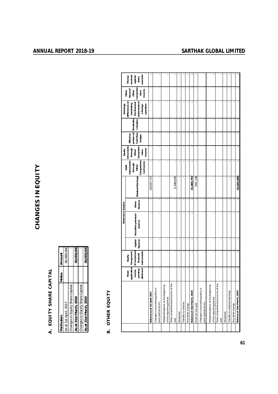| I      |
|--------|
|        |
|        |
|        |
| Ļ<br>, |
|        |
|        |
|        |
|        |
|        |
|        |
|        |

# A. EQUITY SHARE CAPITAL **A. EQUITY SHARE CAPITAL**

| Particulars                     | <b>Notes</b> | Amount     |
|---------------------------------|--------------|------------|
| As at 1st April, 2017           |              | 30,000,000 |
| Changes in Equity Share Capital |              |            |
| As at 31st March, 2018          |              | 30,000,000 |
| Changes in Equity Share Capital |              |            |
| As at 31st March, 2019          |              | 30,000,000 |

# OTHER EQUITY **B. OTHER EQUITY** ு

|                                                              |                                                             |                                                                |                    | Reserves & Surplus            |                  |                   |                                                                     | Equity                                                        |                                                |                                | Exchange                                                                                  |                                                           |                                                   |
|--------------------------------------------------------------|-------------------------------------------------------------|----------------------------------------------------------------|--------------------|-------------------------------|------------------|-------------------|---------------------------------------------------------------------|---------------------------------------------------------------|------------------------------------------------|--------------------------------|-------------------------------------------------------------------------------------------|-----------------------------------------------------------|---------------------------------------------------|
|                                                              | <b>pplication</b><br>allotment<br>pending<br>money<br>Share | of compound<br>instruments<br>Component<br>financial<br>Equity | Capital<br>Reserve | Securities premium<br>reserve | Other<br>Reserve | Retained Earnings | Comprehens<br>instruments<br>ive Income<br>through<br>Other<br>Debt | intruments<br>Comprehe<br>through<br>Other<br>Income<br>nsive | portion of<br>Cash flow<br>Effective<br>hedges | <b>Revaluatio</b><br>n Surplus | differences on<br>statements of<br>translating<br>the financial<br>operation<br>a foreign | Comprehe<br>items of<br>Income<br>Other<br>nsive<br>Other | warrants<br>received<br>against<br>share<br>Money |
| Balance as at 1st April 2017                                 | ï                                                           |                                                                | t                  |                               | ï                | 19,037,727        |                                                                     | J.                                                            |                                                |                                | ï                                                                                         | ï                                                         |                                                   |
| Changes in accounting policy or<br>prior period errors       | ı                                                           |                                                                |                    |                               |                  |                   |                                                                     | ï                                                             |                                                |                                |                                                                                           |                                                           |                                                   |
| Restated balance at the beginning<br>of the reporting period | ı                                                           |                                                                |                    |                               |                  |                   |                                                                     | $\mathbf{r}$                                                  |                                                | ı                              | ı                                                                                         |                                                           |                                                   |
| Total comprehensive income of the<br>year                    |                                                             |                                                                |                    |                               |                  | 2,446,030         |                                                                     | ï                                                             |                                                |                                |                                                                                           |                                                           |                                                   |
| <b>Dividends</b>                                             |                                                             |                                                                |                    |                               |                  |                   |                                                                     | f.                                                            |                                                |                                |                                                                                           |                                                           |                                                   |
| Transfer to reserve                                          |                                                             |                                                                |                    |                               |                  | ï                 |                                                                     | ï                                                             |                                                |                                |                                                                                           |                                                           |                                                   |
| Any other change                                             | ı                                                           |                                                                |                    |                               |                  |                   |                                                                     | $\blacksquare$                                                |                                                |                                | ٠                                                                                         |                                                           |                                                   |
| Balance at 31st March, 2018                                  |                                                             |                                                                | ı                  |                               |                  | 21,483,757        |                                                                     | ٠                                                             |                                                |                                |                                                                                           |                                                           |                                                   |
| Profit for the year                                          |                                                             |                                                                |                    |                               |                  | 541,138           |                                                                     | ï                                                             |                                                |                                |                                                                                           |                                                           |                                                   |
| Changes in accounting policy or<br>prior period errors       |                                                             |                                                                |                    |                               |                  |                   |                                                                     | ï                                                             |                                                |                                |                                                                                           |                                                           |                                                   |
| Restated balance at the beginning<br>of the reporting period | ł                                                           |                                                                | ï                  |                               | í,               |                   | ï                                                                   | t,                                                            | ï                                              | t,                             | ï                                                                                         |                                                           |                                                   |
| Total comprehensive income of the<br>year                    |                                                             |                                                                |                    |                               |                  |                   |                                                                     | ×,                                                            |                                                |                                |                                                                                           |                                                           |                                                   |
| <b>Dividends</b>                                             | í,                                                          |                                                                |                    |                               |                  | ï                 |                                                                     | ï                                                             |                                                |                                |                                                                                           |                                                           |                                                   |
| Transfer to retained earnings                                |                                                             |                                                                |                    |                               |                  |                   |                                                                     | ×,                                                            |                                                |                                |                                                                                           |                                                           |                                                   |
| Any other change                                             | ï                                                           |                                                                |                    |                               |                  |                   | ï                                                                   | ×,                                                            |                                                | ٠                              | ï                                                                                         |                                                           |                                                   |
| Balance at 31st March, 2019                                  |                                                             |                                                                |                    |                               |                  | 22,024,895        |                                                                     | ٠                                                             |                                                |                                |                                                                                           |                                                           |                                                   |

# **ANNUAL REPORT 2018-19**

# **SARTHAK GLOBAL LIMITED**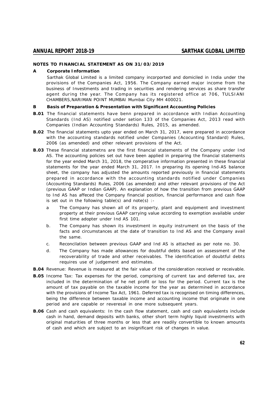#### **NOTES TO FINANCIAL STATEMENT AS ON 31/03/2019**

#### **A Corporate Information**

Sarthak Global Limited is a limited company incorported and domiciled in India under the provisions of the Companies Act, 1956. The Company earned major income from the business of Investments and trading in securities and rendering services as share transfer agent during the year. The Company has its registered office at 706, TULSIANI CHAMBERS,NARIMAN POINT MUMBAI Mumbai City MH 400021.

#### **B Basis of Preparation & Presentation with Significant Accounting Policies**

- **B.01** The financial statements have benn prepared in accordance with Indian Accounting Standards (Ind AS) notified under setion 133 of the Companies Act, 2013 read with Companies (Indian Accounting Standards) Rules, 2015, as amended.
- **B.02** The financial statements upto year ended on March 31, 2017, were prepared in accordance with the accounting standards notified under Companies (Acocunting Standard) Rules, 2006 (as amended) and other relevant provisions of the Act.
- **B.03** These financial statemetns are the first financial statements of the Company under Ind AS. The accounting policies set out have been applied in preparing the financial statements for the year ended March 31, 2018, the comperative information presented in these financial statements for the year ended March 31, 2017. In preparing its opening Ind-AS balance sheet, the company has adjusted the amounts reported previously in financial statements prepared in accordance with the accounting standards notified under Companies (Accounting Standards) Rules, 2006 (as amended) and other relevant provisions of the Act (previous GAAP or Indian GAAP). An explanation of how the transition from previous GAAP to Ind AS has affeced the Company financial position, financial performance and cash flow is set out in the following table(s) and note(s)  $:$ 
	- a The Company has shown all of its property, plant and equipment and investment property at their previous GAAP carrying value according to exemption available under first time adopter under Ind AS 101.
	- b. The Company has shown its investment in equity instrument on the basis of the facts and circumstances at the date of transition to Ind AS and the Company avail the same.
	- c. Reconcilation between previous GAAP and Ind AS is attached as per note no. 30.
	- d. The Company has made allowances for doubtful debts based on assessment of the recoverability of trade and other receivables. The identification of doubtful debts requires use of judgement and estimates.
- **B.04** Revenue: Revenue is measured at the fair value of the consideration received or receivable.
- **B.05** Income Tax: Tax expenses for the period, comprising of current tax and deferred tax, are included in the determination of he net profit or loss for the period. Current tax is the amount of tax payable on the taxable income for the year as determined in accordance with the provisions of Income Tax Act, 1961. Deferred tax is recognised on timing differences, being the difference between taxable income and accounting income that originate in one period and are capable or reveresal in one more subsequent years.
- **B.06** Cash and cash equivalents: In the cash flow statement, cash and cash equivalents include cash in hand, demand deposits with banks, other short term highly liquid investments with original maturities of three months or less that are readily convertible to known amounts of cash and which are subject to an insignificant risk of changes in value.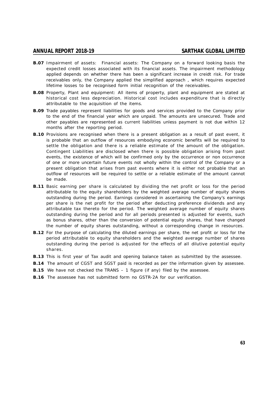- **B.07** Impairment of assets: Financial assets: The Company on a forward looking basis the expected credit losses associated with its financial assets. The impairment methodology applied depends on whether there has been a significant increase in creidt risk. For trade receivables only, the Company applied the simplified approach , which requires expected lifetime losses to be recognised form initial recognition of the receivables.
- **B.08** Property, Plant and equipment: All items of property, plant and equipment are stated at historical cost less depreciation. Historical cost includes expenditure that is directly attributable to the acquisition of the items.
- **B.09** Trade payables represent liabilities for goods and services provided to the Company prior to the end of the financial year which are unpaid. The amounts are unsecured. Trade and other payables are represented as current liabilities unless payment is not due within 12 months after the reporting period.
- **B.10** Provisions are recognised when there is a present obligation as a result of past event, it is probable that an outflow of resources embodying economic benefits will be required to settle the obligation and there is a reliable estimate of the amount of the obligation. Contingent Liabilities are disclosed when there is possible obligation arising from past events, the existence of which will be confirmed only by the occurrence or non occurrence of one or more uncertain future events not wholly within the control of the Company or a present obligation that arises from past events where it is either not probable that an outflow of resources will be required to settle or a reliable estimate of the amount cannot be made.
- **B.11** Basic earning per share is calculated by dividing the net profit or loss for the period attributable to the equity shareholders by the weighted average number of equity shares outstanding during the period. Earnings considered in ascertaining the Company's earnings per share is the net profit for the period after deducting preference dividends and any attributable tax thereto for the period. The weighted average number of equity shares outstanding during the period and for all periods presented is adjusted for events, such as bonus shares, other than the conversion of potential equity shares, that have changed the number of equity shares outstanding, without a corresponding change in resources.
- **B.12** For the purpose of calculating the diluted earnings per share, the net profit or loss for the period attributable to equity shareholders and the weighted average number of shares outstanding during the period is adjusted for the effects of all dilutive potential equity shares.
- **B.13** This is first year of Tax audit and opening balance taken as submitted by the assessee.
- **B.14** The amount of CGST and SGST paid is recorded as per the information given by assessee.
- **B.15** We have not checked the TRANS 1 figure (if any) filed by the assessee.
- **B.16** The assessee has not submitted form no GSTR-2A for our verification.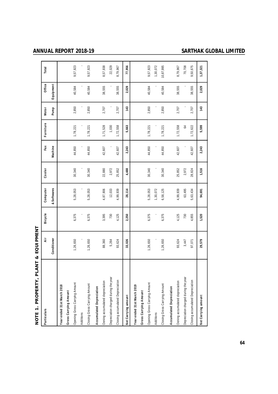# **SARTHAK GLOBAL LIMITED**

| Ξ<br>NOTE 1. PROPERTY, PL            | <b>EQUIPMENT</b><br>ಳ |         |             |        |         |           |       |           |           |
|--------------------------------------|-----------------------|---------|-------------|--------|---------|-----------|-------|-----------|-----------|
| Particulars                          | ä                     | Bicycle | Computer    | Cooler | Fax     | Furniture | Motor | Office    | Total     |
|                                      | Conditioner           |         | & Softwares |        | Machine |           | Pump  | Equipment |           |
| Year ended 31st March 2018           |                       |         |             |        |         |           |       |           |           |
| Gross Carrying Amount                |                       |         |             |        |         |           |       |           |           |
| Opening Gross Carrying Amount        | 1,26,650              | 6,375   | 5,28,053    | 30,340 | 44,850  | 1,78,221  | 2,850 | 40,584    | 9,57,923  |
| Additions                            |                       |         |             |        |         |           |       |           |           |
| Closing Gross Carrying Amount        | 1,26,650              | 6,375   | 5,28,053    | 30,340 | 44,850  | 1,78,221  | 2,850 | 40,584    | 9,57,923  |
| <b>Accumulated Depreciation</b>      |                       |         |             |        |         |           |       |           |           |
| Oening accumulated depreciation      | 88,360                | 3,395   | 4,87,906    | 22,880 | 42,607  | 1,71,528  | 2,707 | 38,555    | 8,57,938  |
| Depreciation charged during the year | 5,264                 | 730     | 12,033      | 2,972  |         | 1,030     |       |           | 22,029    |
| Closing accumulated Depreciation     | 93,624                | 4,125   | 4,99,939    | 25,852 | 42,607  | 1,72,558  | 2,707 | 38,555    | 8,79,967  |
| Net Carrying amount                  | 33,026                | 2,250   | 28,114      | 4,488  | 2,243   | 5,663     | 143   | 2,029     | 77,956    |
| Year ended 31st March 2019           |                       |         |             |        |         |           |       |           |           |
| Gross Carrying Amount                |                       |         |             |        |         |           |       |           |           |
| Opening Gross Carrying Amount        | 1,26,650              | 6,375   | 5,28,053    | 30,340 | 44,850  | 1,78,221  | 2,850 | 40,584    | 9,57,923  |
| Additions                            |                       |         | 1,30,072    |        |         |           |       |           | 1,30,072  |
| Closing Gross Carrying Amount        | 1,26,650              | 6,375   | 6,58,125    | 30,340 | 44,850  | 1,78,221  | 2,850 | 40,584    | 10,87,995 |
| Accumulated Depreciation             |                       |         |             |        |         |           |       |           |           |
| Oening accumulated depreciation      | 93,624                | 4,125   | 4,99,939    | 25,852 | 42,607  | 1,72,558  | 2,707 | 38,555    | 8,79,967  |
| Depreciation charged during the year | 3,447                 | 730     | 63,495      | 2,972  |         | 64        |       |           | 70,708    |
| Closing accumulated Depreciation     | 97,071                | 4,855   | 5,63,434    | 28,824 | 42,607  | 1,72,622  | 2,707 | 38,555    | 9,50,675  |
| Net Carrying amount                  | 29,579                | 1,520   | 94,691      | 1,516  | 2,243   | 5,599     | 143   | 2,029     | 1,37,321  |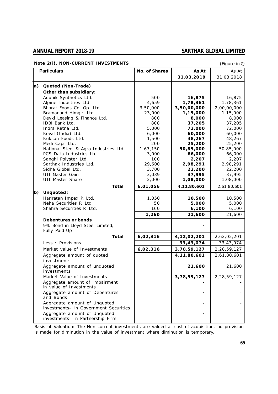# **SARTHAK GLOBAL LIMITED**

#### **Note 2(i). NON-CURRENT INVESTMENTS**

# (Figure in )

|    | <b>Particulars</b>                    | No. of Shares | As At       | As At       |
|----|---------------------------------------|---------------|-------------|-------------|
|    |                                       |               | 31.03.2019  | 31.03.2018  |
|    |                                       |               |             |             |
| a) | Quoted (Non-Trade)                    |               |             |             |
|    | Other than subsidiary:                |               |             |             |
|    | Adunik Synthetics Ltd.                | 500           | 16,875      | 16,875      |
|    | Alpine Industries Ltd.                | 4,659         | 1,78,361    | 1,78,361    |
|    | Bharat Foods Co. Op. Ltd.             | 3,50,000      | 3,50,00,000 | 2,00,00,000 |
|    | Bramanand Himgiri Ltd.                | 23,000        | 1,15,000    | 1,15,000    |
|    | Devki Leasing & Finance Ltd.          | 800           | 8,000       | 8,000       |
|    | IDBI Bank Ltd.                        | 808           | 37,205      | 37,205      |
|    | Indra Ratna Ltd.                      | 5,000         | 72,000      | 72,000      |
|    | Keval (India) Ltd.                    | 6,000         | 60,000      | 60,000      |
|    | Kukson Foods Ltd.                     | 1,500         | 48,267      | 48,267      |
|    | Medi Caps Ltd.                        | 200           | 25,200      | 25,200      |
|    | National Steel & Agro Industries Ltd. | 1,67,150      | 50,85,000   | 50,85,000   |
|    | PCS Data Industries Ltd.              | 3,000         | 66,000      | 66,000      |
|    | Sanghi Polyster Ltd.                  | 100           | 2,207       | 2,207       |
|    | Sarthak Industries Ltd.               | 29,600        | 2,98,291    | 2,98,291    |
|    | Sidha Global Ltd.                     | 3,700         | 22,200      | 22,200      |
|    | UTI Master Gain                       | 3,039         | 37,995      | 37,995      |
|    | UTI Master Share                      | 2,000         | 1,08,000    | 1,08,000    |
|    | <b>Total</b>                          | 6,01,056      | 4,11,80,601 | 2,61,80,601 |
| b) | Unquoted:                             |               |             |             |
|    | Hariratan Impex P. Ltd.               | 1,050         | 10,500      | 10,500      |
|    | Neha Securities P. Ltd.               | 50            | 5,000       | 5,000       |
|    | Shahra Securities P. Ltd.             | 160           | 6,100       | 6,100       |
|    |                                       | 1,260         | 21,600      | 21,600      |
|    | Debentures or bonds                   |               |             |             |
|    |                                       |               |             |             |
|    | 9% Bond in Lloyd Steel Limited,       |               |             |             |
|    | Fully Paid-Up                         |               |             |             |
|    | <b>Total</b>                          | 6,02,316      | 4,12,02,201 | 2,62,02,201 |
|    | Less: Provisions                      |               | 33,43,074   | 33,43,074   |
|    | Market value of Investments           | 6,02,316      | 3,78,59,127 | 2,28,59,127 |
|    | Aggregate amount of quoted            |               | 4,11,80,601 | 2,61,80,601 |
|    | investments                           |               |             |             |
|    | Aggregate amount of unquoted          |               | 21,600      | 21,600      |
|    | investments                           |               |             |             |
|    | Market Value of Investments           |               | 3,78,59,127 | 2,28,59,127 |
|    | Aggregate amount of Impairment        |               |             |             |
|    | in value of Investments               |               |             |             |
|    | Aggregate amount of Debentures        |               |             |             |
|    | and Bonds                             |               |             |             |
|    | Aggregate amount of Unquoted          |               |             |             |
|    | investments- In Government Securities |               |             |             |
|    | Aggregate amount of Unquoted          |               |             |             |
|    | investments- In Partnership Firm      |               |             |             |
|    |                                       |               |             |             |

Basis of Valuation: The Non current investments are valued at cost of acquisition, no provision is made for diminution in the value of investment where diminution is temporary.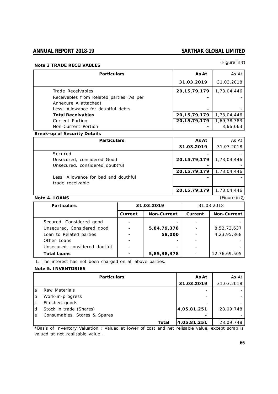# **SARTHAK GLOBAL LIMITED**

# **Note 3 TRADE RECEIVABLES**

#### (Figure in )

| <b>Particulars</b>                       | As At           | As At       |
|------------------------------------------|-----------------|-------------|
|                                          | 31.03.2019      | 31.03.2018  |
| Trade Receivables                        | 20, 15, 79, 179 | 1,73,04,446 |
| Receivables from Related parties (As per |                 |             |
| Annexure A attached)                     |                 |             |
| Less: Allowance for doubtful debts       |                 |             |
| <b>Total Receivables</b>                 | 20, 15, 79, 179 | 1,73,04,446 |
| Current Portion                          | 20, 15, 79, 179 | 1,69,38,383 |
| Non-Current Portion                      |                 | 3,66,063    |

#### **Break-up of Security Details**

| <b>Particulars</b>                   | As At           | As At       |
|--------------------------------------|-----------------|-------------|
|                                      | 31.03.2019      | 31.03.2018  |
| Secured                              |                 |             |
| Unsecured, considered Good           | 20, 15, 79, 179 | 1,73,04,446 |
| Unsecured, considered doubtful       |                 |             |
|                                      | 20, 15, 79, 179 | 1,73,04,446 |
| Less: Allowance for bad and douthful |                 |             |
| trade receivable                     |                 |             |
|                                      | 20, 15, 79, 179 | 1,73,04,446 |

#### **Note 4. LOANS**

(Figure in )

| <b>Particulars</b>            |         | 31.03.2019         | 31.03.2018 |                    |
|-------------------------------|---------|--------------------|------------|--------------------|
|                               | Current | <b>Non-Current</b> | Current    | <b>Non-Current</b> |
| Secured, Considered good      |         |                    |            |                    |
| Unsecured, Considered good    |         | 5,84,79,378        |            | 8,52,73,637        |
| Loan to Related parties       |         | 59,000             |            | 4,23,95,868        |
| Other Loans                   |         |                    |            |                    |
| Unsecured, considered doutful |         |                    |            |                    |
| <b>Total Loans</b>            |         | 5,85,38,378        |            | 12,76,69,505       |

1. The interest has not been charged on all above parties.

# **Note 5. INVENTORIES**

|     | <b>Particulars</b>           | As At       | As At      |
|-----|------------------------------|-------------|------------|
|     |                              | 31.03.2019  | 31.03.2018 |
| a   | Raw Materials                |             |            |
| b   | Work-in-progress             | ۰           |            |
| C   | Finished goods               |             |            |
| l d | Stock in trade (Shares)      | 4,05,81,251 | 28,09,748  |
| e   | Consumables, Stores & Spares |             |            |
|     | Total                        | 4,05,81,251 | 28,09,748  |

\*Basis of Inventory Valuation : Valued at lower of cost and net relisable value, except scrap is valued at net realisable value .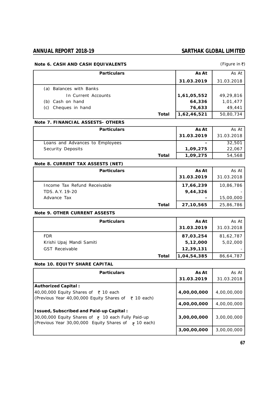# **SARTHAK GLOBAL LIMITED**

(Figure in )

#### **Note 6. CASH AND CASH EQUIVALENTS**

| <b>Particulars</b>         | As At       | As At      |
|----------------------------|-------------|------------|
|                            | 31.03.2019  | 31.03.2018 |
| Balances with Banks<br>(a) |             |            |
| In Current Accounts        | 1,61,05,552 | 49,29,816  |
| (b) Cash on hand           | 64,336      | 1,01,477   |
| Cheques in hand<br>(c)     | 76,633      | 49,441     |
| Total                      | 1,62,46,521 | 50,80,734  |

#### **Note 7. FINANCIAL ASSESTS- OTHERS**

| <b>Particulars</b>              |            | As At    | As At      |
|---------------------------------|------------|----------|------------|
|                                 | 31.03.2019 |          | 31.03.2018 |
| Loans and Advances to Employees |            | -        | 32,501     |
| Security Deposits               |            | 1,09,275 | 22,067     |
| Total                           |            | 1,09,275 | 54,568     |

#### **Note 8. CURRENT TAX ASSESTS (NET)**

| <b>Particulars</b>           | As At                    | As At      |
|------------------------------|--------------------------|------------|
|                              | 31.03.2019               | 31.03.2018 |
| Income Tax Refund Receivable | 17,66,239                | 10,86,786  |
| TDS, A.Y. 19-20              | 9,44,326                 |            |
| Advance Tax                  | $\overline{\phantom{0}}$ | 15,00,000  |
| Total                        | 27,10,565                | 25,86,786  |

#### **Note 9. OTHER CURRENT ASSESTS**

| <b>Particulars</b>       | As At       | As At      |
|--------------------------|-------------|------------|
|                          | 31.03.2019  | 31.03.2018 |
| <b>FDR</b>               | 87,03,254   | 81,62,787  |
| Krishi Upaj Mandi Samiti | 5,12,000    | 5,02,000   |
| <b>GST Receivable</b>    | 12,39,131   |            |
| Total                    | 1,04,54,385 | 86,64,787  |

# **Note 10. EQUITY SHARE CAPITAL**

| <b>Particulars</b>                                   | As At       | As At       |
|------------------------------------------------------|-------------|-------------|
|                                                      | 31.03.2019  | 31.03.2018  |
| <b>Authorized Capital:</b>                           |             |             |
| 40,00,000 Equity Shares of ₹ 10 each                 | 4,00,00,000 | 4,00,00,000 |
| (Previous Year 40,00,000 Equity Shares of ₹ 10 each) |             |             |
|                                                      | 4,00,00,000 | 4,00,00,000 |
| Issued, Subscribed and Paid-up Capital:              |             |             |
| 30,00,000 Equity Shares of ₹ 10 each Fully Paid-up   | 3,00,00,000 | 3,00,00,000 |
| (Previous Year 30,00,000 Equity Shares of ₹ 10 each) |             |             |
|                                                      | 3,00,00,000 | 3,00,00,000 |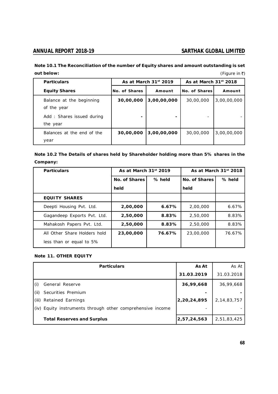# **SARTHAK GLOBAL LIMITED**

#### **Note 10.1 The Reconciliation of the number of Equity shares and amount outstanding is set out below:** (Figure in )

| <b>Particulars</b>         | As at March $31st$ 2019 |                              | As at March $31st$ 2018 |             |  |
|----------------------------|-------------------------|------------------------------|-------------------------|-------------|--|
| <b>Equity Shares</b>       | No. of Shares           | Amount                       | No. of Shares           | Amount      |  |
| Balance at the beginning   | 30,00,000               | 3,00,00,000                  | 30,00,000               | 3,00,00,000 |  |
| of the year                |                         |                              |                         |             |  |
| Add: Shares issued during  | $\blacksquare$          | $\qquad \qquad \blacksquare$ |                         |             |  |
| the year                   |                         |                              |                         |             |  |
| Balances at the end of the | 30,00,000               | 3,00,00,000                  | 30,00,000               | 3,00,00,000 |  |
| year                       |                         |                              |                         |             |  |

| Note 10.2 The Details of shares held by Shareholder holding more than 5% shares in the |  |
|----------------------------------------------------------------------------------------|--|
| Company:                                                                               |  |

| <b>Particulars</b>           | As at March $31st$ 2019 |        |               | As at March 31st 2018 |
|------------------------------|-------------------------|--------|---------------|-----------------------|
|                              | No. of Shares           | % held | No. of Shares | % held                |
|                              | held                    |        | held          |                       |
| <b>EQUITY SHARES</b>         |                         |        |               |                       |
| Deepti Housing Pvt. Ltd.     | 2,00,000                | 6.67%  | 2,00,000      | 6.67%                 |
| Gagandeep Exports Pvt. Ltd.  | 2,50,000                | 8.83%  | 2,50,000      | 8.83%                 |
| Mahakosh Papers Pvt. Ltd.    | 2,50,000                | 8.83%  | 2,50,000      | 8.83%                 |
| All Other Share Holders hold | 23,00,000               | 76.67% | 23,00,000     | 76.67%                |
| less than or equal to 5%     |                         |        |               |                       |

#### **Note 11. OTHER EQUITY**

|       | <b>Particulars</b>                                         | As At       | As At          |
|-------|------------------------------------------------------------|-------------|----------------|
|       |                                                            | 31.03.2019  | 31.03.2018     |
| (i)   | General Reserve                                            | 36,99,668   | 36,99,668      |
| (ii)  | Securities Premium                                         |             |                |
| (iii) | Retained Earnings                                          | 2,20,24,895 | 2, 14, 83, 757 |
|       | (iv) Equity instruments through other comprehensive income |             |                |
|       | <b>Total Reserves and Surplus</b>                          | 2,57,24,563 | 2,51,83,425    |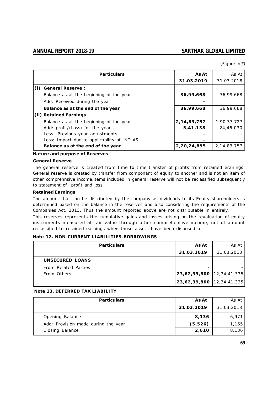# **SARTHAK GLOBAL LIMITED**

| (Figure in ₹) |  |  |
|---------------|--|--|
|---------------|--|--|

|     | <b>Particulars</b>                          | As At          | As At          |
|-----|---------------------------------------------|----------------|----------------|
|     |                                             | 31.03.2019     | 31.03.2018     |
| (i) | <b>General Reserve:</b>                     |                |                |
|     | Balance as at the beginning of the year     | 36,99,668      | 36,99,668      |
|     | Add: Received during the year               |                |                |
|     | Balance as at the end of the year           | 36,99,668      | 36,99,668      |
|     | (ii) Retained Earnings                      |                |                |
|     | Balance as at the beginning of the year     | 2, 14, 83, 757 | 1,90,37,727    |
|     | Add: profit/(Loss) for the year             | 5,41,138       | 24,46,030      |
|     | Less: Previous year adjustments             |                |                |
|     | Less: Impact due to applicability of IND AS |                |                |
|     | Balance as at the end of the year           | 2,20,24,895    | 2, 14, 83, 757 |

**Nature and purpose of Reserves**

#### **General Reserve**

The general reserve is created from time to time transfer of profits from retained eranings. General reserve is created by transfer from componant of equity to another and is not an item of other comprehnsive income,items included in general reserve will not be reclassified subsequently to statement of profit and loss.

#### **Retained Earnings**

The amount that can be distributed by the company as dividends to its Equity shareholders is determined based on the balance in the reserves and also considering the requirements of the Companies Act, 2013. Thus the amount reported above are not distributable in entirely.

This reserves represents the cumulative gains and losses arising on the revaluation of equity instruments measured at fair value through other comprehensive income, net of amount reclassified to retained earnings when those assets have been disposed of.

#### **Note 12. NON-CURRENT LIABILITIES-BORROWINGS**

| <b>Particulars</b>     | As At                       | As At      |
|------------------------|-----------------------------|------------|
|                        | 31.03.2019                  | 31.03.2018 |
| <b>UNSECURED LOANS</b> |                             |            |
| From Related Parties   |                             |            |
| From Others            | 23,62,39,800   12,34,41,335 |            |
|                        | 23,62,39,800   12,34,41,335 |            |

#### **Note 13. DEFERRED TAX LIABILITY**

| <b>Particulars</b>                  | As At      | As At      |
|-------------------------------------|------------|------------|
|                                     | 31.03.2019 | 31.03.2018 |
| Opening Balance                     | 8,136      | 6,971      |
| Add: Provision made during the year | (5, 526)   | 1,165      |
| Closing Balance                     | 2,610      | 8,136      |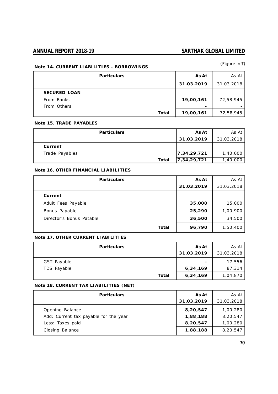# **SARTHAK GLOBAL LIMITED**

#### **Note 14. CURRENT LIABILITIES - BORROWINGS**

| <b>Particulars</b>  | As At      | As At      |
|---------------------|------------|------------|
|                     | 31.03.2019 | 31.03.2018 |
| <b>SECURED LOAN</b> |            |            |
| From Banks          | 19,00,161  | 72,58,945  |
| From Others         |            |            |
| <b>Total</b>        | 19,00,161  | 72,58,945  |

#### **Note 15. TRADE PAYABLES**

| <b>Particulars</b> |       | As At       | As At      |
|--------------------|-------|-------------|------------|
|                    |       | 31.03.2019  | 31.03.2018 |
| Current            |       |             |            |
| Trade Payables     |       | 7,34,29,721 | 1,40,000   |
|                    | Total | 7,34,29,721 | 1,40,000   |

#### **Note 16. OTHER FINANCIAL LIABILITIES**

| <b>Particulars</b>       | As At      | As At      |
|--------------------------|------------|------------|
|                          | 31.03.2019 | 31.03.2018 |
| Current                  |            |            |
| Aduit Fees Payable       | 35,000     | 15,000     |
| Bonus Payable            | 25,290     | 1,00,900   |
| Director's Bonus Patable | 36,500     | 34,500     |
| Total                    | 96,790     | 1,50,400   |

#### **Note 17. OTHER CURRENT LIABILITIES**

| <b>Particulars</b> | As At<br>31.03.2019 | As At<br>31.03.2018 |
|--------------------|---------------------|---------------------|
| GST Payable        | $\,$                | 17,556              |
| TDS Payable        | 6,34,169            | 87,314              |
| <b>Total</b>       | 6,34,169            | 1,04,870            |

#### **Note 18. CURRENT TAX LIABILITIES (NET)**

| <b>Particulars</b>                    | As At      | As At      |
|---------------------------------------|------------|------------|
|                                       | 31.03.2019 | 31.03.2018 |
| Opening Balance                       | 8,20,547   | 1,00,280   |
| Add: Current tax payable for the year | 1,88,188   | 8,20,547   |
| Less: Taxes paid                      | 8,20,547   | 1,00,280   |
| Closing Balance                       | 1,88,188   | 8,20,547   |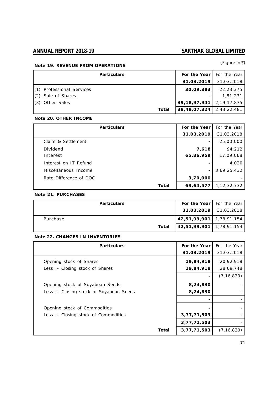# **SARTHAK GLOBAL LIMITED**

(Figure in )

### **Note 19. REVENUE FROM OPERATIONS**

| <b>Particulars</b>        |       | <b>For the Year</b> For the Year |            |
|---------------------------|-------|----------------------------------|------------|
|                           |       | 31.03.2019                       | 31.03.2018 |
| (1) Professional Services |       | 30,09,383                        | 22,23,375  |
| (2) Sale of Shares        |       |                                  | 1,81,231   |
| (3) Other Sales           |       | $39,18,97,941$   2,19,17,875     |            |
|                           | Total | $39,49,07,324$   2,43,22,481     |            |

# **Note 20. OTHER INCOME**

| <b>Particulars</b>     | For the Year I           | For the Year   |
|------------------------|--------------------------|----------------|
|                        | 31.03.2019               | 31.03.2018     |
| Claim & Settlement     | $\overline{\phantom{0}}$ | 25,00,000      |
| Dividend               | 7,618                    | 94,212         |
| Interest               | 65,86,959                | 17,09,068      |
| Interest on IT Refund  |                          | 4,020          |
| Miscellaneous Income   | $\blacksquare$           | 3,69,25,432    |
| Rate Difference of DOC | 3,70,000                 |                |
| Total                  | 69,64,577                | 4, 12, 32, 732 |

#### **Note 21. PURCHASES**

| <b>Particulars</b> |       | For the Year   For the Year       |  |
|--------------------|-------|-----------------------------------|--|
|                    |       | $31.03.2019$ 31.03.2018           |  |
| Purchase           |       | $\mid$ 42,51,99,901   1,78,91,154 |  |
|                    | Total | $ 42,51,99,901 $ 1,78,91,154      |  |

#### **Note 22. CHANGES IN INVENTORIES**

| <b>Particulars</b>                      | For the Year | For the Year |
|-----------------------------------------|--------------|--------------|
|                                         | 31.03.2019   | 31.03.2018   |
| Opening stock of Shares                 | 19,84,918    | 20,92,918    |
| Less :- Closing stock of Shares         | 19,84,918    | 28,09,748    |
|                                         |              | (7, 16, 830) |
| Opening stock of Soyabean Seeds         | 8,24,830     |              |
| Less: - Closing stock of Soyabean Seeds | 8,24,830     |              |
|                                         |              |              |
| Opening stock of Commodities            |              |              |
| Less :- Closing stock of Commodities    | 3,77,71,503  |              |
|                                         | 3,77,71,503  |              |
| Total                                   | 3,77,71,503  | (7, 16, 830) |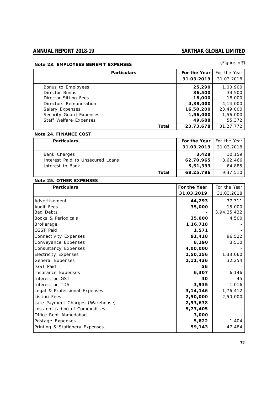# **SARTHAK GLOBAL LIMITED**

#### **Note 23. EMPLOYEES BENEFIT EXPENSES**

# (Figure in )

| <b>Particulars</b>      | For the Year I | For the Year |
|-------------------------|----------------|--------------|
|                         | 31.03.2019     | 31.03.2018   |
| Bonus to Employees      | 25,290         | 1,00,900     |
| Director Bonus          | 36,500         | 34,500       |
| Director Sitting Fees   | 18,000         | 18,000       |
| Directors Remuneration  | 4,38,000       | 4,14,000     |
| Salary Expenses         | 16,50,200      | 23,49,000    |
| Security Guard Expenses | 1,56,000       | 1,56,000     |
| Staff Welfare Expenses  | 49,688         | 55,372       |
| Total                   | 23,73,678      | 31, 27, 772  |

## **Note 24. FINANCE COST**

| <b>Particulars</b>               | For the Year   For the Year |            |
|----------------------------------|-----------------------------|------------|
|                                  | 31.03.2019                  | 31.03.2018 |
| Bank Charges                     | 3,428                       | 10.159     |
| Interest Paid to Unsecured Loans | 62,70,965                   | 8,62,466   |
| Interest to Bank                 | 5,51,393                    | 64,885     |
| Total                            | 68,25,786                   | 9.37.510   |

# **Note 25. OTHER EXPENSES**

| <b>Particulars</b>               | For the Year | For the Year |
|----------------------------------|--------------|--------------|
|                                  | 31.03.2019   | 31.03.2018   |
| lAdvertisement                   | 44,293       | 37,311       |
| Audit Fees                       | 35,000       | 15,000       |
| <b>Bad Debts</b>                 |              | 3,94,25,432  |
| Books & Periodicals              | 35,000       | 4,500        |
| Brokerage                        | 1,16,718     |              |
| CGST Paid                        | 1,571        |              |
| Connectivity Expenses            | 91,418       | 96,522       |
| Conveyance Expenses              | 8,190        | 3,510        |
| Consultancy Expenses             | 4,00,000     |              |
| Electricity Expenses             | 1,50,156     | 1,33,060     |
| General Expenses                 | 1,11,436     | 32,254       |
| IGST Paid                        | 56           |              |
| Insurance Expenses               | 6,307        | 6,146        |
| Interest on GST                  | 40           | 45           |
| Interest on TDS                  | 3,935        | 1,016        |
| Legal & Professional Expenses    | 3, 14, 146   | 1,76,412     |
| Listing Fees                     | 2,50,000     | 2,50,000     |
| Late Payment Charges (Warehouse) | 2,93,638     |              |
| Loss on trading of Commodities   | 5,73,405     |              |
| Office Rent Ahmedabad            | 3,000        |              |
| Postage Expenses                 | 5,822        | 1,404        |
| Printing & Stationery Expenses   | 59,143       | 47,484       |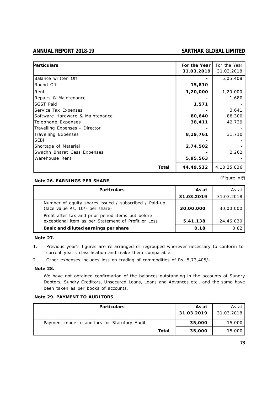# **SARTHAK GLOBAL LIMITED**

| <b>Particulars</b>              | For the Year | For the Year   |
|---------------------------------|--------------|----------------|
|                                 | 31.03.2019   | 31.03.2018     |
| Balance written Off             |              | 5,05,408       |
| Round Off                       | 15,810       |                |
| <b>Rent</b>                     | 1,20,000     | 1,20,000       |
| Repairs & Maintenance           |              | 1,680          |
| <b>SGST Paid</b>                | 1,571        |                |
| Service Tax Expenses            |              | 3,641          |
| Software Hardware & Maintenance | 80,640       | 88,300         |
| Telephone Expenses              | 38,411       | 42,739         |
| Travelling Expenses - Director  |              |                |
| Travelling Expenses             | 8,19,761     | 31,710         |
| <b>SEBI</b>                     |              |                |
| Shortage of Material            | 2,74,502     |                |
| Swachh Bharat Cess Expenses     |              | 2,262          |
| Warehouse Rent                  | 5,95,563     |                |
| Total                           | 44,49,532    | 4, 10, 25, 836 |

## **Note 26. EARNINGS PER SHARE**

| <b>Particulars</b>                                                                                        | As at      | As at      |
|-----------------------------------------------------------------------------------------------------------|------------|------------|
|                                                                                                           | 31.03.2019 | 31.03.2018 |
| Number of equity shares issued / subscribed / Paid-up<br>(face value Rs. 10/- per share)                  | 30,00,000  | 30,00,000  |
| Profit after tax and prior period items but before<br>exceptional item as per Statement of Profit or Loss | 5,41,138   | 24,46,030  |
| Basic and diluted earnings per share                                                                      | 0.18       | 0.82       |

# **Note 27.**

- 1. Previous year's figures are re-arranged or regrouped wherever necessary to conform to current year's classification and make them comparable.
- 2. Other expenses includes loss on trading of commodities of Rs. 5,73,405/-

# **Note 28.**

We have not obtained confirmation of the balances outstanding in the accounts of Sundry Debtors, Sundry Creditors, Unsecured Loans, Loans and Advances etc., and the same have been taken as per books of accounts.

# **Note 29. PAYMENT TO AUDITORS**

| <b>Particulars</b>                           | As at      | As at      |
|----------------------------------------------|------------|------------|
|                                              | 31.03.2019 | 31.03.2018 |
| Payment made to auditors for Statutory Audit | 35,000     | 15,000     |
| Total                                        | 35,000     | 15,000     |

(Figure in )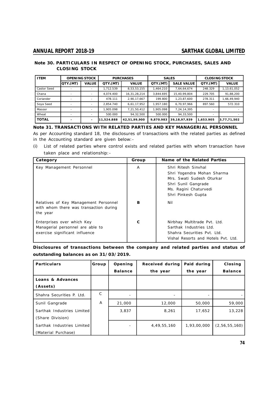# **SARTHAK GLOBAL LIMITED**

#### **Note 30. PARTICULARS IN RESPECT OF OPENING STOCK, PURCHASES, SALES AND CLOSING STOCK**

| <b>ITEM</b>  | <b>OPENING STOCK</b> |                              |            | <b>PURCHASES</b> | <b>CLOSING STOCK</b><br><b>SALES</b> |                   |           |              |
|--------------|----------------------|------------------------------|------------|------------------|--------------------------------------|-------------------|-----------|--------------|
|              | QTY.(MT)             | <b>VALUE</b>                 | QTY.(MT)   | <b>VALUE</b>     | QTY.(MT)                             | <b>SALE VALUE</b> | QTY.(MT)  | <b>VALUE</b> |
| Castor Seed  |                      | ۰                            | 1,712.539  | 8,53,53,155      | 1,464.210                            | 7,64,64,674       | 248.329   | 1,13,61,052  |
| Chana        | ۰                    | ٠                            | 4.074.400  | 16,31,28,214     | 3,844.695                            | 15,40,99,804      | 229.705   | 91,88,200    |
| Coriander    | ۰                    | ٠                            | 478.111    | 2,90,17,667      | 199.800                              | 1,23,87,600       | 278.311   | 1,66,49,940  |
| Soya Seed    | ۰                    | ٠                            | 2.854.740  | 6,61,17,952      | 1.957.180                            | 6,70,97,966       | 897.560   | 572.310      |
| Masoor       |                      | ۰                            | 1.905.098  | 7,21,50,412      | 1,905.098                            | 7,24,14,395       |           |              |
| Wheat        | ۰                    | ٠                            | 500,000    | 94,32,500        | 500,000                              | 94,33,500         | $\sim$    |              |
| <b>TOTAL</b> |                      | $\qquad \qquad \blacksquare$ | 11,524.888 | 42,51,99,900     | 9.870.983                            | 39,18,97,939      | 1.653.905 | 3,77,71,502  |

#### **Note 31. TRANSACTIONS WITH RELATED PARTIES AND KEY MANAGERIAL PERSONNEL**

As per Accounting standard 18, the disclosures of transactions with the related parties as defined in the Accounting standard are given below:-

(i) List of related parties where control exists and related parties with whom transaction have taken place and relationship:-

| Category                                                                                         | Group | Name of the Related Parties                                                                                                   |
|--------------------------------------------------------------------------------------------------|-------|-------------------------------------------------------------------------------------------------------------------------------|
| Key Management Personnel                                                                         | A     | Shri Ritesh Sinyhal                                                                                                           |
|                                                                                                  |       | Shri Yogendra Mohan Sharma                                                                                                    |
|                                                                                                  |       | Mrs. Swati Sudesh Oturkar                                                                                                     |
|                                                                                                  |       | Shri Sunil Gangrade                                                                                                           |
|                                                                                                  |       | Ms. Ragini Chaturvedi                                                                                                         |
|                                                                                                  |       | Shri Pinkesh Gupta                                                                                                            |
| Relatives of Key Management Personnel<br>with whom there was transaction during<br>the year      | R.    | Nil                                                                                                                           |
| Enterprises over which Key<br>Managerial personnel are able to<br>exercise significant influence | C     | Nirbhay Multitrade Pvt. Ltd.<br>Sarthak Industries Ltd.<br>Shahra Securities Pyt. Ltd.<br>Vishal Resorts and Hotels Pyt. Ltd. |

**Disclosures of transactions between the company and related parties and status of outstanding balances as on 31/03/2019.**

| <b>Particulars</b>         | Group | Opening        | Received during | Paid during | Closing          |
|----------------------------|-------|----------------|-----------------|-------------|------------------|
|                            |       | <b>Balance</b> | the year        | the year    | <b>Balance</b>   |
| Loans & Advances           |       |                |                 |             |                  |
| (Assets)                   |       |                |                 |             |                  |
| Shahra Securities P. Ltd.  | C     |                |                 |             |                  |
| Sunil Gangrade             | A     | 21,000         | 12,000          | 50,000      | 59,000           |
| Sarthak Industries Limited |       | 3,837          | 8,261           | 17,652      | 13,228           |
| (Share Division)           |       |                |                 |             |                  |
| Sarthak Industries Limited |       |                | 4,49,55,160     | 1,93,00,000 | (2, 56, 55, 160) |
| (Material Purchase)        |       |                |                 |             |                  |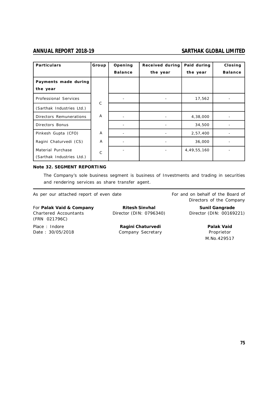# **SARTHAK GLOBAL LIMITED**

| <b>Particulars</b>                             | Group        | Opening        | Received during | Paid during | Closing        |
|------------------------------------------------|--------------|----------------|-----------------|-------------|----------------|
|                                                |              | <b>Balance</b> | the year        | the year    | <b>Balance</b> |
| Payments made during<br>the year               |              |                |                 |             |                |
| Professional Services                          |              |                |                 | 17,562      |                |
| (Sarthak Industries Ltd.)                      | $\mathsf{C}$ |                |                 |             |                |
| Directors Remunerations                        | Α            |                |                 | 4,38,000    |                |
| <b>Directors Bonus</b>                         |              |                |                 | 34,500      |                |
| Pinkesh Gupta (CFO)                            | A            |                |                 | 2,57,400    |                |
| Ragini Chaturvedi (CS)                         | A            |                |                 | 36,000      |                |
| Material Purchase<br>(Sarthak Industries Ltd.) | $\mathsf{C}$ |                |                 | 4,49,55,160 |                |

### **Note 32. SEGMENT REPORTING**

The Company's sole business segment is business of Investments and trading in securities and rendering services as share transfer agent.

As per our attached report of even date For and on behalf of the Board of

For **Palak Vaid & Company Ritesh Sinvhal Sunil Gangrade** Chartered Accountants Director (DIN: 0796340) Director (DIN: 00169221) (FRN 021796C)

Place : Indore **Ragini Chaturvedi Place : Indore Palak Vaid** Date : 30/05/2018 Company Secretary Proprietor

Directors of the Company

M.No.429517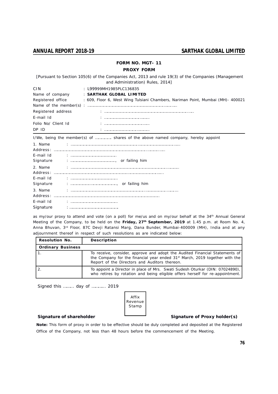# **SARTHAK GLOBAL LIMITED**

#### **FORM NO. MGT- 11**

# **PROXY FORM**

|                 | [Pursuant to Section 105(6) of the Companies Act, 2013 and rule 19(3) of the Companies (Management |
|-----------------|----------------------------------------------------------------------------------------------------|
|                 | and Administration) Rules, 20141                                                                   |
| CIN             | : L99999MH1985PLC136835                                                                            |
| Name of company | $\pm$ SARTHAK GLOBAL LIMITED                                                                       |

| <b>IVALLIC OF COLLIDALLY</b> | . JANTIAN ULUPAL LIMITLY                                                        |
|------------------------------|---------------------------------------------------------------------------------|
| Registered office            | : 609, Floor 6, West Wing Tulsiani Chambers, Nariman Point, Mumbai (MH)- 400021 |
|                              |                                                                                 |
| Registered address           |                                                                                 |
| E-mail Id                    |                                                                                 |
| Folio No/ Client Id          |                                                                                 |
| DP ID                        |                                                                                 |
|                              | I/We, being the member(s) of  shares of the above named company, hereby appoint |
| 1. Name<br>.                 |                                                                                 |

| Address:  |                                                                                                                                                                                                                                                                                                                                              |
|-----------|----------------------------------------------------------------------------------------------------------------------------------------------------------------------------------------------------------------------------------------------------------------------------------------------------------------------------------------------|
| E-mail Id |                                                                                                                                                                                                                                                                                                                                              |
| Signature |                                                                                                                                                                                                                                                                                                                                              |
| 2. Name   |                                                                                                                                                                                                                                                                                                                                              |
| Address:  |                                                                                                                                                                                                                                                                                                                                              |
| E-mail Id |                                                                                                                                                                                                                                                                                                                                              |
| Signature | $\vdots$ $\vdots$ $\vdots$ $\vdots$ $\vdots$ $\vdots$ $\vdots$ $\vdots$ $\vdots$ $\vdots$ $\vdots$ $\vdots$ $\vdots$ $\vdots$ $\vdots$ $\vdots$ $\vdots$ $\vdots$ $\vdots$ $\vdots$ $\vdots$ $\vdots$ $\vdots$ $\vdots$ $\vdots$ $\vdots$ $\vdots$ $\vdots$ $\vdots$ $\vdots$ $\vdots$ $\vdots$ $\vdots$ $\vdots$ $\vdots$ $\vdots$ $\vdots$ |
| 3. Name   |                                                                                                                                                                                                                                                                                                                                              |
|           |                                                                                                                                                                                                                                                                                                                                              |
| E-mail Id |                                                                                                                                                                                                                                                                                                                                              |
| Signature |                                                                                                                                                                                                                                                                                                                                              |

as my/our proxy to attend and vote (on a poll) for me/us and on my/our behalf at the 34<sup>th</sup> Annual General Meeting of the Company, to be held on the **Friday, 27th September, 2019** at 1.45 p.m. at Room No. 4, Anna Bhuvan, 3rd Floor, 87C Devji Ratansi Marg, Dana Bunder, Mumbai-400009 (MH), India and at any adjournment thereof in respect of such resolutions as are indicated below:

| <b>Resolution No.</b>    | Description                                                                                                                                                                                                      |
|--------------------------|------------------------------------------------------------------------------------------------------------------------------------------------------------------------------------------------------------------|
| <b>Ordinary Business</b> |                                                                                                                                                                                                                  |
|                          | To receive, consider, approve and adopt the Audited Financial Statements of<br>the Company for the financial year ended $31^{st}$ March, 2019 together with the<br>Report of the Directors and Auditors thereon. |
|                          | To appoint a Director in place of Mrs. Swati Sudesh Oturkar (DIN: 07024890),<br>who retires by rotation and being eligible offers herself for re-appointment.                                                    |

Signed this ……... day of ………... 2019

| Affix   |
|---------|
|         |
| Revenue |
| Stamp   |
|         |

# **Signature of shareholder Signature of Proxy holder(s)**

**Note:** This form of proxy in order to be effective should be duly completed and deposited at the Registered Office of the Company, not less than 48 hours before the commencement of the Meeting.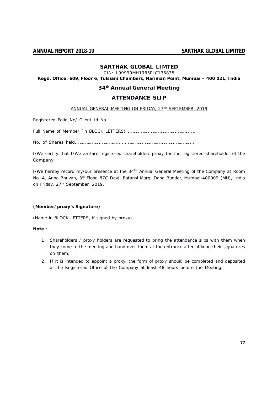# **SARTHAK GLOBAL LIMTED**

CIN: L99999MH1985PLC136835

**Regd. Office: 609, Floor 6, Tulsiani Chambers, Nariman Point, Mumbai – 400 021, India**

# **34th Annual General Meeting**

# **ATTENDANCE SLIP**

ANNUAL GENERAL MEETING ON FRIDAY, 27TH SEPTEMBER, 2019

Registered Folio No/ Client Id No. ………………………………………………….....………….

Full Name of Member (in BLOCK LETTERS) ………………………………………….….……

No. of Shares held……………………………........…………………………………………………….

I/We certify that I/We am/are registered shareholder/ proxy for the registered shareholder of the Company.

I/We hereby record my/our presence at the 34TH Annual General Meeting of the Company at Room No. 4, Anna Bhuvan, 3rd Floor, 87C Devji Ratansi Marg, Dana Bunder, Mumbai-400009 (MH), India on Friday, 27<sup>th</sup> September, 2019.

———————————————————

### **(Member/proxy's Signature)**

(Name in BLOCK LETTERS, if signed by proxy)

#### **Note :**

- 1. Shareholders / proxy holders are requested to bring the attendance slips with them when they come to the meeting and hand over them at the entrance after affixing their signatures on them.
- 2. If it is intended to appoint a proxy, the form of proxy should be completed and deposited at the Registered Office of the Company at least 48 hours before the Meeting.